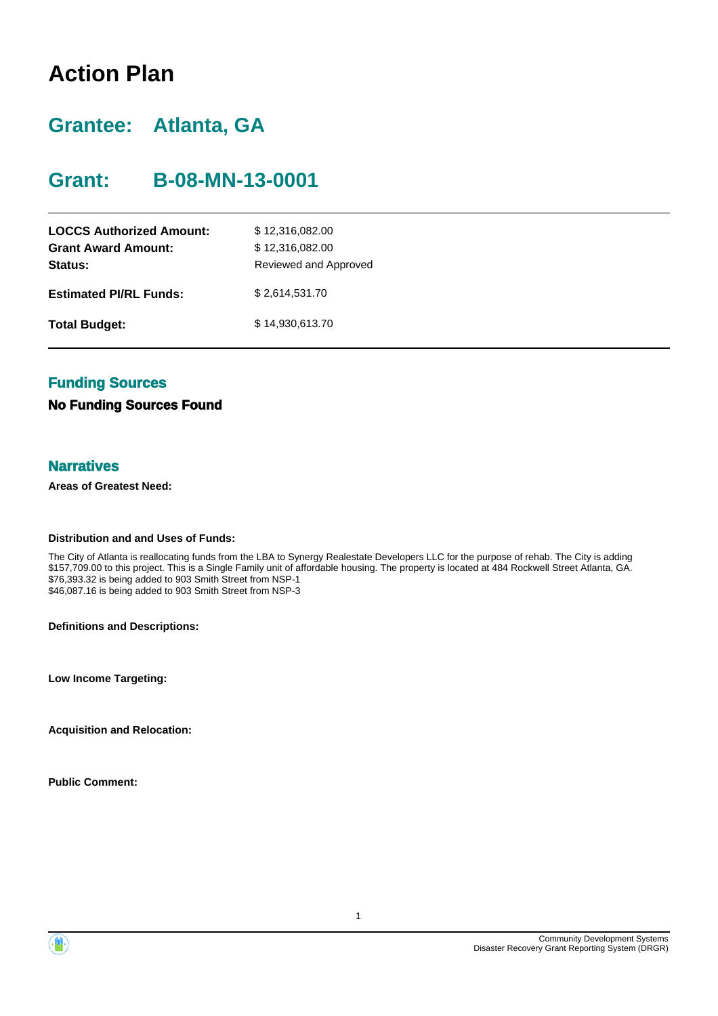# **Action Plan**

# **Grantee: Atlanta, GA**

# **Grant: B-08-MN-13-0001**

| <b>LOCCS Authorized Amount:</b><br><b>Grant Award Amount:</b><br>Status: | \$12,316,082.00<br>\$12,316,082.00<br>Reviewed and Approved |
|--------------------------------------------------------------------------|-------------------------------------------------------------|
| <b>Estimated PI/RL Funds:</b>                                            | \$2,614,531.70                                              |
| <b>Total Budget:</b>                                                     | \$14,930,613.70                                             |

# **Funding Sources**

#### **No Funding Sources Found**

#### **Narratives**

**Areas of Greatest Need:**

#### **Distribution and and Uses of Funds:**

The City of Atlanta is reallocating funds from the LBA to Synergy Realestate Developers LLC for the purpose of rehab. The City is adding \$157,709.00 to this project. This is a Single Family unit of affordable housing. The property is located at 484 Rockwell Street Atlanta, GA. \$76,393.32 is being added to 903 Smith Street from NSP-1 \$46,087.16 is being added to 903 Smith Street from NSP-3

**Definitions and Descriptions:**

**Low Income Targeting:**

**Acquisition and Relocation:**

**Public Comment:**

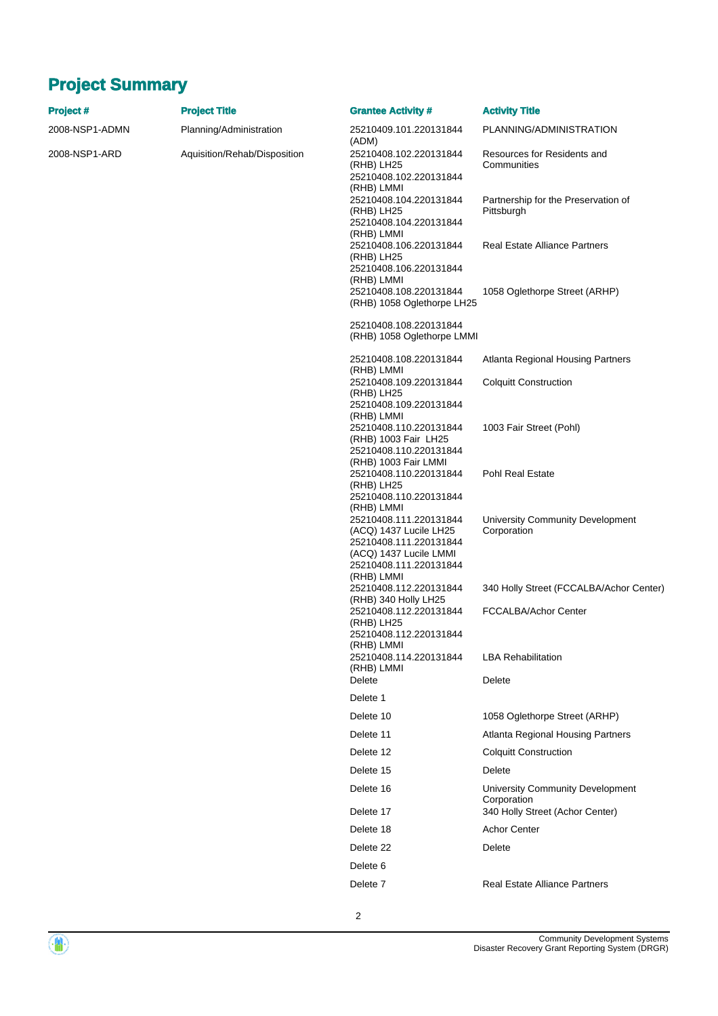# **Project Summary**

| Project #      | <b>Project Title</b>         | <b>Grantee Activity #</b>                                                                                                                    | <b>Activity Title</b>                                                              |
|----------------|------------------------------|----------------------------------------------------------------------------------------------------------------------------------------------|------------------------------------------------------------------------------------|
| 2008-NSP1-ADMN | Planning/Administration      | 25210409.101.220131844<br>(ADM)                                                                                                              | PLANNING/ADMINISTRATION                                                            |
| 2008-NSP1-ARD  | Aquisition/Rehab/Disposition | 25210408.102.220131844<br>(RHB) LH25<br>25210408.102.220131844<br>(RHB) LMMI                                                                 | Resources for Residents and<br>Communities                                         |
|                |                              | 25210408.104.220131844<br>(RHB) LH25<br>25210408.104.220131844                                                                               | Partnership for the Preservation of<br>Pittsburgh                                  |
|                |                              | (RHB) LMMI<br>25210408.106.220131844<br>(RHB) LH25<br>25210408.106.220131844                                                                 | <b>Real Estate Alliance Partners</b>                                               |
|                |                              | (RHB) LMMI<br>25210408.108.220131844<br>(RHB) 1058 Oglethorpe LH25                                                                           | 1058 Oglethorpe Street (ARHP)                                                      |
|                |                              | 25210408.108.220131844<br>(RHB) 1058 Oglethorpe LMMI                                                                                         |                                                                                    |
|                |                              | 25210408.108.220131844<br>(RHB) LMMI                                                                                                         | <b>Atlanta Regional Housing Partners</b>                                           |
|                |                              | 25210408.109.220131844<br>(RHB) LH25<br>25210408.109.220131844                                                                               | <b>Colquitt Construction</b>                                                       |
|                |                              | (RHB) LMMI<br>25210408.110.220131844<br>(RHB) 1003 Fair LH25<br>25210408.110.220131844                                                       | 1003 Fair Street (Pohl)                                                            |
|                |                              | (RHB) 1003 Fair LMMI<br>25210408.110.220131844<br>(RHB) LH25<br>25210408.110.220131844                                                       | Pohl Real Estate                                                                   |
|                |                              | (RHB) LMMI<br>25210408.111.220131844<br>(ACQ) 1437 Lucile LH25<br>25210408.111.220131844<br>(ACQ) 1437 Lucile LMMI<br>25210408.111.220131844 | University Community Development<br>Corporation                                    |
|                |                              | (RHB) LMMI<br>25210408.112.220131844                                                                                                         | 340 Holly Street (FCCALBA/Achor Center)                                            |
|                |                              | (RHB) 340 Holly LH25<br>25210408.112.220131844<br>(RHB) LH25<br>25210408.112.220131844                                                       | FCCALBA/Achor Center                                                               |
|                |                              | (RHB) LMMI<br>25210408.114.220131844                                                                                                         | <b>LBA Rehabilitation</b>                                                          |
|                |                              | (RHB) LMMI<br>Delete                                                                                                                         | Delete                                                                             |
|                |                              | Delete 1                                                                                                                                     |                                                                                    |
|                |                              | Delete 10                                                                                                                                    | 1058 Oglethorpe Street (ARHP)                                                      |
|                |                              | Delete 11                                                                                                                                    | Atlanta Regional Housing Partners                                                  |
|                |                              | Delete 12                                                                                                                                    | <b>Colquitt Construction</b>                                                       |
|                |                              | Delete 15                                                                                                                                    | Delete                                                                             |
|                |                              | Delete 16<br>Delete 17                                                                                                                       | University Community Development<br>Corporation<br>340 Holly Street (Achor Center) |
|                |                              | Delete 18                                                                                                                                    | <b>Achor Center</b>                                                                |
|                |                              | Delete 22                                                                                                                                    | Delete                                                                             |
|                |                              | Delete 6                                                                                                                                     |                                                                                    |
|                |                              | Delete <sub>7</sub>                                                                                                                          | <b>Real Estate Alliance Partners</b>                                               |
|                |                              |                                                                                                                                              |                                                                                    |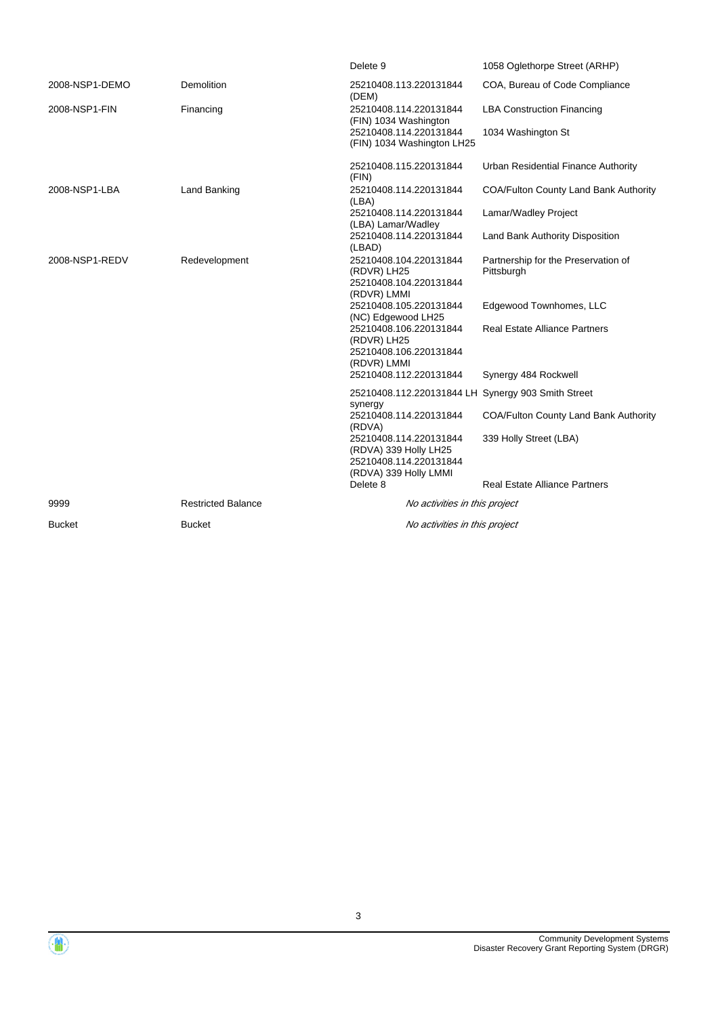|                |                           | Delete 9                                                                                           | 1058 Oglethorpe Street (ARHP)                     |
|----------------|---------------------------|----------------------------------------------------------------------------------------------------|---------------------------------------------------|
| 2008-NSP1-DEMO | <b>Demolition</b>         | 25210408.113.220131844<br>(DEM)                                                                    | COA, Bureau of Code Compliance                    |
| 2008-NSP1-FIN  | Financing                 | 25210408.114.220131844<br>(FIN) 1034 Washington                                                    | <b>LBA Construction Financing</b>                 |
|                |                           | 25210408.114.220131844<br>(FIN) 1034 Washington LH25                                               | 1034 Washington St                                |
|                |                           | 25210408.115.220131844<br>(FIN)                                                                    | Urban Residential Finance Authority               |
| 2008-NSP1-LBA  | Land Banking              | 25210408.114.220131844<br>(LBA)                                                                    | COA/Fulton County Land Bank Authority             |
|                |                           | 25210408.114.220131844<br>(LBA) Lamar/Wadley                                                       | Lamar/Wadley Project                              |
|                |                           | 25210408.114.220131844<br>(LBAD)                                                                   | Land Bank Authority Disposition                   |
| 2008-NSP1-REDV | Redevelopment             | 25210408.104.220131844<br>(RDVR) LH25<br>25210408.104.220131844<br>(RDVR) LMMI                     | Partnership for the Preservation of<br>Pittsburgh |
|                |                           | 25210408.105.220131844<br>(NC) Edgewood LH25                                                       | Edgewood Townhomes, LLC                           |
|                |                           | 25210408.106.220131844<br>(RDVR) LH25<br>25210408.106.220131844<br>(RDVR) LMMI                     | <b>Real Estate Alliance Partners</b>              |
|                |                           | 25210408.112.220131844                                                                             | Synergy 484 Rockwell                              |
|                |                           | 25210408.112.220131844 LH Synergy 903 Smith Street<br>synergy                                      |                                                   |
|                |                           | 25210408.114.220131844<br>(RDVA)                                                                   | <b>COA/Fulton County Land Bank Authority</b>      |
|                |                           | 25210408.114.220131844<br>(RDVA) 339 Holly LH25<br>25210408.114.220131844<br>(RDVA) 339 Holly LMMI | 339 Holly Street (LBA)                            |
|                |                           | Delete 8                                                                                           | <b>Real Estate Alliance Partners</b>              |
| 9999           | <b>Restricted Balance</b> | No activities in this project                                                                      |                                                   |
| <b>Bucket</b>  | <b>Bucket</b>             | No activities in this project                                                                      |                                                   |

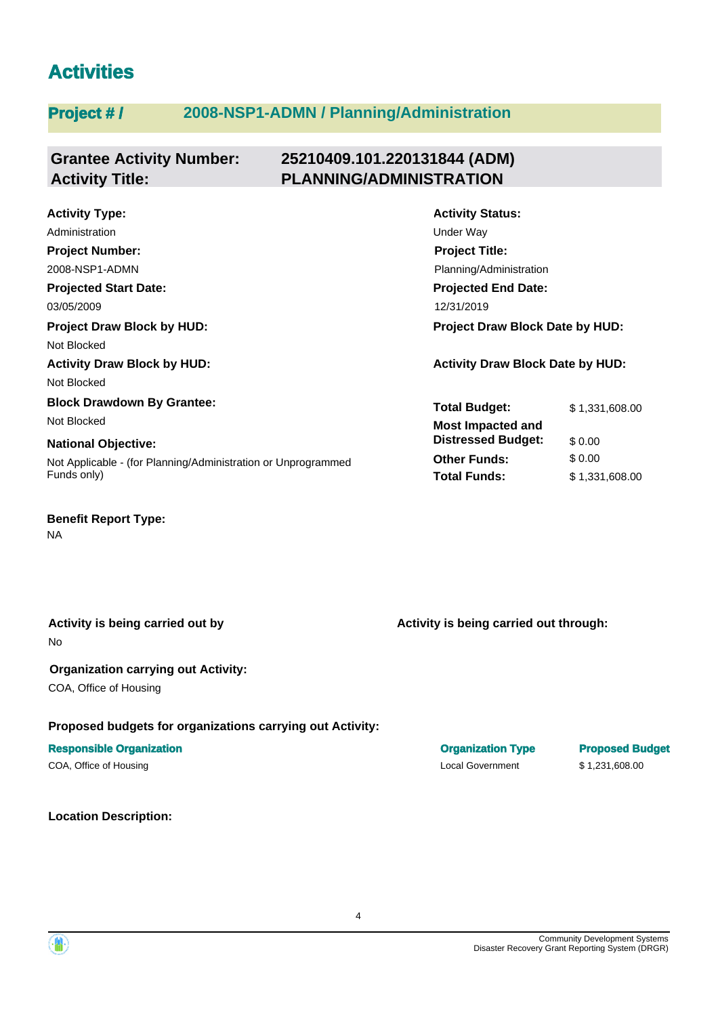# **Activities**

# **Project # / 2008-NSP1-ADMN / Planning/Administration**

#### **Grantee Activity Number: 25210409.101.220131844 (ADM) Activity Title: PLANNING/ADMINISTRATION**

**Projected Start Date: National Objective: Activity Type:** 03/05/2009 12/31/2019 Administration **District Contract Contract Contract Contract Contract Contract Contract Contract Contract Contract Contract Contract Contract Contract Contract Contract Contract Contract Contract Contract Contract Contract Project Number:** 2008-NSP1-ADMN **Project Draw Block by HUD: Project Draw Block Date by HUD:** Not Blocked **Activity Draw Block by HUD: Activity Draw Block Date by HUD:** Not Blocked **Block Drawdown By Grantee:** Not Blocked **Most Impacted and** 

Not Applicable - (for Planning/Administration or Unprogrammed Funds only)

# **Benefit Report Type:**

NA

No **Activity is being carried out by**

#### **Organization carrying out Activity:**

COA, Office of Housing

#### **Proposed budgets for organizations carrying out Activity:**

#### **Responsible Organization Organization Type Proposed Budget**

COA, Office of Housing Local Government \$ 1,231,608.00

# **Location Description:**

**Activity Status: Projected End Date: Project Title:** Planning/Administration

| <b>Total Budget:</b>                                  | \$1,331,608.00 |
|-------------------------------------------------------|----------------|
| <b>Most Impacted and</b><br><b>Distressed Budget:</b> | \$0.00         |
| <b>Other Funds:</b>                                   | \$0.00         |
| <b>Total Funds:</b>                                   | \$1,331,608.00 |

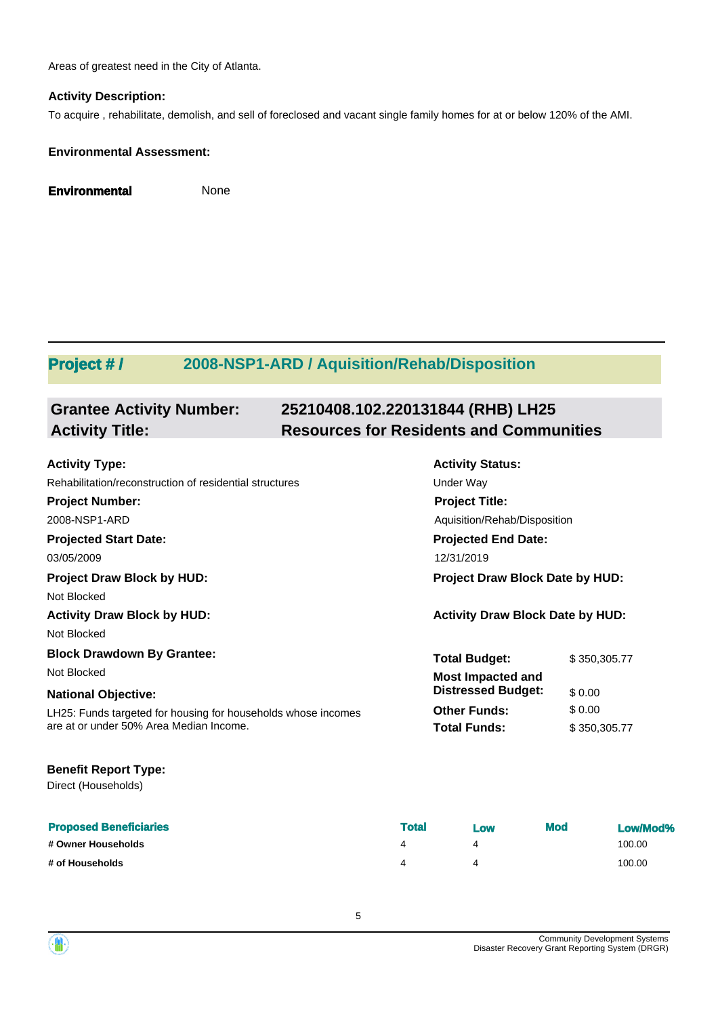Areas of greatest need in the City of Atlanta.

#### **Activity Description:**

To acquire , rehabilitate, demolish, and sell of foreclosed and vacant single family homes for at or below 120% of the AMI.

#### **Environmental Assessment:**

**Environmental** None

# **Project # / 2008-NSP1-ARD / Aquisition/Rehab/Disposition**

| <b>Grantee Activity Number:</b> | 25210408.102.220131844 (RHB) LH25              |
|---------------------------------|------------------------------------------------|
| <b>Activity Title:</b>          | <b>Resources for Residents and Communities</b> |

| <b>Activity Type:</b>                                         | <b>Activity Status:</b>                 |              |  |
|---------------------------------------------------------------|-----------------------------------------|--------------|--|
| Rehabilitation/reconstruction of residential structures       | Under Way                               |              |  |
| <b>Project Number:</b>                                        | <b>Project Title:</b>                   |              |  |
| 2008-NSP1-ARD                                                 | Aquisition/Rehab/Disposition            |              |  |
| <b>Projected Start Date:</b>                                  | <b>Projected End Date:</b>              |              |  |
| 03/05/2009                                                    | 12/31/2019                              |              |  |
| <b>Project Draw Block by HUD:</b>                             | <b>Project Draw Block Date by HUD:</b>  |              |  |
| Not Blocked                                                   |                                         |              |  |
| <b>Activity Draw Block by HUD:</b>                            | <b>Activity Draw Block Date by HUD:</b> |              |  |
| Not Blocked                                                   |                                         |              |  |
| <b>Block Drawdown By Grantee:</b>                             | <b>Total Budget:</b>                    | \$350,305.77 |  |
| Not Blocked                                                   | <b>Most Impacted and</b>                |              |  |
| <b>National Objective:</b>                                    | <b>Distressed Budget:</b>               | \$0.00       |  |
| LH25: Funds targeted for housing for households whose incomes | <b>Other Funds:</b>                     | \$0.00       |  |
| are at or under 50% Area Median Income.                       | <b>Total Funds:</b>                     | \$350,305.77 |  |
|                                                               |                                         |              |  |

#### **Benefit Report Type:**

Direct (Households)

| <b>Proposed Beneficiaries</b> | Total | Low | <b>Mod</b> | Low/Mod% |
|-------------------------------|-------|-----|------------|----------|
| # Owner Households            |       |     |            | 100.00   |
| # of Households               |       |     |            | 100.00   |

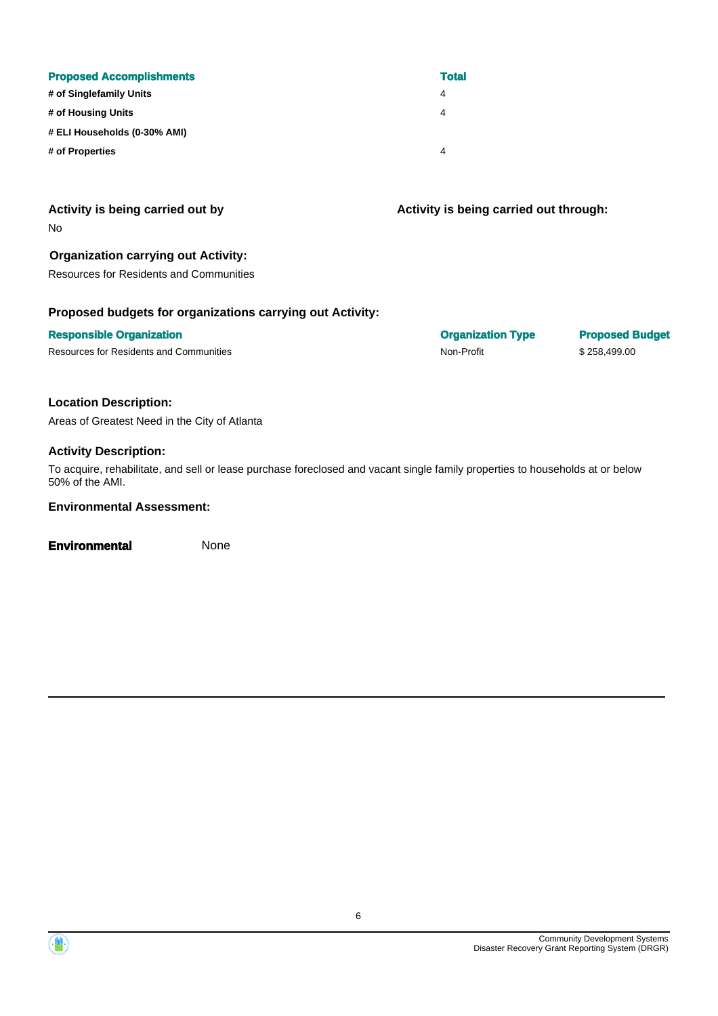| <b>Proposed Accomplishments</b> | <b>Total</b> |
|---------------------------------|--------------|
| # of Singlefamily Units         | 4            |
| # of Housing Units              | 4            |
| # ELI Households (0-30% AMI)    |              |
| # of Properties                 | 4            |

#### **Activity is being carried out by**

No

#### **Organization carrying out Activity:**

Resources for Residents and Communities

#### **Proposed budgets for organizations carrying out Activity:**

#### **Responsible Organization Organization Type Proposed Budget**

Resources for Residents and Communities **Non-Profit** Non-Profit \$ 258,499.00

**Activity is being carried out through:**

#### **Location Description:**

Areas of Greatest Need in the City of Atlanta

#### **Activity Description:**

To acquire, rehabilitate, and sell or lease purchase foreclosed and vacant single family properties to households at or below 50% of the AMI.

#### **Environmental Assessment:**

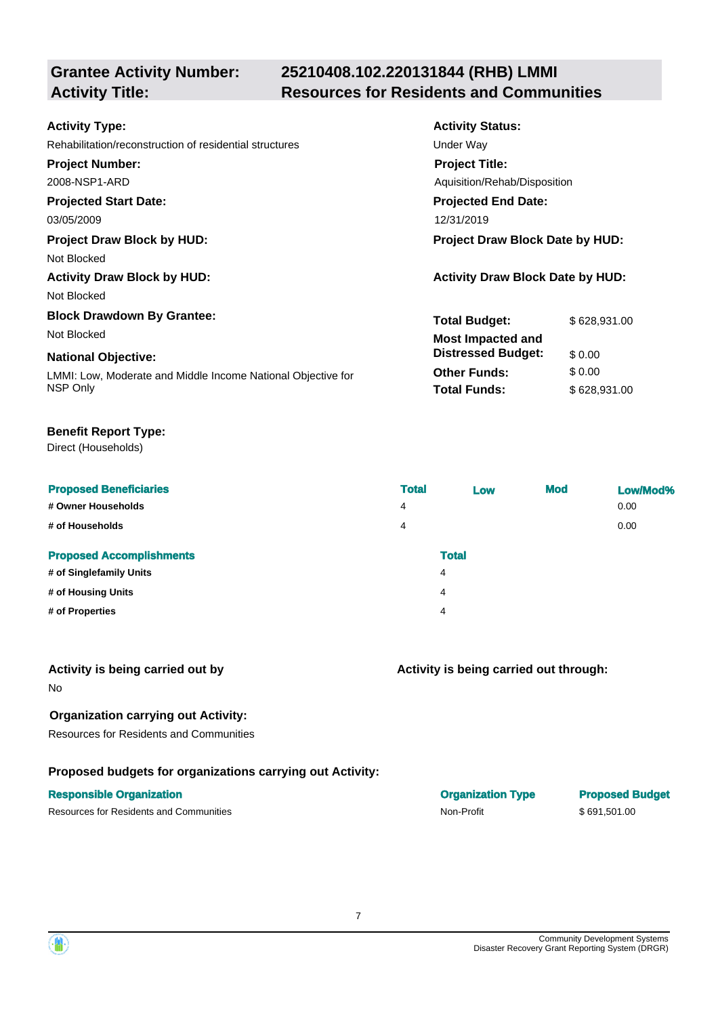# **25210408.102.220131844 (RHB) LMMI Activity Title: Resources for Residents and Communities**

| <b>Activity Type:</b>                                        | <b>Activity Status:</b>                 |              |  |
|--------------------------------------------------------------|-----------------------------------------|--------------|--|
| Rehabilitation/reconstruction of residential structures      | Under Way                               |              |  |
| <b>Project Number:</b>                                       | <b>Project Title:</b>                   |              |  |
| 2008-NSP1-ARD                                                | Aquisition/Rehab/Disposition            |              |  |
| <b>Projected Start Date:</b>                                 | <b>Projected End Date:</b>              |              |  |
| 03/05/2009                                                   | 12/31/2019                              |              |  |
| <b>Project Draw Block by HUD:</b>                            | <b>Project Draw Block Date by HUD:</b>  |              |  |
| Not Blocked                                                  |                                         |              |  |
| <b>Activity Draw Block by HUD:</b>                           | <b>Activity Draw Block Date by HUD:</b> |              |  |
| Not Blocked                                                  |                                         |              |  |
| <b>Block Drawdown By Grantee:</b>                            | <b>Total Budget:</b>                    | \$628,931.00 |  |
| Not Blocked                                                  | <b>Most Impacted and</b>                |              |  |
| <b>National Objective:</b>                                   | <b>Distressed Budget:</b>               | \$0.00       |  |
| LMMI: Low, Moderate and Middle Income National Objective for | <b>Other Funds:</b>                     | \$0.00       |  |
| NSP Only                                                     | <b>Total Funds:</b>                     | \$628,931.00 |  |

#### **Benefit Report Type:**

Direct (Households)

| <b>Proposed Beneficiaries</b><br># Owner Households<br># of Households | <b>Total</b><br>4<br>4 | Low          | <b>Mod</b> | Low/Mod%<br>0.00<br>0.00 |
|------------------------------------------------------------------------|------------------------|--------------|------------|--------------------------|
| <b>Proposed Accomplishments</b>                                        |                        | <b>Total</b> |            |                          |
| # of Singlefamily Units                                                |                        | 4            |            |                          |
| # of Housing Units                                                     |                        | 4            |            |                          |
| # of Properties                                                        |                        | 4            |            |                          |

#### **Activity is being carried out by**

No

## **Organization carrying out Activity:**

Resources for Residents and Communities

# **Proposed budgets for organizations carrying out Activity:**

Resources for Residents and Communities **Non-Profit** \$ 691,501.00

## **Activity is being carried out through:**

**Responsible Organization COVID-100 COVID-100 COVID-100 COVID-100 COVID-100 COVID-100 COVID-100 COVID-100 COVID-100 COVID-100 COVID-100 COVID-100 COVID-100 COVID-100 COVID-100 COVID-100 COVID-100 COVID-100 COVID-100 COVI** 

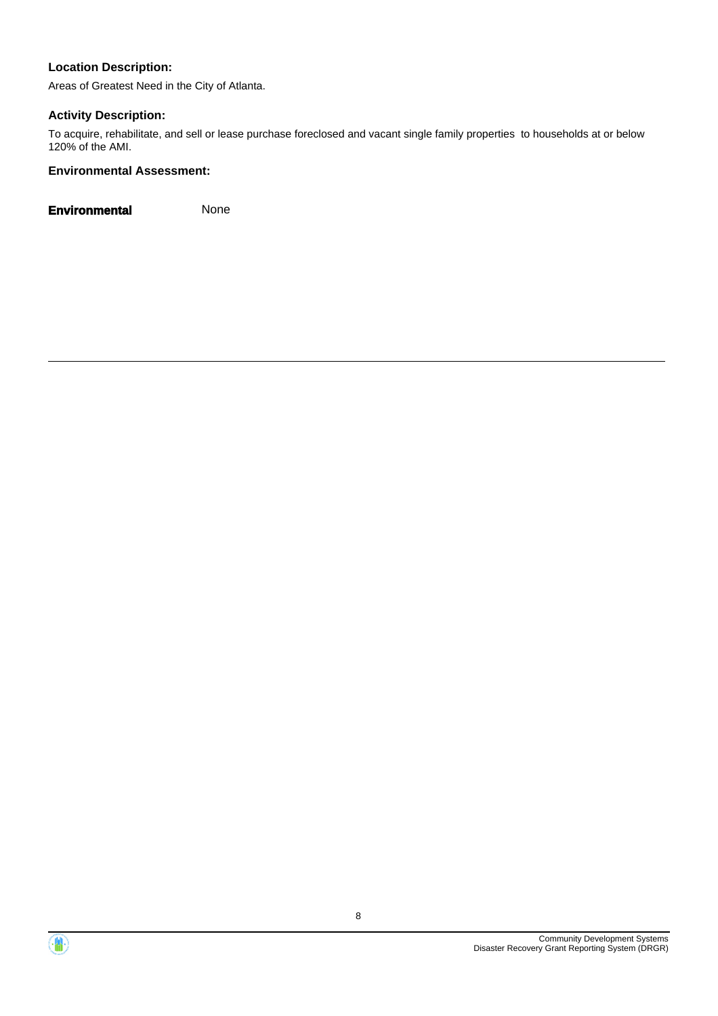Areas of Greatest Need in the City of Atlanta.

## **Activity Description:**

To acquire, rehabilitate, and sell or lease purchase foreclosed and vacant single family properties to households at or below 120% of the AMI.

#### **Environmental Assessment:**



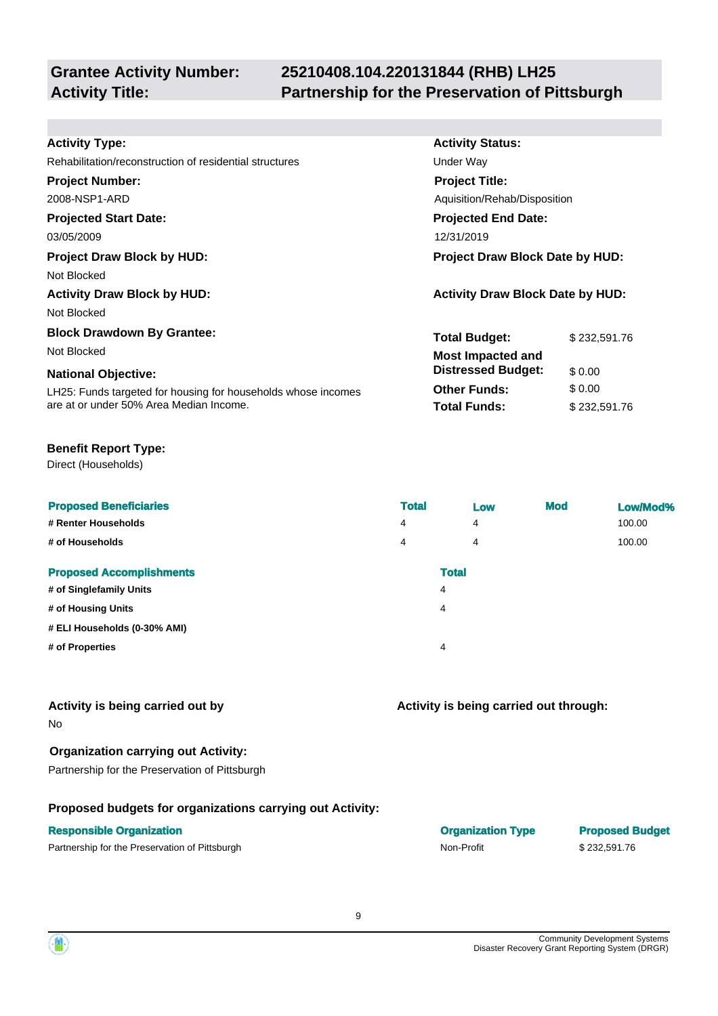# **25210408.104.220131844 (RHB) LH25 Activity Title: Partnership for the Preservation of Pittsburgh**

**Activity Status:**

**Project Title:**

**Projected End Date:**

Aquisition/Rehab/Disposition

**Total Budget:** \$232,591.76

**Other Funds:** \$ 0.00 **Total Funds:** \$232,591.76

**Distressed Budget:** \$ 0.00

**Activity is being carried out through:**

#### **Activity Type:**

Rehabilitation/reconstruction of residential structures **Exercise Structures** Under Way

#### **Project Number:**

2008-NSP1-ARD

## **Projected Start Date:**

03/05/2009 12/31/2019

## **Project Draw Block by HUD: Project Draw Block Date by HUD:**

Not Blocked

**Activity Draw Block by HUD: Activity Draw Block Date by HUD:**

Not Blocked

#### **Block Drawdown By Grantee:**

Not Blocked **Most Impacted and** 

#### **National Objective:**

LH25: Funds targeted for housing for households whose incomes are at or under 50% Area Median Income.

#### **Benefit Report Type:**

Direct (Households)

| <b>Total</b><br><b>Mod</b><br>Low/Mod%<br>Low |  |
|-----------------------------------------------|--|
| 4<br>4<br>100.00                              |  |
| 100.00<br>4<br>4                              |  |
| <b>Total</b>                                  |  |
| 4                                             |  |
| 4                                             |  |
|                                               |  |
| 4                                             |  |
|                                               |  |

## **Activity is being carried out by**

No

# **Organization carrying out Activity:**

Partnership for the Preservation of Pittsburgh

# **Proposed budgets for organizations carrying out Activity:**

## **Responsible Organization <b>Proposed Budget** Budgette Budgette Budgette Budgette Budgette Budgette Budgette Budgette Budgette Budgette Budgette Budgette Budgette Budgette Budgette Budgette Budgette Budgette Budgette Budgett

Partnership for the Preservation of Pittsburgh

| Organization Type | <b>Proposed Budget</b> |
|-------------------|------------------------|
| Non-Profit        | \$232,591.76           |

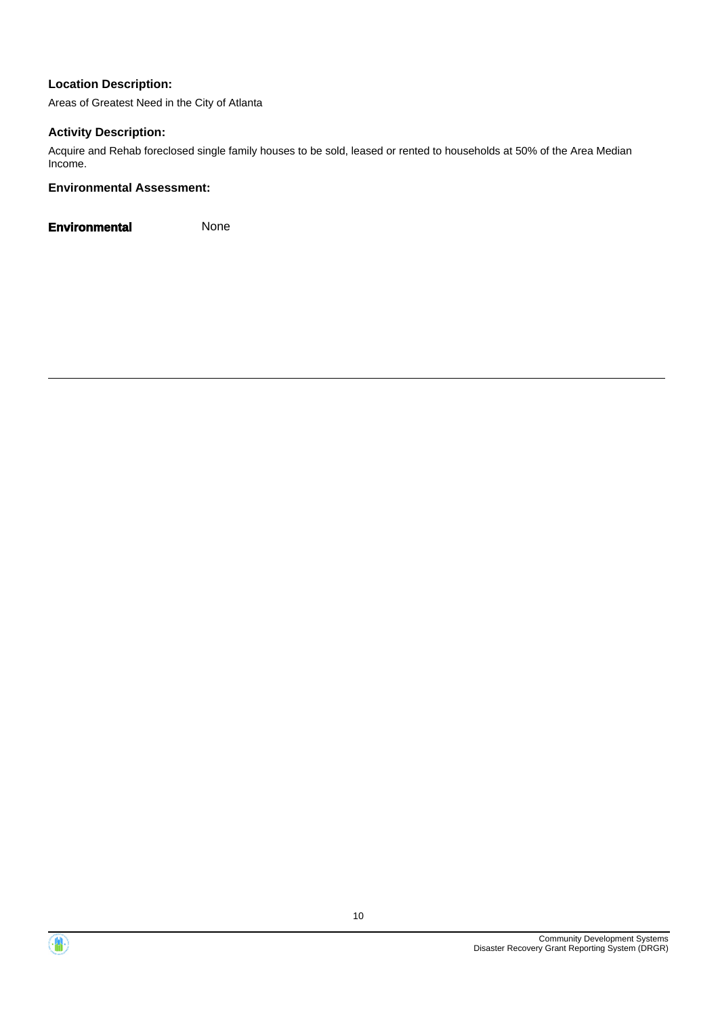Areas of Greatest Need in the City of Atlanta

#### **Activity Description:**

Acquire and Rehab foreclosed single family houses to be sold, leased or rented to households at 50% of the Area Median Income.

#### **Environmental Assessment:**



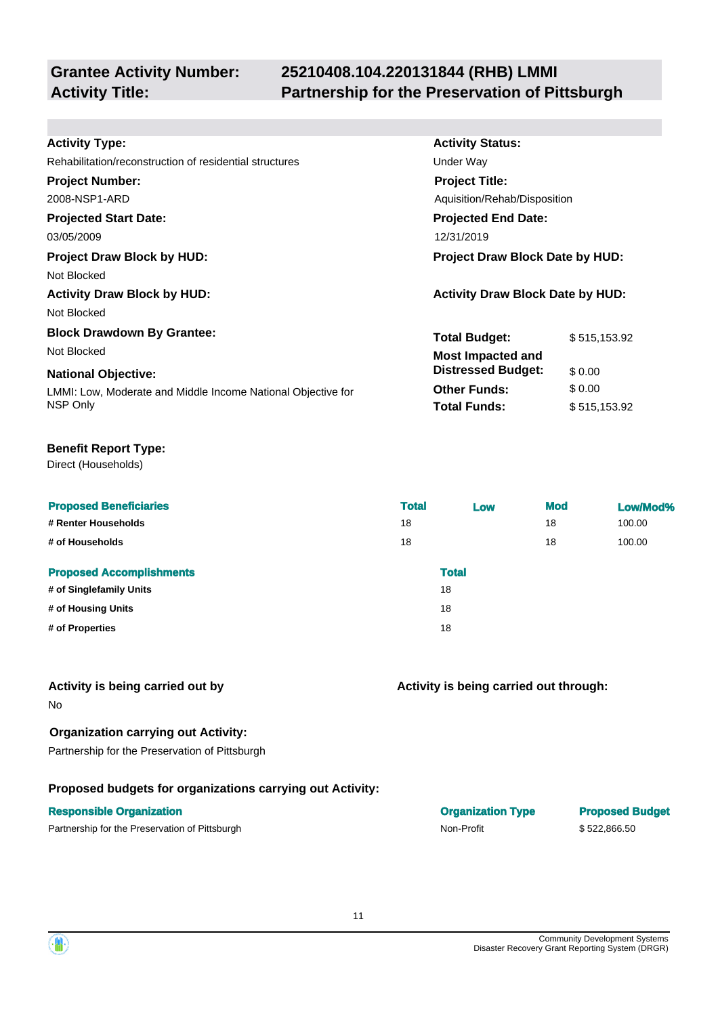# **25210408.104.220131844 (RHB) LMMI Activity Title: Partnership for the Preservation of Pittsburgh**

**Activity Status:**

**Project Title:**

**Under Way** 

**Projected End Date:**

Aquisition/Rehab/Disposition

**Total Budget:** \$515,153.92

**Total Funds:** \$ 515,153.92

**Other Funds:** \$ 0.00

**Distressed Budget:** \$ 0.00

| <b>Activity Type:</b> |  |
|-----------------------|--|
|-----------------------|--|

| Rehabilitation/reconstruction of residential structures |  |
|---------------------------------------------------------|--|
|                                                         |  |

#### **Project Number:**

2008-NSP1-ARD

# **Projected Start Date:**

03/05/2009 12/31/2019

# **Project Draw Block by HUD: Project Draw Block Date by HUD:**

Not Blocked

**Activity Draw Block by HUD: Activity Draw Block Date by HUD:**

Not Blocked

#### **Block Drawdown By Grantee:**

Not Blocked **Most Impacted and** 

#### **National Objective:**

LMMI: Low, Moderate and Middle Income National Objective for NSP Only

#### **Benefit Report Type:**

Direct (Households)

| <b>Proposed Beneficiaries</b>   | <b>Total</b> | Low          | <b>Mod</b> | Low/Mod% |
|---------------------------------|--------------|--------------|------------|----------|
| # Renter Households             | 18           |              | 18         | 100.00   |
| # of Households                 | 18           |              | 18         | 100.00   |
| <b>Proposed Accomplishments</b> |              | <b>Total</b> |            |          |
| # of Singlefamily Units         | 18           |              |            |          |
| # of Housing Units              | 18           |              |            |          |
| # of Properties                 | 18           |              |            |          |
|                                 |              |              |            |          |

#### **Activity is being carried out by**

No

# **Organization carrying out Activity:**

Partnership for the Preservation of Pittsburgh

# **Proposed budgets for organizations carrying out Activity:**

## **Responsible Organization Organization Type Proposed Budget**

Partnership for the Preservation of Pittsburgh Non-Profit \$ 522,866.50

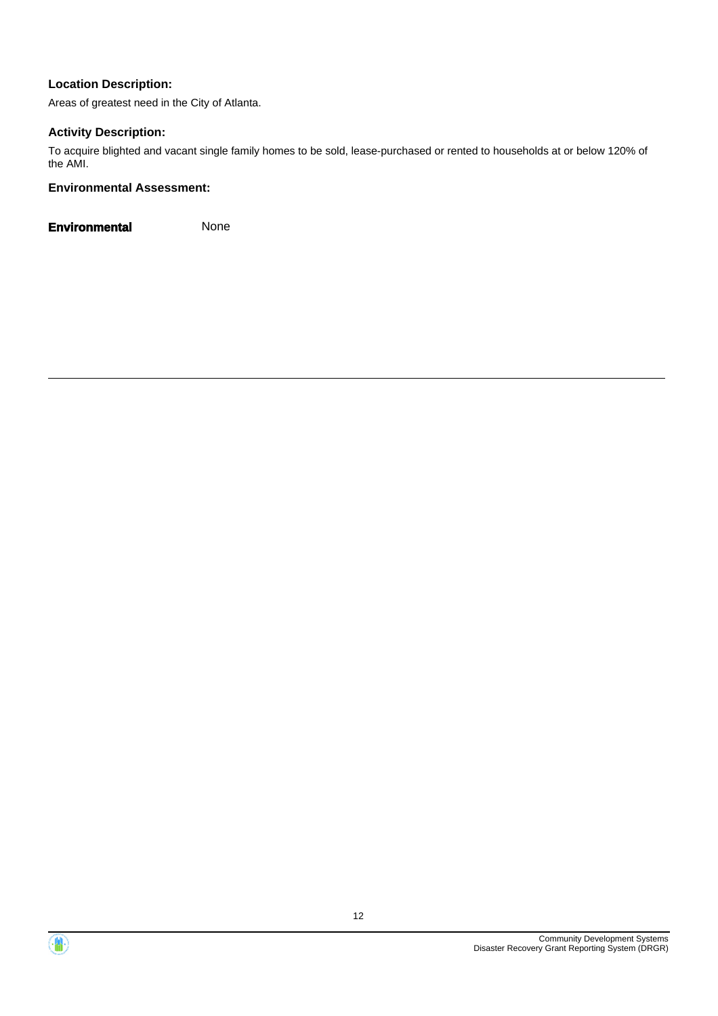Areas of greatest need in the City of Atlanta.

#### **Activity Description:**

To acquire blighted and vacant single family homes to be sold, lease-purchased or rented to households at or below 120% of the AMI.

#### **Environmental Assessment:**



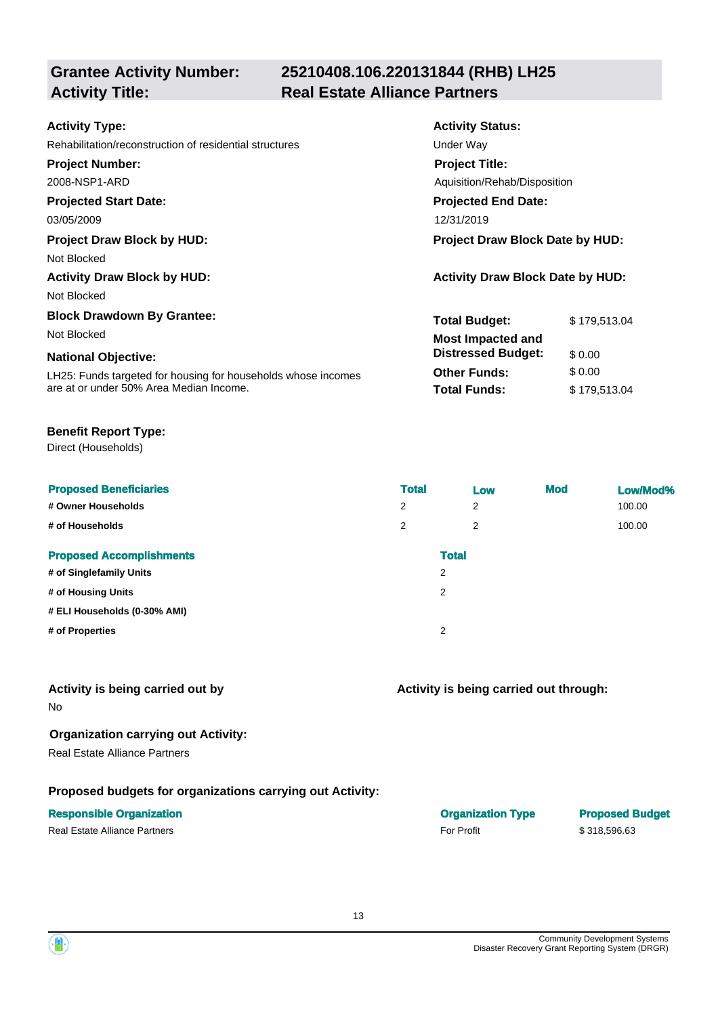# **25210408.106.220131844 (RHB) LH25 Activity Title: Real Estate Alliance Partners**

| <b>Activity Type:</b>                                         | <b>Activity Status:</b>                 |              |  |  |
|---------------------------------------------------------------|-----------------------------------------|--------------|--|--|
| Rehabilitation/reconstruction of residential structures       | Under Way                               |              |  |  |
| <b>Project Number:</b>                                        | <b>Project Title:</b>                   |              |  |  |
| 2008-NSP1-ARD                                                 | Aquisition/Rehab/Disposition            |              |  |  |
| <b>Projected Start Date:</b>                                  | <b>Projected End Date:</b>              |              |  |  |
| 03/05/2009                                                    | 12/31/2019                              |              |  |  |
| <b>Project Draw Block by HUD:</b>                             | Project Draw Block Date by HUD:         |              |  |  |
| Not Blocked                                                   |                                         |              |  |  |
| <b>Activity Draw Block by HUD:</b>                            | <b>Activity Draw Block Date by HUD:</b> |              |  |  |
| Not Blocked                                                   |                                         |              |  |  |
| <b>Block Drawdown By Grantee:</b>                             | <b>Total Budget:</b>                    | \$179,513.04 |  |  |
| Not Blocked                                                   | <b>Most Impacted and</b>                |              |  |  |
| <b>National Objective:</b>                                    | <b>Distressed Budget:</b>               | \$0.00       |  |  |
| LH25: Funds targeted for housing for households whose incomes | <b>Other Funds:</b>                     | \$0.00       |  |  |
| are at or under 50% Area Median Income.                       | <b>Total Funds:</b>                     | \$179,513.04 |  |  |

#### **Benefit Report Type:**

Direct (Households)

| <b>Proposed Beneficiaries</b><br># Owner Households<br># of Households | <b>Total</b><br>2<br>2 | Low<br>2<br>2     | <b>Mod</b> | Low/Mod%<br>100.00<br>100.00 |
|------------------------------------------------------------------------|------------------------|-------------------|------------|------------------------------|
| <b>Proposed Accomplishments</b><br># of Singlefamily Units             |                        | <b>Total</b><br>2 |            |                              |
| # of Housing Units                                                     |                        | $\overline{2}$    |            |                              |
| # ELI Households (0-30% AMI)                                           |                        |                   |            |                              |
| # of Properties                                                        |                        | $\overline{2}$    |            |                              |

#### **Activity is being carried out by**

No

#### **Organization carrying out Activity:**

Real Estate Alliance Partners

#### **Proposed budgets for organizations carrying out Activity:**

#### **Responsible Organization Organization Type Proposed Budget**

Real Estate Alliance Partners **For Profit For Profit For Profit** \$ 318,596.63

#### **Activity is being carried out through:**

| <b>Organization Ty</b> |  |
|------------------------|--|
| <b>For Profit</b>      |  |

Community Development Systems Disaster Recovery Grant Reporting System (DRGR)

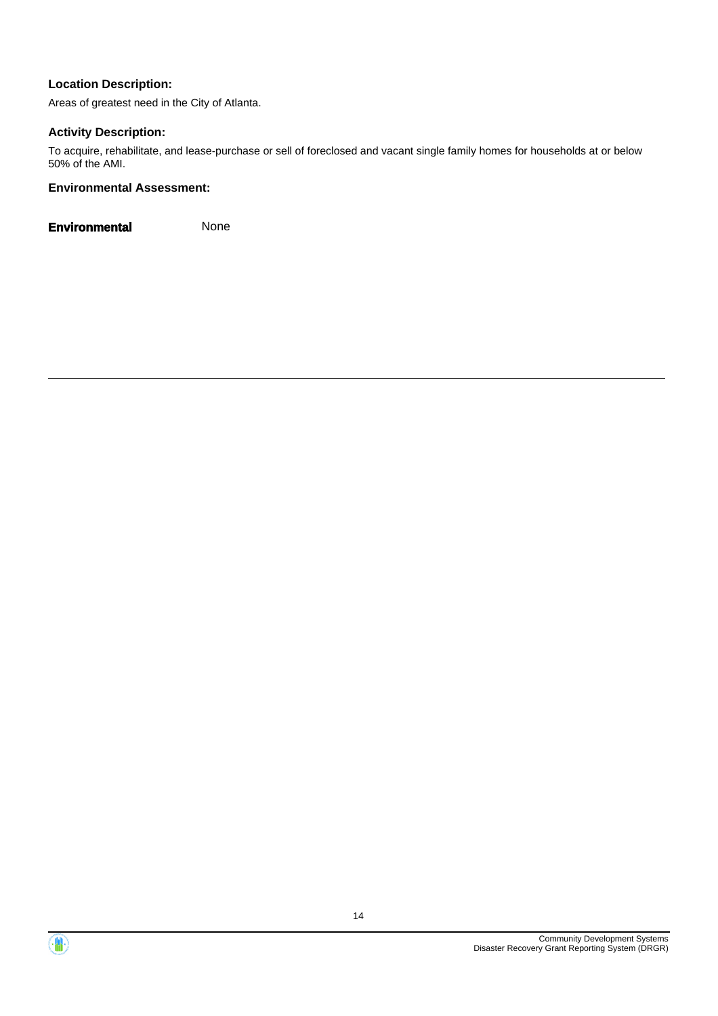Areas of greatest need in the City of Atlanta.

#### **Activity Description:**

To acquire, rehabilitate, and lease-purchase or sell of foreclosed and vacant single family homes for households at or below 50% of the AMI.

#### **Environmental Assessment:**



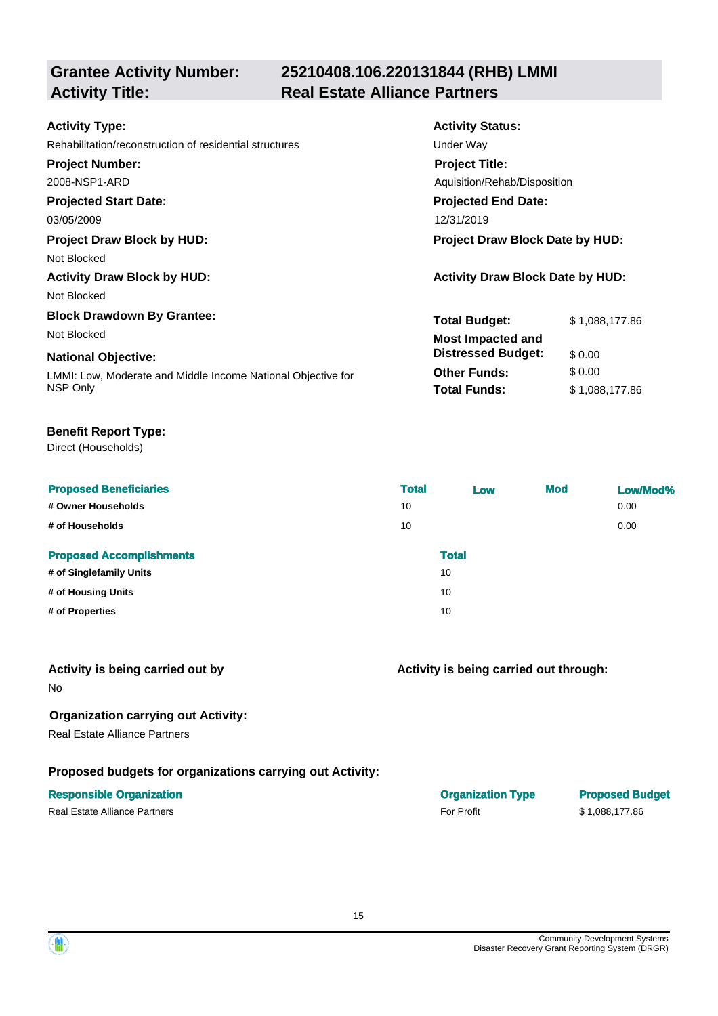# **25210408.106.220131844 (RHB) LMMI Activity Title: Real Estate Alliance Partners**

| <b>Activity Status:</b>                 |  |  |  |
|-----------------------------------------|--|--|--|
| Under Way                               |  |  |  |
| <b>Project Title:</b>                   |  |  |  |
| Aquisition/Rehab/Disposition            |  |  |  |
| <b>Projected End Date:</b>              |  |  |  |
| 12/31/2019                              |  |  |  |
| Project Draw Block Date by HUD:         |  |  |  |
|                                         |  |  |  |
| <b>Activity Draw Block Date by HUD:</b> |  |  |  |
|                                         |  |  |  |
| <b>Total Budget:</b><br>\$1,088,177.86  |  |  |  |
| <b>Most Impacted and</b>                |  |  |  |
| <b>Distressed Budget:</b><br>\$0.00     |  |  |  |
| \$0.00<br><b>Other Funds:</b>           |  |  |  |
| <b>Total Funds:</b><br>\$1,088,177.86   |  |  |  |
|                                         |  |  |  |

#### **Benefit Report Type:**

Direct (Households)

| <b>Proposed Beneficiaries</b><br># Owner Households<br># of Households | <b>Total</b><br>10<br>10 | Low                | <b>Mod</b> | Low/Mod%<br>0.00<br>0.00 |
|------------------------------------------------------------------------|--------------------------|--------------------|------------|--------------------------|
| <b>Proposed Accomplishments</b><br># of Singlefamily Units             |                          | <b>Total</b><br>10 |            |                          |
| # of Housing Units                                                     |                          | 10                 |            |                          |
| # of Properties                                                        |                          | 10                 |            |                          |

#### **Activity is being carried out by**

No

#### **Organization carrying out Activity:**

Real Estate Alliance Partners

#### **Proposed budgets for organizations carrying out Activity:**

| <b>Responsible Organization</b> | <b>Organization Type</b> | <b>Proposed Budget</b> |
|---------------------------------|--------------------------|------------------------|
| Real Estate Alliance Partners   | <b>For Profit</b>        | \$1.088.177.86         |

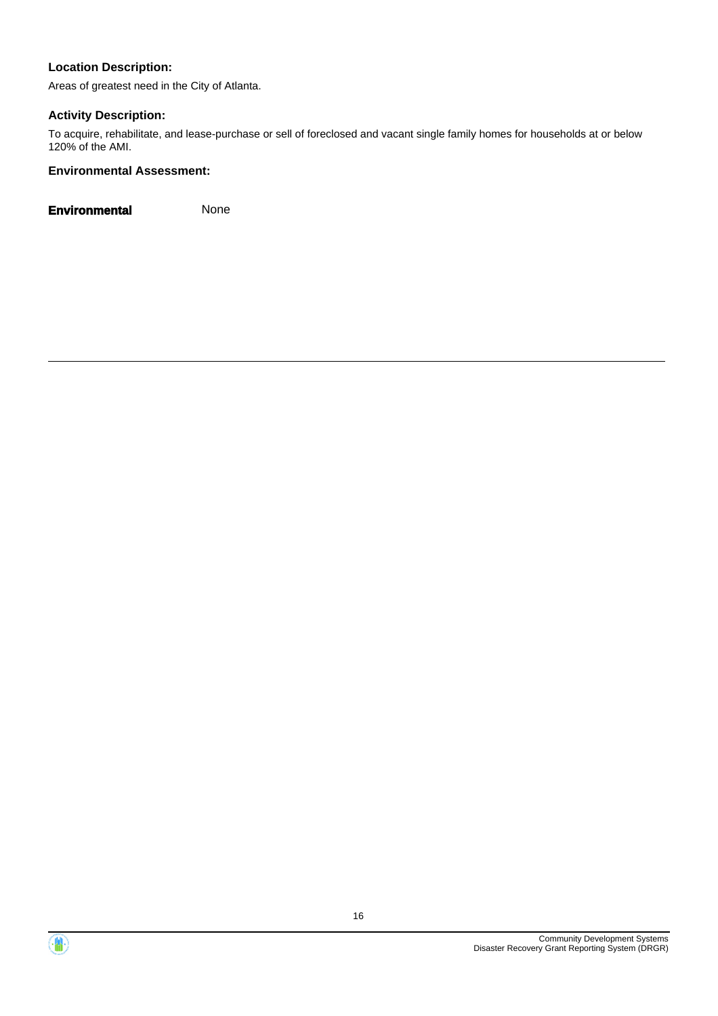Areas of greatest need in the City of Atlanta.

## **Activity Description:**

To acquire, rehabilitate, and lease-purchase or sell of foreclosed and vacant single family homes for households at or below 120% of the AMI.

## **Environmental Assessment:**



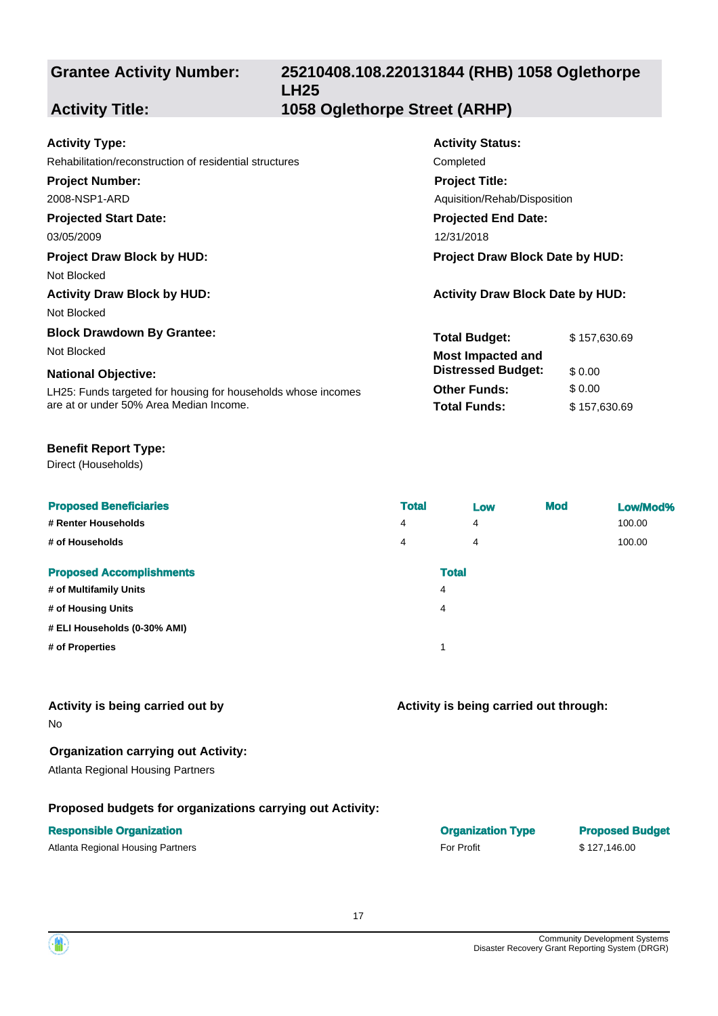# **25210408.108.220131844 (RHB) 1058 Oglethorpe LH25**

**Activity Status:**

**Project Title:**

**Projected End Date:**

Aquisition/Rehab/Disposition

**Total Budget:** \$157,630.69

**Total Funds:** \$ 157,630.69

**Other Funds:** \$ 0.00

**Distressed Budget:** \$ 0.00

# **Activity Title: 1058 Oglethorpe Street (ARHP)**

#### **Activity Type:**

Rehabilitation/reconstruction of residential structures Completed

#### **Project Number:**

2008-NSP1-ARD

#### **Projected Start Date:**

03/05/2009 12/31/2018

#### **Project Draw Block by HUD: Project Draw Block Date by HUD:**

Not Blocked

**Activity Draw Block by HUD: Activity Draw Block Date by HUD:**

Not Blocked

#### **Block Drawdown By Grantee:**

Not Blocked **Most Impacted and** 

#### **National Objective:**

LH25: Funds targeted for housing for households whose incomes are at or under 50% Area Median Income.

#### **Benefit Report Type:**

Direct (Households)

| <b>Proposed Beneficiaries</b>   | <b>Total</b> | Low | <b>Mod</b> | Low/Mod% |
|---------------------------------|--------------|-----|------------|----------|
| # Renter Households             | 4            | 4   |            | 100.00   |
| # of Households                 | 4            | 4   |            | 100.00   |
| <b>Proposed Accomplishments</b> | <b>Total</b> |     |            |          |
| # of Multifamily Units          | 4            |     |            |          |
| # of Housing Units              | 4            |     |            |          |
| # ELI Households (0-30% AMI)    |              |     |            |          |
| # of Properties                 | и            |     |            |          |
|                                 |              |     |            |          |

## **Activity is being carried out by**

No

## **Organization carrying out Activity:**

Atlanta Regional Housing Partners

# **Proposed budgets for organizations carrying out Activity:**

Atlanta Regional Housing Partners **For Profit For Profit** \$ 127,146.00

**Responsible Organization Organization Type Proposed Budget**



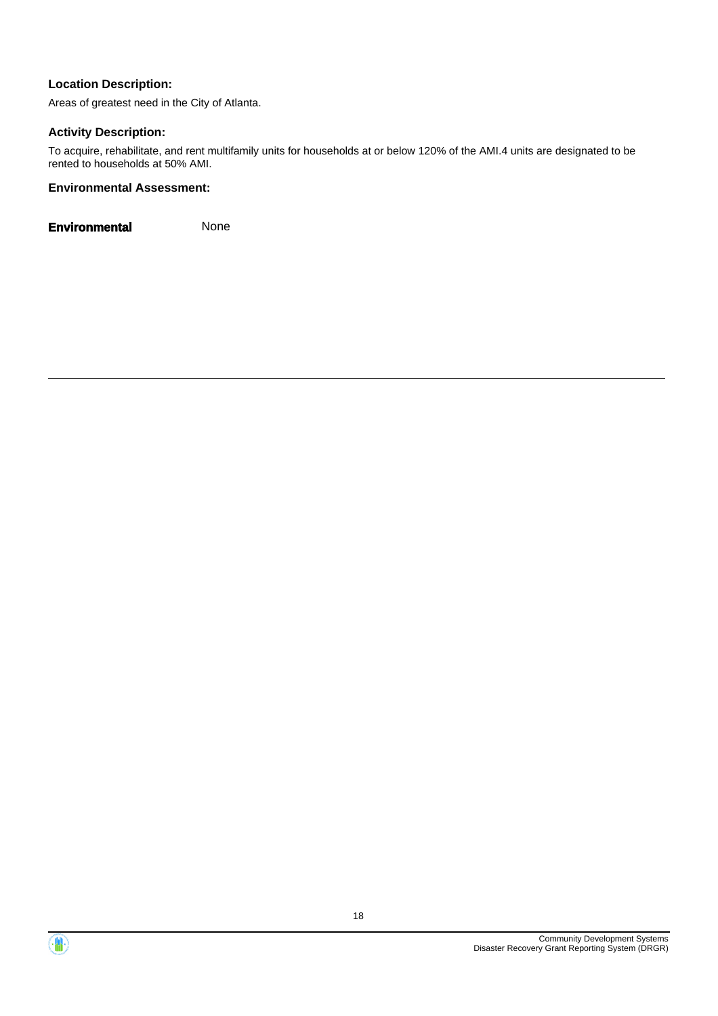Areas of greatest need in the City of Atlanta.

#### **Activity Description:**

To acquire, rehabilitate, and rent multifamily units for households at or below 120% of the AMI.4 units are designated to be rented to households at 50% AMI.

#### **Environmental Assessment:**



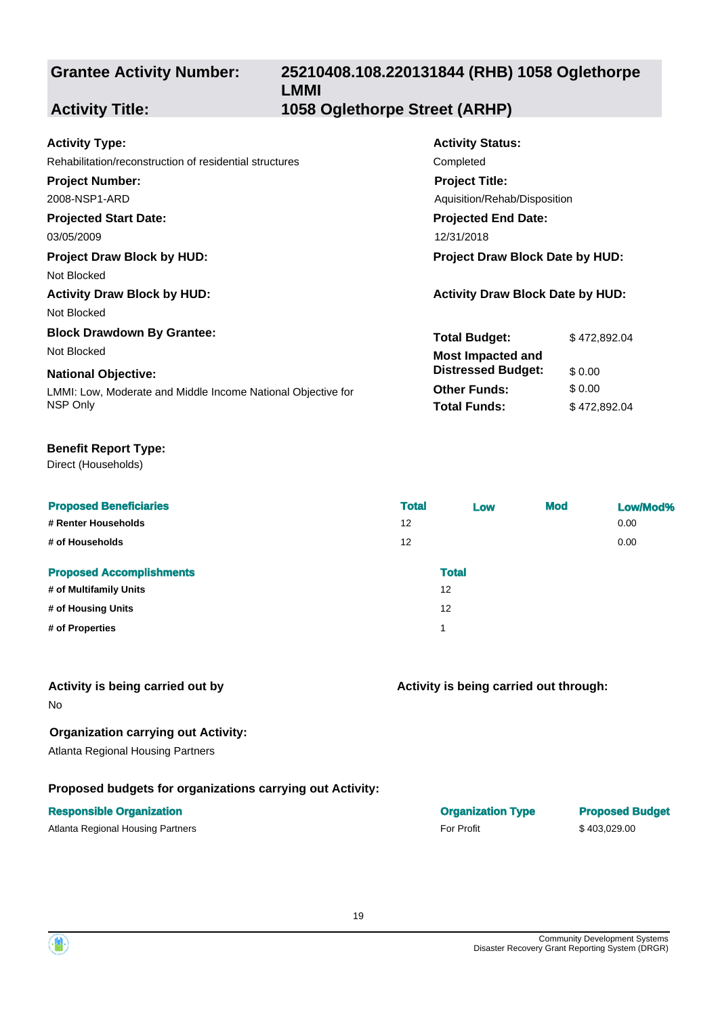# **25210408.108.220131844 (RHB) 1058 Oglethorpe LMMI Activity Title: 1058 Oglethorpe Street (ARHP)**

Completed

**Activity Status:**

**Project Title:**

**Projected End Date:**

Aquisition/Rehab/Disposition

**Total Budget:** \$ 472,892.04

**Total Funds:** \$ 472,892.04

**Other Funds:** \$ 0.00

**Distressed Budget:** \$ 0.00

#### **Activity Type:**

| Rehabilitation/reconstruction of residential structures |  |  |
|---------------------------------------------------------|--|--|
|---------------------------------------------------------|--|--|

#### **Project Number:**

2008-NSP1-ARD

## **Projected Start Date:**

03/05/2009 12/31/2018

#### **Project Draw Block by HUD: Project Draw Block Date by HUD:**

Not Blocked

**Activity Draw Block by HUD: Activity Draw Block Date by HUD:**

Not Blocked

#### **Block Drawdown By Grantee:**

Not Blocked **Most Impacted and** 

#### **National Objective:**

LMMI: Low, Moderate and Middle Income National Objective for NSP Only

#### **Benefit Report Type:**

Direct (Households)

| <b>Proposed Beneficiaries</b>   | <b>Total</b> | Low          | <b>Mod</b> | Low/Mod% |
|---------------------------------|--------------|--------------|------------|----------|
| # Renter Households             | 12           |              |            | 0.00     |
| # of Households                 | 12           |              |            | 0.00     |
| <b>Proposed Accomplishments</b> |              | <b>Total</b> |            |          |
| # of Multifamily Units          | 12           |              |            |          |
| # of Housing Units              | 12           |              |            |          |
| # of Properties                 |              |              |            |          |
|                                 |              |              |            |          |

#### **Activity is being carried out by**

No

# **Organization carrying out Activity:**

Atlanta Regional Housing Partners

# **Proposed budgets for organizations carrying out Activity:**

## **Responsible Organization**

Atlanta Regional Housing Partners **For Profit** 5 403,029.00

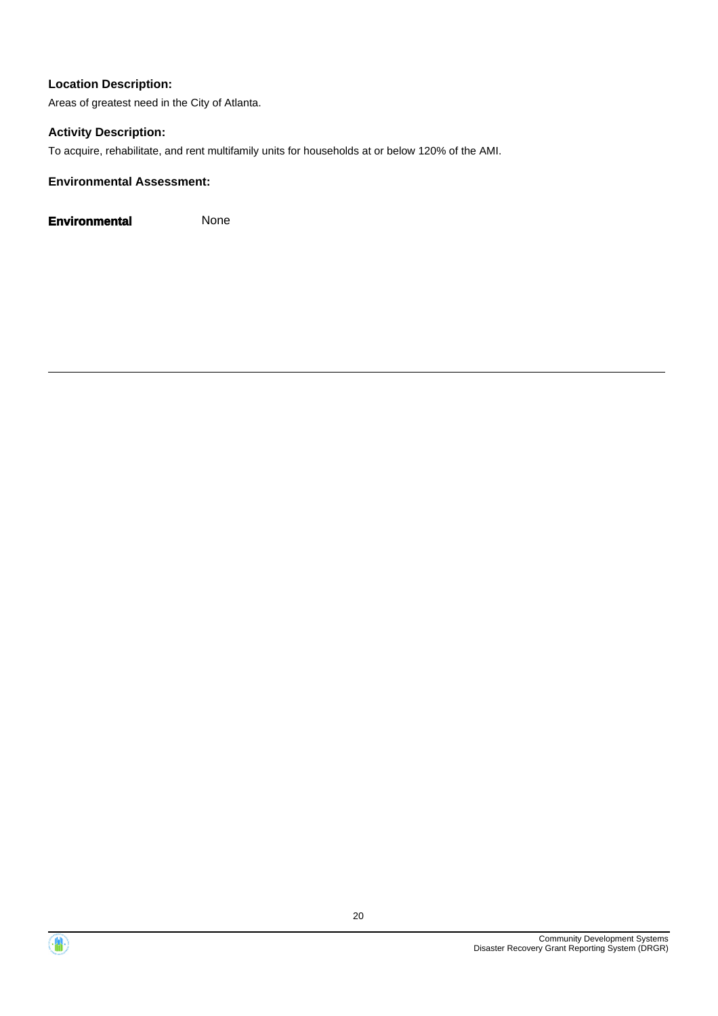Areas of greatest need in the City of Atlanta.

#### **Activity Description:**

To acquire, rehabilitate, and rent multifamily units for households at or below 120% of the AMI.

#### **Environmental Assessment:**



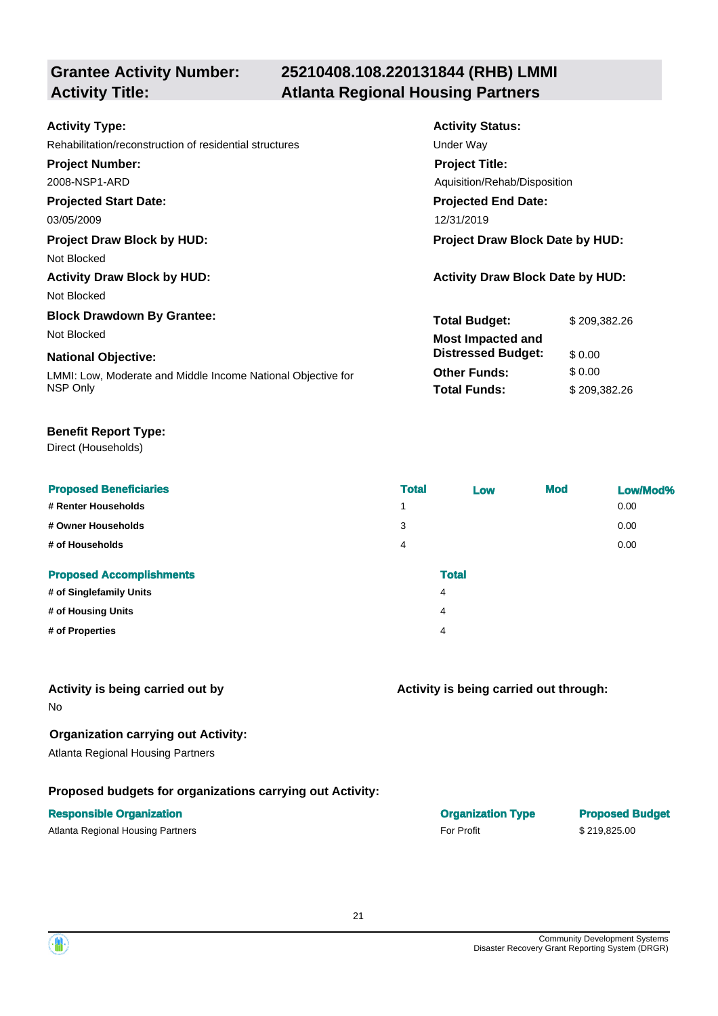# **25210408.108.220131844 (RHB) LMMI Activity Title: Atlanta Regional Housing Partners**

| <b>Activity Status:</b>                 |              |  |
|-----------------------------------------|--------------|--|
| Under Way                               |              |  |
| <b>Project Title:</b>                   |              |  |
| Aquisition/Rehab/Disposition            |              |  |
| <b>Projected End Date:</b>              |              |  |
| 12/31/2019                              |              |  |
| <b>Project Draw Block Date by HUD:</b>  |              |  |
|                                         |              |  |
| <b>Activity Draw Block Date by HUD:</b> |              |  |
|                                         |              |  |
| <b>Total Budget:</b>                    | \$209,382.26 |  |
| <b>Most Impacted and</b>                |              |  |
| <b>Distressed Budget:</b>               | \$0.00       |  |
| <b>Other Funds:</b>                     | \$0.00       |  |
| <b>Total Funds:</b>                     | \$209,382.26 |  |
|                                         |              |  |

#### **Benefit Report Type:**

Direct (Households)

| <b>Proposed Beneficiaries</b>   | <b>Total</b>   | Low          | <b>Mod</b> | Low/Mod% |
|---------------------------------|----------------|--------------|------------|----------|
| # Renter Households             | 1              |              |            | 0.00     |
| # Owner Households              | 3              |              |            | 0.00     |
| # of Households                 | $\overline{4}$ |              |            | 0.00     |
| <b>Proposed Accomplishments</b> |                | <b>Total</b> |            |          |
| # of Singlefamily Units         |                | 4            |            |          |
| # of Housing Units              |                | 4            |            |          |

**# of Properties** 4

#### **Activity is being carried out by**

No

## **Organization carrying out Activity:**

Atlanta Regional Housing Partners

## **Proposed budgets for organizations carrying out Activity:**

#### **Responsible Organization COVID-100 COVID-100 COVID-100 COVID-100 COVID-100 COVID-100 COVID-100 COVID-100 COVID-100 COVID-100 COVID-100 COVID-100 COVID-100 COVID-100 COVID-100 COVID-100 COVID-100 COVID-100 COVID-100 COVI**

Atlanta Regional Housing Partners **For Profit** 5 219,825.00



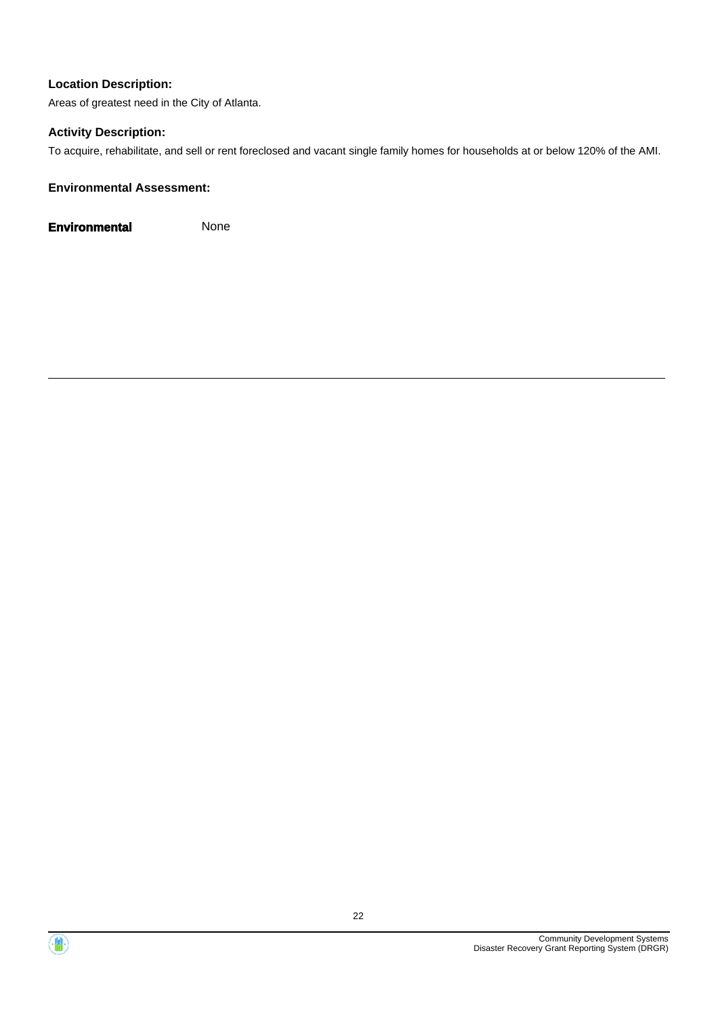Areas of greatest need in the City of Atlanta.

#### **Activity Description:**

To acquire, rehabilitate, and sell or rent foreclosed and vacant single family homes for households at or below 120% of the AMI.

#### **Environmental Assessment:**



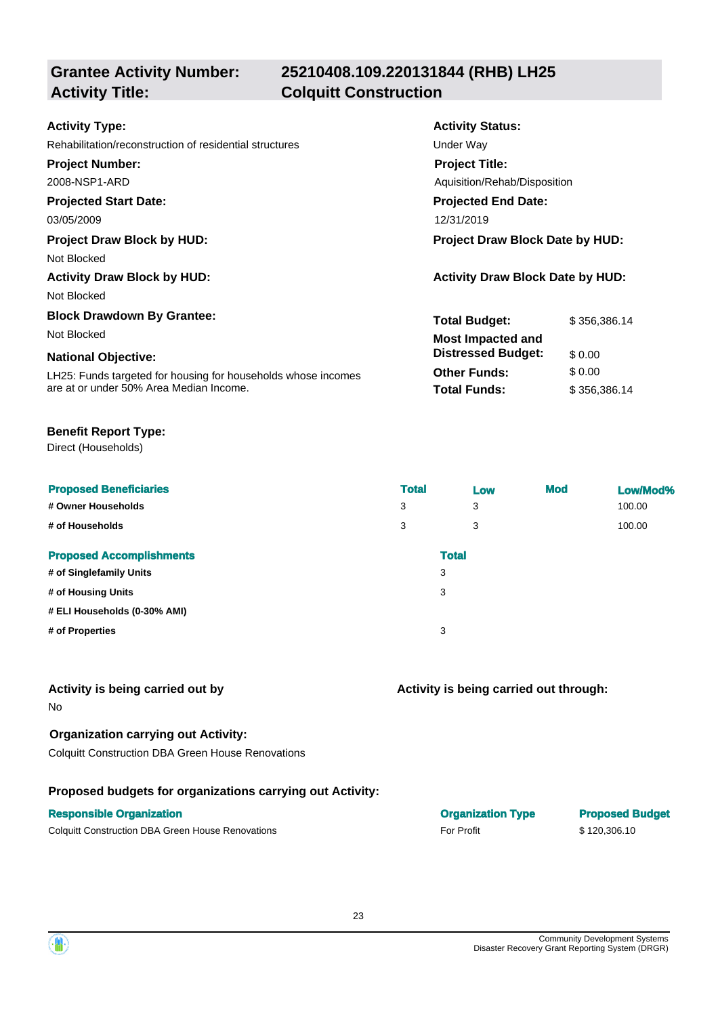# **Grantee Activity Number: Activity Title: Colquitt Construction**

# **25210408.109.220131844 (RHB) LH25**

| <b>Activity Type:</b>                                         | <b>Activity Status:</b>                 |              |  |
|---------------------------------------------------------------|-----------------------------------------|--------------|--|
| Rehabilitation/reconstruction of residential structures       | Under Way                               |              |  |
| <b>Project Number:</b>                                        | <b>Project Title:</b>                   |              |  |
| 2008-NSP1-ARD                                                 | Aquisition/Rehab/Disposition            |              |  |
| <b>Projected Start Date:</b>                                  | <b>Projected End Date:</b>              |              |  |
| 03/05/2009                                                    | 12/31/2019                              |              |  |
| <b>Project Draw Block by HUD:</b>                             | Project Draw Block Date by HUD:         |              |  |
| Not Blocked                                                   |                                         |              |  |
| <b>Activity Draw Block by HUD:</b>                            | <b>Activity Draw Block Date by HUD:</b> |              |  |
| Not Blocked                                                   |                                         |              |  |
| <b>Block Drawdown By Grantee:</b>                             | <b>Total Budget:</b>                    | \$356,386.14 |  |
| Not Blocked                                                   | <b>Most Impacted and</b>                |              |  |
| <b>National Objective:</b>                                    | <b>Distressed Budget:</b>               | \$0.00       |  |
| LH25: Funds targeted for housing for households whose incomes | <b>Other Funds:</b>                     | \$0.00       |  |
| are at or under 50% Area Median Income.                       | <b>Total Funds:</b>                     | \$356,386.14 |  |

#### **Benefit Report Type:**

Direct (Households)

| <b>Proposed Beneficiaries</b><br># Owner Households<br># of Households | <b>Total</b><br>3<br>3 | Low<br>3<br>3 | <b>Mod</b> | Low/Mod%<br>100.00<br>100.00 |
|------------------------------------------------------------------------|------------------------|---------------|------------|------------------------------|
| <b>Proposed Accomplishments</b>                                        |                        | <b>Total</b>  |            |                              |
| # of Singlefamily Units                                                |                        | 3             |            |                              |
| # of Housing Units                                                     |                        | 3             |            |                              |
| # ELI Households (0-30% AMI)                                           |                        |               |            |                              |
| # of Properties                                                        |                        | 3             |            |                              |

#### **Activity is being carried out by**

No

# **Organization carrying out Activity:**

Colquitt Construction DBA Green House Renovations

#### **Proposed budgets for organizations carrying out Activity:**

#### **Responsible Organization COVID-100 COVID-100 COVID-100 COVID-100 COVID-100 COVID-100 COVID-100 COVID-100 COVID-100 COVID-100 COVID-100 COVID-100 COVID-100 COVID-100 COVID-100 COVID-100 COVID-100 COVID-100 COVID-100 COVI**

Colquitt Construction DBA Green House Renovations **For Profit** For Profit **For Profit** \$ 120,306.10

| <b>Organization Type</b> |  |
|--------------------------|--|
| <b>For Profit</b>        |  |

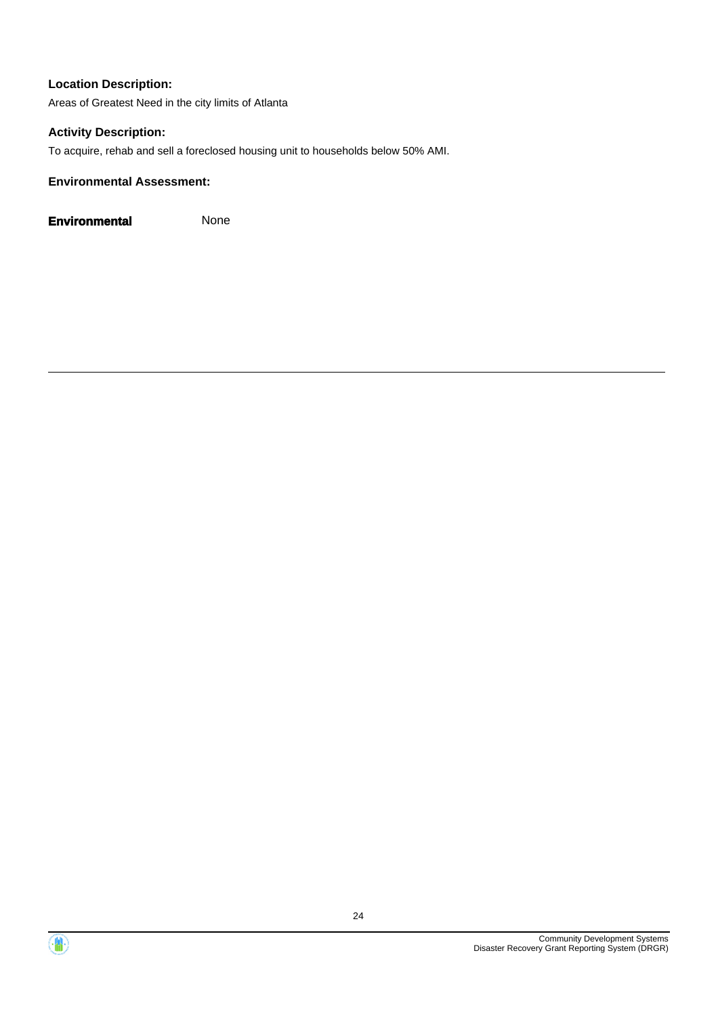Areas of Greatest Need in the city limits of Atlanta

#### **Activity Description:**

To acquire, rehab and sell a foreclosed housing unit to households below 50% AMI.

#### **Environmental Assessment:**



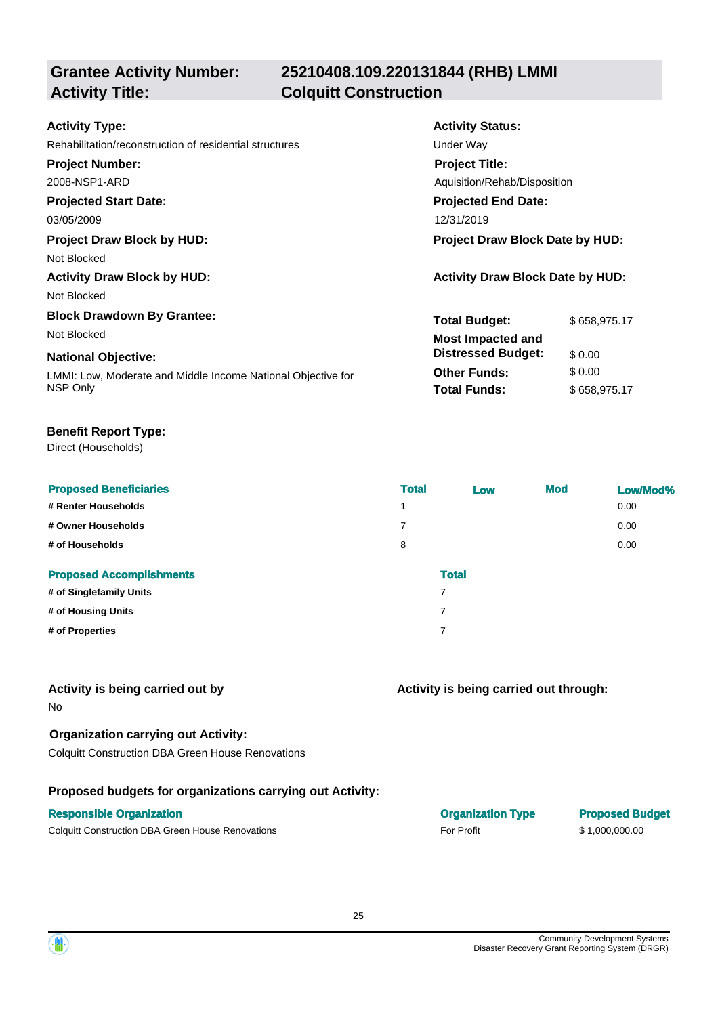# **Grantee Activity Number: Activity Title: Colquitt Construction**

# **25210408.109.220131844 (RHB) LMMI**

| <b>Activity Type:</b>                                        | <b>Activity Status:</b>                 |              |  |
|--------------------------------------------------------------|-----------------------------------------|--------------|--|
| Rehabilitation/reconstruction of residential structures      | Under Way                               |              |  |
| <b>Project Number:</b>                                       | <b>Project Title:</b>                   |              |  |
| 2008-NSP1-ARD                                                | Aquisition/Rehab/Disposition            |              |  |
| <b>Projected Start Date:</b>                                 | <b>Projected End Date:</b>              |              |  |
| 03/05/2009                                                   | 12/31/2019                              |              |  |
| <b>Project Draw Block by HUD:</b>                            | Project Draw Block Date by HUD:         |              |  |
| Not Blocked                                                  |                                         |              |  |
| <b>Activity Draw Block by HUD:</b>                           | <b>Activity Draw Block Date by HUD:</b> |              |  |
| Not Blocked                                                  |                                         |              |  |
| <b>Block Drawdown By Grantee:</b>                            | <b>Total Budget:</b>                    | \$658,975.17 |  |
| Not Blocked                                                  | <b>Most Impacted and</b>                |              |  |
| <b>National Objective:</b>                                   | <b>Distressed Budget:</b>               | \$0.00       |  |
| LMMI: Low, Moderate and Middle Income National Objective for | <b>Other Funds:</b>                     | \$0.00       |  |
| NSP Only                                                     | <b>Total Funds:</b>                     | \$658,975.17 |  |

#### **Benefit Report Type:**

Direct (Households)

| <b>Proposed Beneficiaries</b>   | <b>Total</b> | Low          | <b>Mod</b> | Low/Mod% |
|---------------------------------|--------------|--------------|------------|----------|
| # Renter Households             | 1            |              |            | 0.00     |
| # Owner Households              | 7            |              |            | 0.00     |
| # of Households                 | 8            |              |            | 0.00     |
| <b>Proposed Accomplishments</b> |              | <b>Total</b> |            |          |
| # of Singlefamily Units         | 7            |              |            |          |
| # of Housing Units              | 7            |              |            |          |
| # of Properties                 | 7            |              |            |          |

#### **Activity is being carried out by**

No

#### **Organization carrying out Activity:**

Colquitt Construction DBA Green House Renovations

#### **Proposed budgets for organizations carrying out Activity:**

#### **Responsible Organization COVID-100 COVID-100 COVID-100 COVID-100 COVID-100 COVID-100 COVID-100 COVID-100 COVID-100 COVID-100 COVID-100 COVID-100 COVID-100 COVID-100 COVID-100 COVID-100 COVID-100 COVID-100 COVID-100 COVI**

Colquitt Construction DBA Green House Renovations **For Profit** For Profit \$ 1,000,000.000.00

| <b>Organization Typ</b> |  |
|-------------------------|--|
| <b>For Profit</b>       |  |

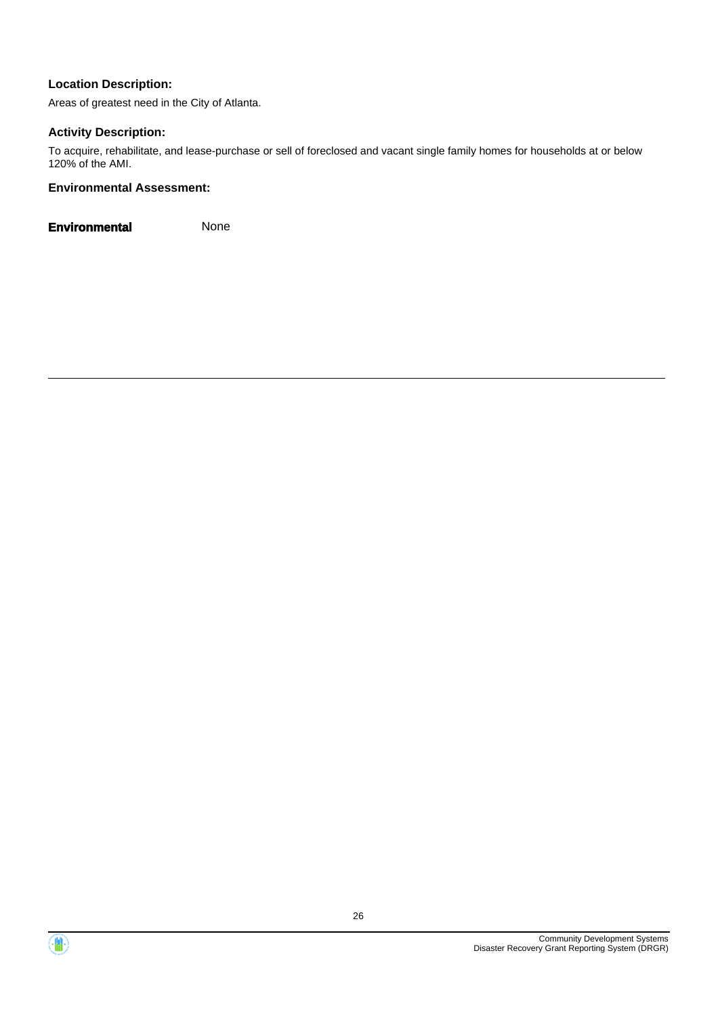Areas of greatest need in the City of Atlanta.

#### **Activity Description:**

To acquire, rehabilitate, and lease-purchase or sell of foreclosed and vacant single family homes for households at or below 120% of the AMI.

#### **Environmental Assessment:**



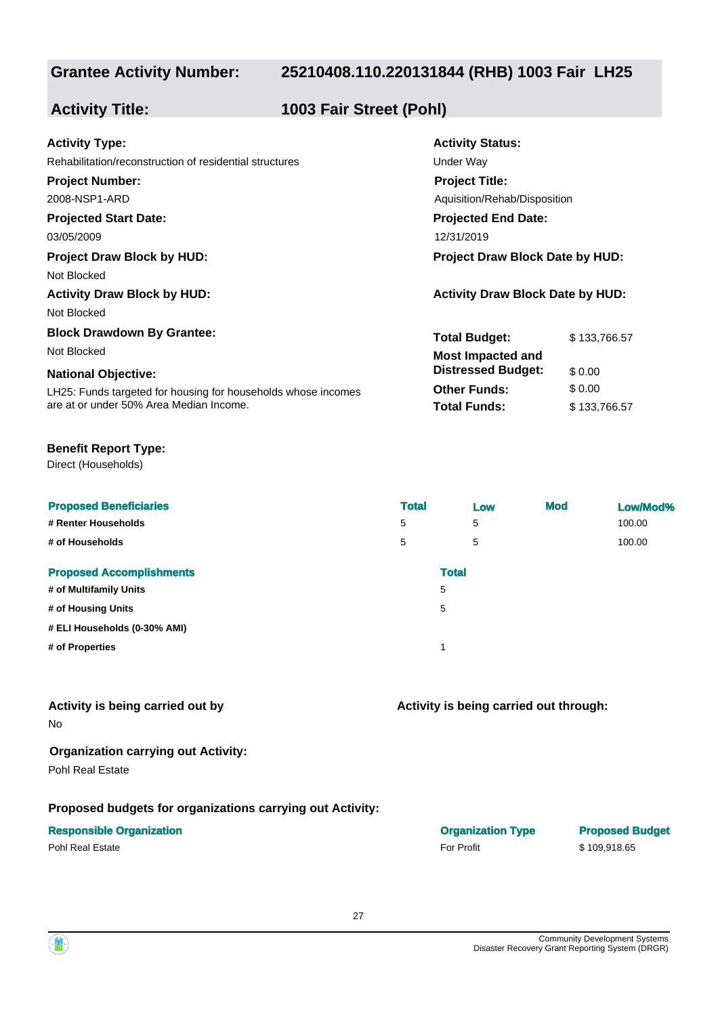## **25210408.110.220131844 (RHB) 1003 Fair LH25**

**Activity Status:**

**Project Title:**

**Projected End Date:**

Aquisition/Rehab/Disposition

**Total Budget:** \$133,766.57

**Other Funds:** \$ 0.00 **Total Funds:** \$133,766.57

**Distressed Budget:** \$ 0.00

## **Activity Title: 1003 Fair Street (Pohl)**

| <b>Activity Type:</b> |  |
|-----------------------|--|
|-----------------------|--|

Rehabilitation/reconstruction of residential structures **Exercise Structures** Under Way

#### **Project Number:**

2008-NSP1-ARD

## **Projected Start Date:**

03/05/2009 12/31/2019

#### **Project Draw Block by HUD: Project Draw Block Date by HUD:**

Not Blocked

**Activity Draw Block by HUD: Activity Draw Block Date by HUD:**

Not Blocked

#### **Block Drawdown By Grantee:**

Not Blocked **Most Impacted and** 

#### **National Objective:**

LH25: Funds targeted for housing for households whose incomes are at or under 50% Area Median Income.

#### **Benefit Report Type:**

Direct (Households)

| <b>Proposed Beneficiaries</b><br># Renter Households<br># of Households | <b>Total</b><br>5<br>5 | Low<br>5<br>5 | <b>Mod</b> | Low/Mod%<br>100.00<br>100.00 |
|-------------------------------------------------------------------------|------------------------|---------------|------------|------------------------------|
| <b>Proposed Accomplishments</b>                                         |                        | <b>Total</b>  |            |                              |
| # of Multifamily Units                                                  |                        | 5             |            |                              |
| # of Housing Units                                                      |                        | 5             |            |                              |
| # ELI Households (0-30% AMI)                                            |                        |               |            |                              |
| # of Properties                                                         |                        | и             |            |                              |

# **Activity is being carried out by**

No

# **Organization carrying out Activity:**

Pohl Real Estate

#### **Proposed budgets for organizations carrying out Activity:**

#### **Responsible Organization Organization Type Proposed Budget**

Pohl Real Estate **For Profit** \$ 109,918.65

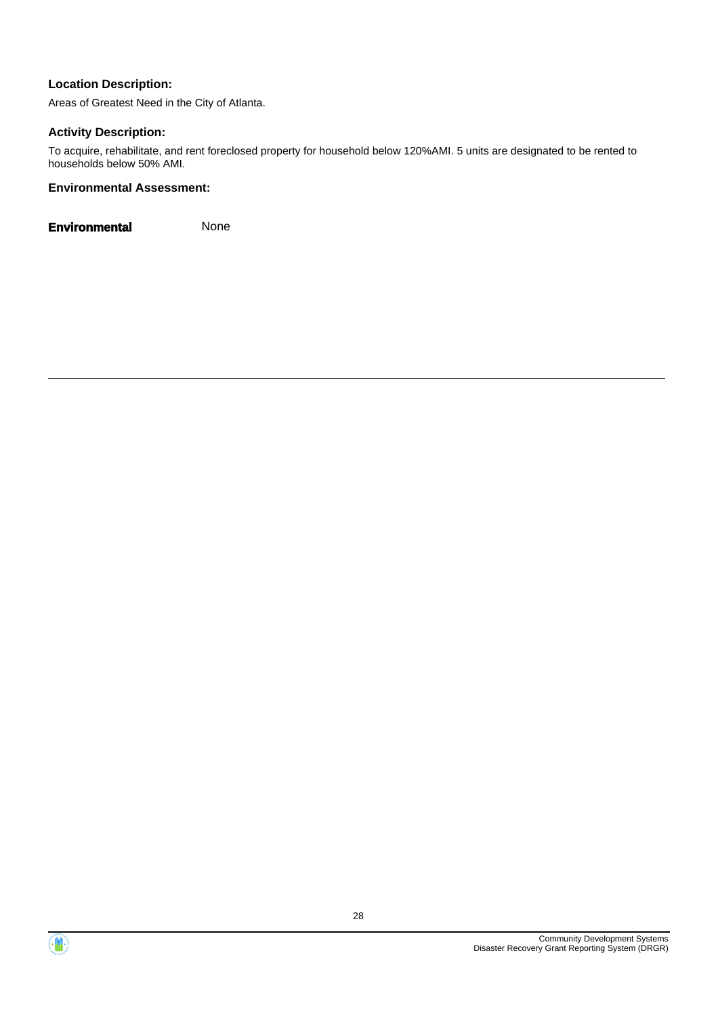Areas of Greatest Need in the City of Atlanta.

#### **Activity Description:**

To acquire, rehabilitate, and rent foreclosed property for household below 120%AMI. 5 units are designated to be rented to households below 50% AMI.

#### **Environmental Assessment:**



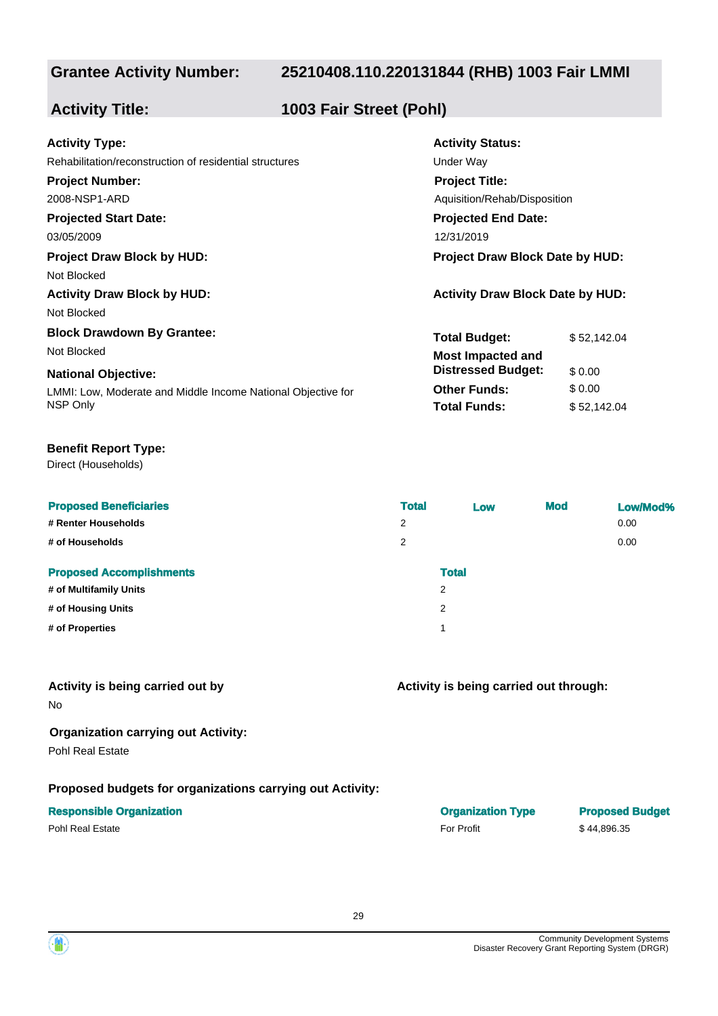### **25210408.110.220131844 (RHB) 1003 Fair LMMI**

**Activity Status:**

**Project Title:**

**Projected End Date:**

Aquisition/Rehab/Disposition

**Total Budget:** \$ 52,142.04

**Other Funds:** \$ 0.00 **Total Funds:** \$ 52,142.04

**Distressed Budget:** \$ 0.00

## **Activity Title: 1003 Fair Street (Pohl)**

| <b>Activity Type:</b> |  |
|-----------------------|--|
|-----------------------|--|

Rehabilitation/reconstruction of residential structures **Exercise Structures** Under Way

#### **Project Number:**

2008-NSP1-ARD

# **Projected Start Date:**

03/05/2009 12/31/2019

## **Project Draw Block by HUD: Project Draw Block Date by HUD:**

Not Blocked

**Activity Draw Block by HUD: Activity Draw Block Date by HUD:**

Not Blocked

#### **Block Drawdown By Grantee:**

Not Blocked **Most Impacted and** 

#### **National Objective:**

LMMI: Low, Moderate and Middle Income National Objective for NSP Only

#### **Benefit Report Type:**

Direct (Households)

| <b>Proposed Beneficiaries</b>   | <b>Total</b> | Low          | <b>Mod</b> | Low/Mod% |
|---------------------------------|--------------|--------------|------------|----------|
| # Renter Households             | 2            |              |            | 0.00     |
| # of Households                 | 2            |              |            | 0.00     |
| <b>Proposed Accomplishments</b> |              | <b>Total</b> |            |          |
| # of Multifamily Units          | 2            |              |            |          |
| # of Housing Units              | 2            |              |            |          |
| # of Properties                 | и            |              |            |          |
|                                 |              |              |            |          |

#### **Activity is being carried out by**

No

#### **Organization carrying out Activity:**

Pohl Real Estate

#### **Proposed budgets for organizations carrying out Activity:**

#### **Responsible Organization**

Pohl Real Estate \$ 44,896.35

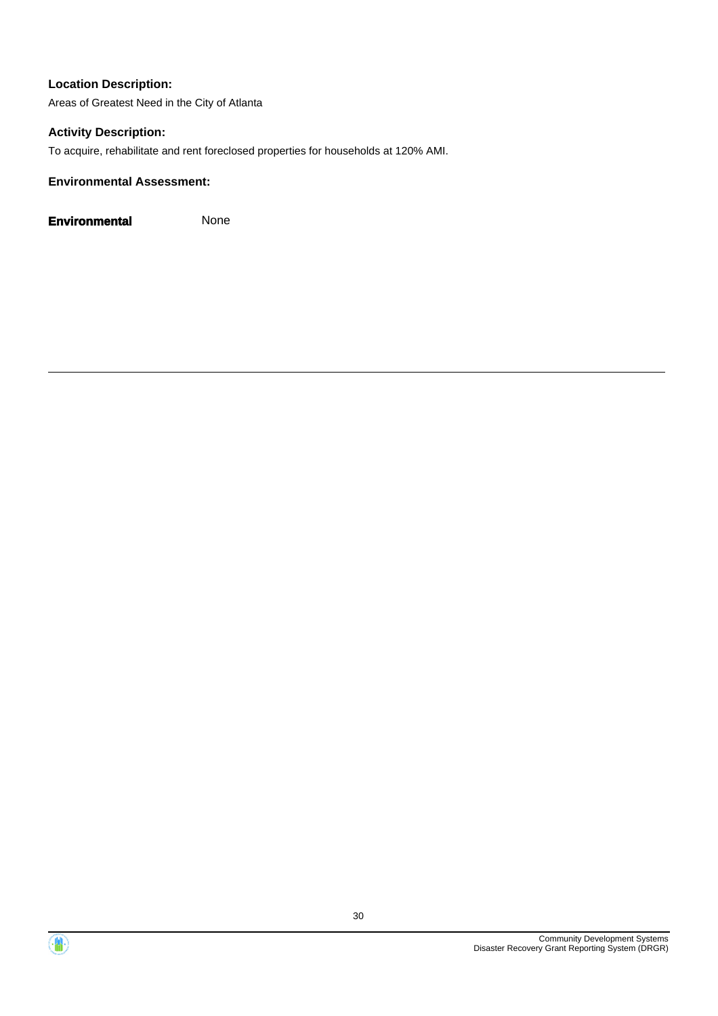Areas of Greatest Need in the City of Atlanta

#### **Activity Description:**

To acquire, rehabilitate and rent foreclosed properties for households at 120% AMI.

#### **Environmental Assessment:**

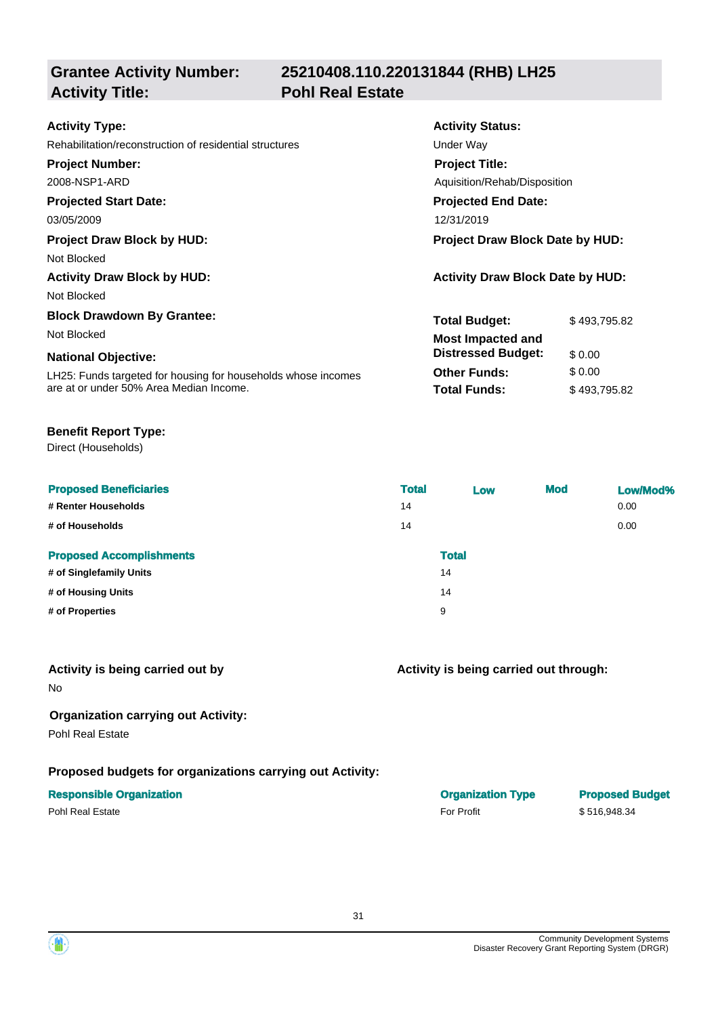**Grantee Activity Number: Activity Title: Pohl Real Estate**

# **25210408.110.220131844 (RHB) LH25**

| <b>Activity Type:</b>                                         | <b>Activity Status:</b>                 |              |  |
|---------------------------------------------------------------|-----------------------------------------|--------------|--|
| Rehabilitation/reconstruction of residential structures       | Under Way                               |              |  |
| <b>Project Number:</b>                                        | <b>Project Title:</b>                   |              |  |
| 2008-NSP1-ARD                                                 | Aquisition/Rehab/Disposition            |              |  |
| <b>Projected Start Date:</b>                                  | <b>Projected End Date:</b>              |              |  |
| 03/05/2009                                                    | 12/31/2019                              |              |  |
| <b>Project Draw Block by HUD:</b>                             | Project Draw Block Date by HUD:         |              |  |
| Not Blocked                                                   |                                         |              |  |
| <b>Activity Draw Block by HUD:</b>                            | <b>Activity Draw Block Date by HUD:</b> |              |  |
| Not Blocked                                                   |                                         |              |  |
| <b>Block Drawdown By Grantee:</b>                             | <b>Total Budget:</b>                    | \$493,795.82 |  |
| Not Blocked                                                   | <b>Most Impacted and</b>                |              |  |
| <b>National Objective:</b>                                    | <b>Distressed Budget:</b>               | \$0.00       |  |
| LH25: Funds targeted for housing for households whose incomes | <b>Other Funds:</b>                     | \$0.00       |  |
| are at or under 50% Area Median Income.                       | <b>Total Funds:</b>                     | \$493,795.82 |  |

#### **Benefit Report Type:**

Direct (Households)

| <b>Proposed Beneficiaries</b>   | <b>Total</b> | Low          | <b>Mod</b> | Low/Mod% |
|---------------------------------|--------------|--------------|------------|----------|
| # Renter Households             | 14           |              |            | 0.00     |
| # of Households                 | 14           |              |            | 0.00     |
| <b>Proposed Accomplishments</b> |              | <b>Total</b> |            |          |
| # of Singlefamily Units         |              | 14           |            |          |
| # of Housing Units              |              | 14           |            |          |
| # of Properties                 |              | 9            |            |          |
|                                 |              |              |            |          |

#### **Activity is being carried out by**

No

## **Organization carrying out Activity:**

Pohl Real Estate

# **Proposed budgets for organizations carrying out Activity:**

| <b>Responsible Organization</b> | <b>Organization Type</b> | <b>Proposed Budget</b> |
|---------------------------------|--------------------------|------------------------|
| Pohl Real Estate                | <b>For Profit</b>        | \$516.948.34           |

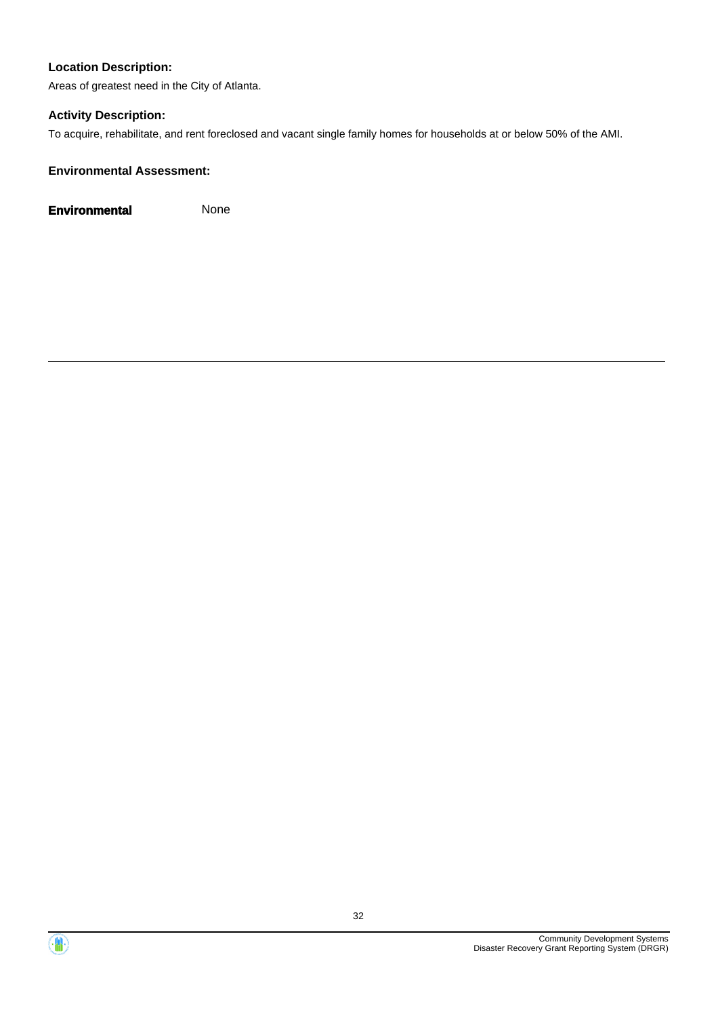Areas of greatest need in the City of Atlanta.

## **Activity Description:**

To acquire, rehabilitate, and rent foreclosed and vacant single family homes for households at or below 50% of the AMI.

## **Environmental Assessment:**



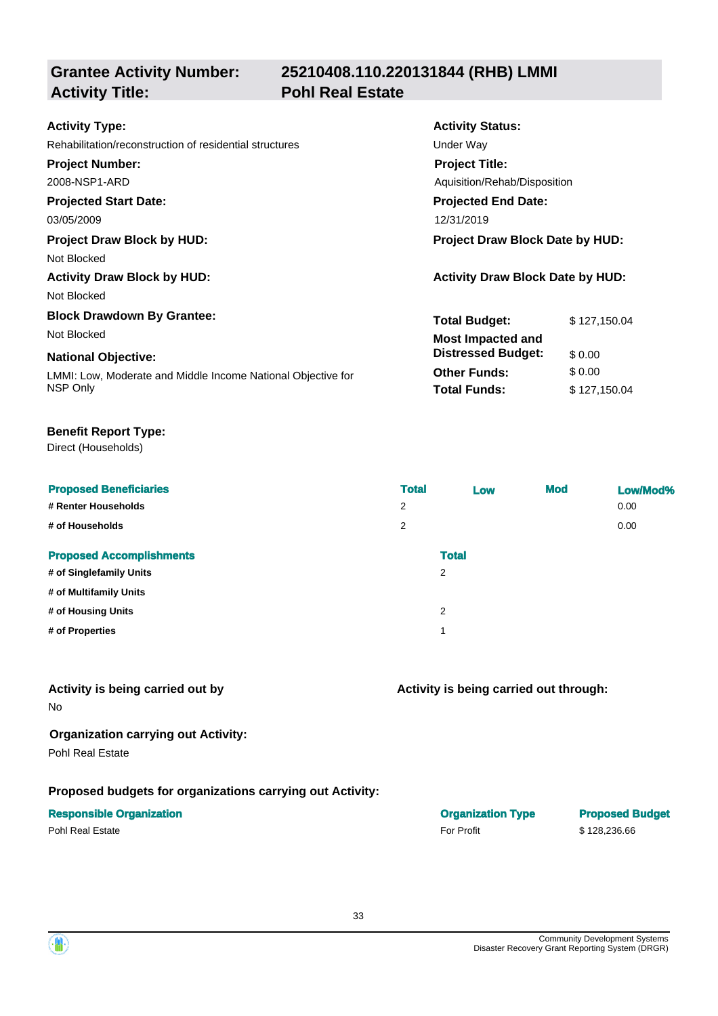**Grantee Activity Number: Activity Title: Pohl Real Estate**

# **25210408.110.220131844 (RHB) LMMI**

| <b>Activity Type:</b>                                        | <b>Activity Status:</b>                 |              |  |
|--------------------------------------------------------------|-----------------------------------------|--------------|--|
| Rehabilitation/reconstruction of residential structures      | Under Way                               |              |  |
| <b>Project Number:</b>                                       | <b>Project Title:</b>                   |              |  |
| 2008-NSP1-ARD                                                | Aguisition/Rehab/Disposition            |              |  |
| <b>Projected Start Date:</b>                                 | <b>Projected End Date:</b>              |              |  |
| 03/05/2009                                                   | 12/31/2019                              |              |  |
| <b>Project Draw Block by HUD:</b>                            | <b>Project Draw Block Date by HUD:</b>  |              |  |
| Not Blocked                                                  |                                         |              |  |
| <b>Activity Draw Block by HUD:</b>                           | <b>Activity Draw Block Date by HUD:</b> |              |  |
| Not Blocked                                                  |                                         |              |  |
| <b>Block Drawdown By Grantee:</b>                            | <b>Total Budget:</b>                    | \$127,150.04 |  |
| Not Blocked                                                  | <b>Most Impacted and</b>                |              |  |
| <b>National Objective:</b>                                   | <b>Distressed Budget:</b>               | \$0.00       |  |
| LMMI: Low, Moderate and Middle Income National Objective for | <b>Other Funds:</b>                     | \$0.00       |  |
| NSP Only                                                     | <b>Total Funds:</b>                     | \$127,150.04 |  |

#### **Benefit Report Type:**

Direct (Households)

| <b>Proposed Beneficiaries</b>   | <b>Total</b> | Low          | <b>Mod</b> | Low/Mod% |
|---------------------------------|--------------|--------------|------------|----------|
| # Renter Households             | 2            |              |            | 0.00     |
| # of Households                 | 2            |              |            | 0.00     |
| <b>Proposed Accomplishments</b> |              | <b>Total</b> |            |          |
| # of Singlefamily Units         | 2            |              |            |          |
| # of Multifamily Units          |              |              |            |          |
| # of Housing Units              | 2            |              |            |          |
| # of Properties                 | 1            |              |            |          |
|                                 |              |              |            |          |

#### **Activity is being carried out by**

No

## **Organization carrying out Activity:**

Pohl Real Estate

# **Proposed budgets for organizations carrying out Activity:**

## **Responsible Organization Organization Type Proposed Budget**

## **Activity is being carried out through:**

Pohl Real Estate \$ 128,236.66 Pohl Real Estate \$ 128,236.66

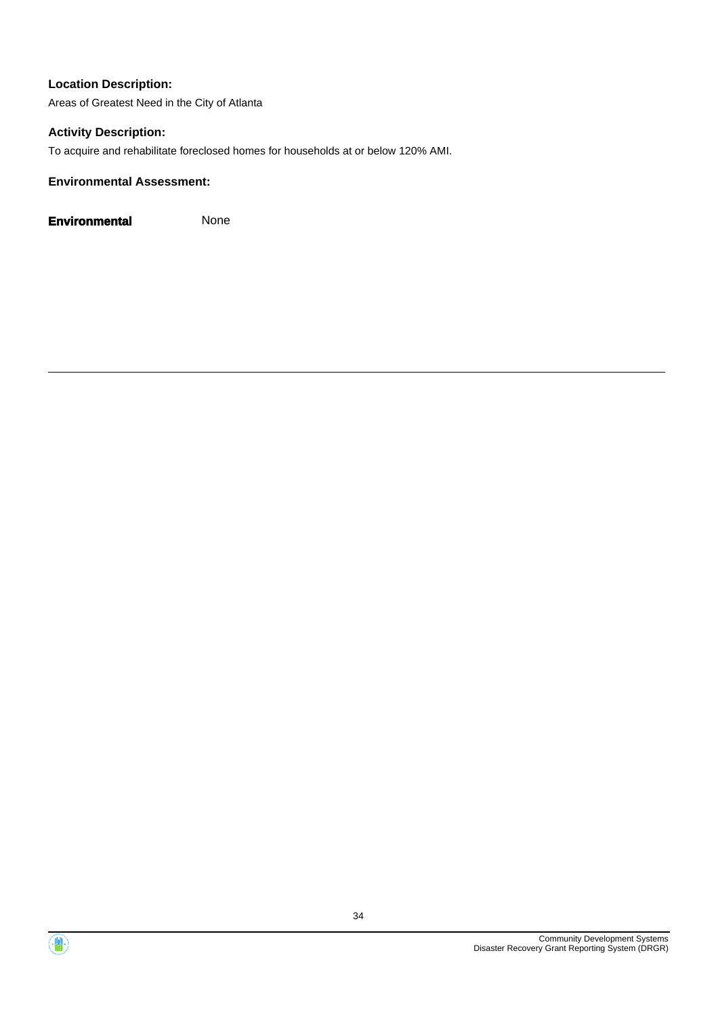Areas of Greatest Need in the City of Atlanta

#### **Activity Description:**

To acquire and rehabilitate foreclosed homes for households at or below 120% AMI.

#### **Environmental Assessment:**



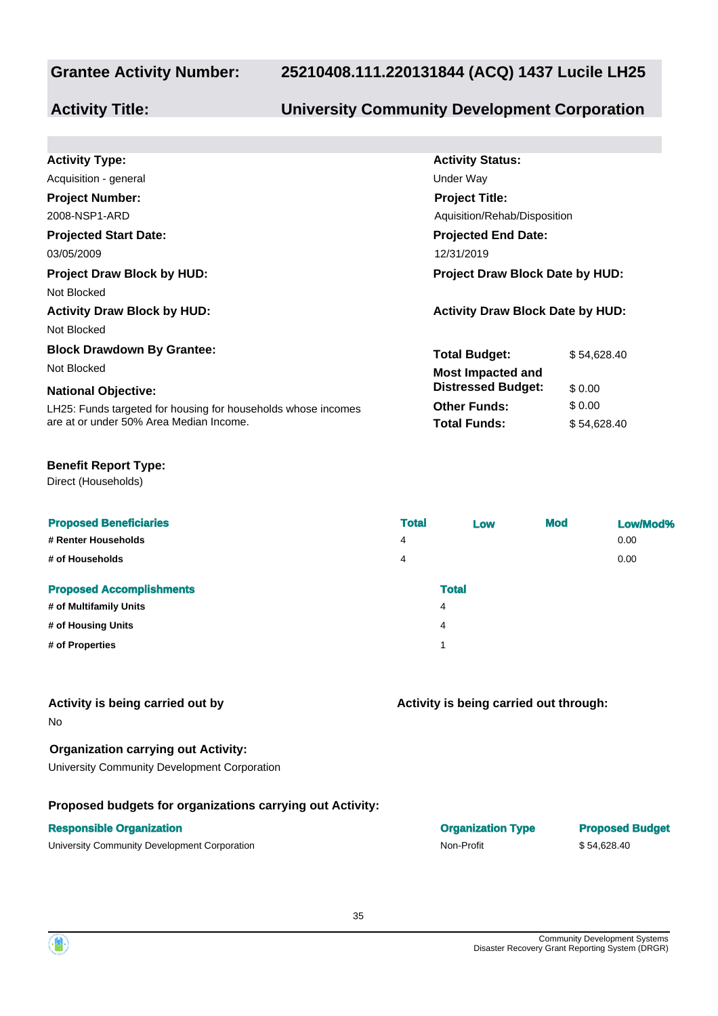# **25210408.111.220131844 (ACQ) 1437 Lucile LH25**

# **Activity Title: University Community Development Corporation**

| <b>Activity Type:</b>                                         | <b>Activity Status:</b>                 |             |  |
|---------------------------------------------------------------|-----------------------------------------|-------------|--|
| Acquisition - general                                         | Under Way                               |             |  |
| <b>Project Number:</b>                                        | <b>Project Title:</b>                   |             |  |
| 2008-NSP1-ARD                                                 | Aquisition/Rehab/Disposition            |             |  |
| <b>Projected Start Date:</b>                                  | <b>Projected End Date:</b>              |             |  |
| 03/05/2009                                                    | 12/31/2019                              |             |  |
| <b>Project Draw Block by HUD:</b>                             | <b>Project Draw Block Date by HUD:</b>  |             |  |
| Not Blocked                                                   |                                         |             |  |
| <b>Activity Draw Block by HUD:</b>                            | <b>Activity Draw Block Date by HUD:</b> |             |  |
| Not Blocked                                                   |                                         |             |  |
| <b>Block Drawdown By Grantee:</b>                             | <b>Total Budget:</b>                    | \$54.628.40 |  |
| Not Blocked                                                   | <b>Most Impacted and</b>                |             |  |
| <b>National Objective:</b>                                    | <b>Distressed Budget:</b>               | \$0.00      |  |
| LH25: Funds targeted for housing for households whose incomes | <b>Other Funds:</b>                     | \$0.00      |  |
| are at or under 50% Area Median Income.                       | <b>Total Funds:</b>                     | \$54,628.40 |  |

#### **Benefit Report Type:**

Direct (Households)

| <b>Proposed Beneficiaries</b>   | <b>Total</b>   | Low          | <b>Mod</b> | Low/Mod% |
|---------------------------------|----------------|--------------|------------|----------|
| # Renter Households             | $\overline{4}$ |              |            | 0.00     |
| # of Households                 | 4              |              |            | 0.00     |
| <b>Proposed Accomplishments</b> |                | <b>Total</b> |            |          |
| # of Multifamily Units          | 4              |              |            |          |
| # of Housing Units              | 4              |              |            |          |
| # of Properties                 |                |              |            |          |
|                                 |                |              |            |          |

#### **Activity is being carried out by**

No

**Organization carrying out Activity:**

University Community Development Corporation

#### **Proposed budgets for organizations carrying out Activity:**

| <b>Responsible Organization</b>              | <b>Organization Type</b> | <b>Proposed Budget</b> |
|----------------------------------------------|--------------------------|------------------------|
| University Community Development Corporation | Non-Profit               | \$54.628.40            |

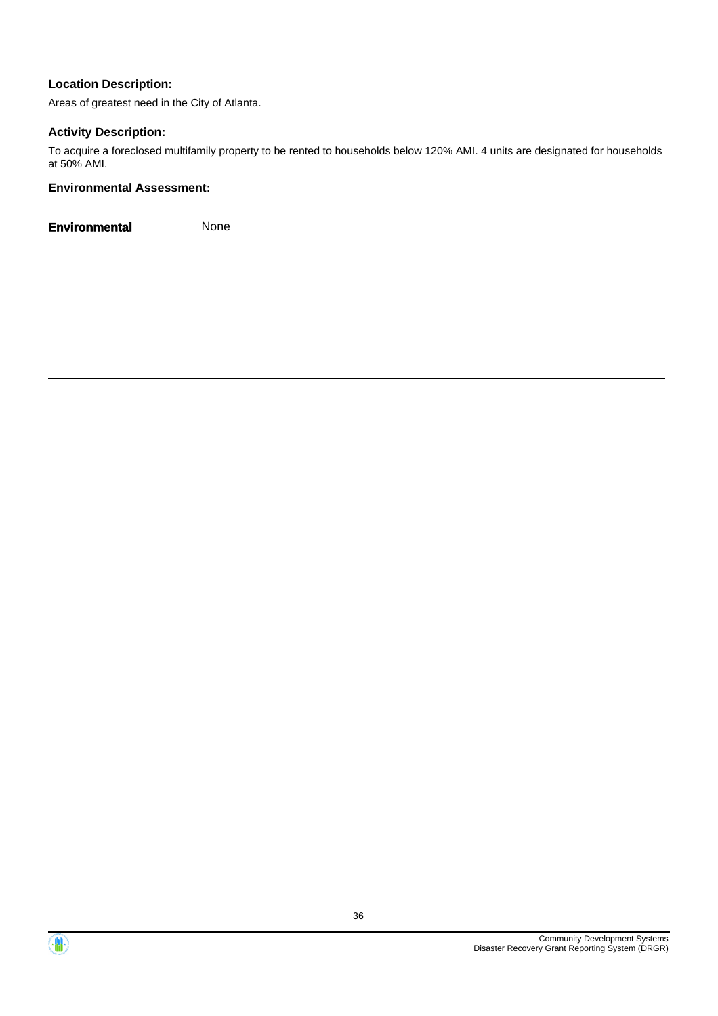Areas of greatest need in the City of Atlanta.

#### **Activity Description:**

To acquire a foreclosed multifamily property to be rented to households below 120% AMI. 4 units are designated for households at 50% AMI.

#### **Environmental Assessment:**



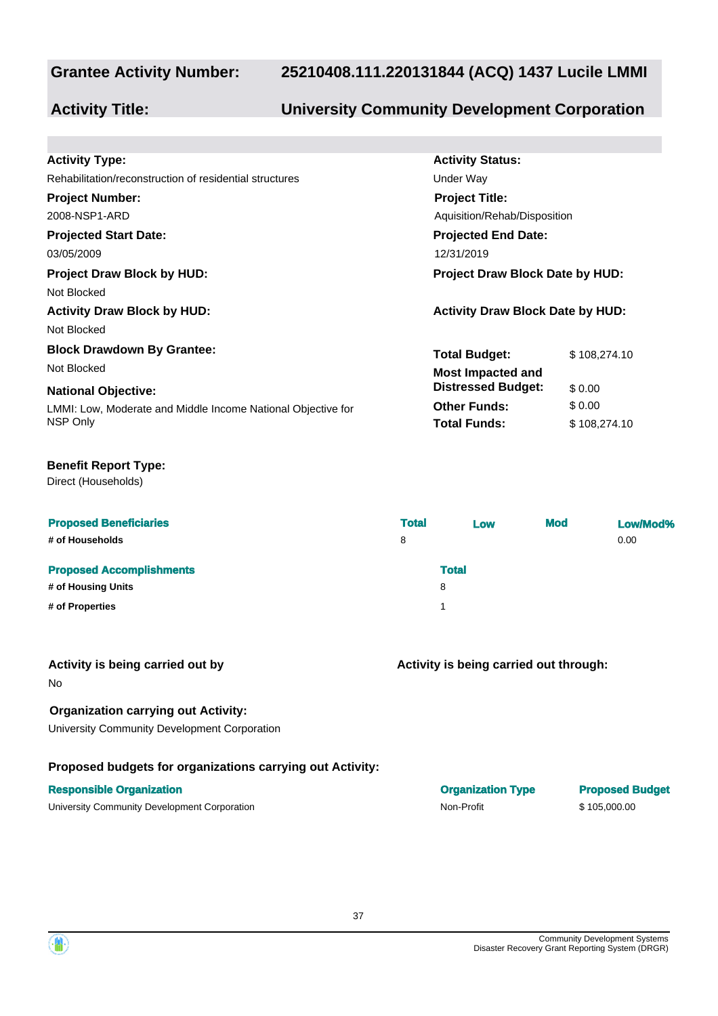#### **Grantee Activity Number:**

#### **25210408.111.220131844 (ACQ) 1437 Lucile LMMI**

### **Activity Title: University Community Development Corporation**

| <b>Activity Type:</b>                                        | <b>Activity Status:</b>                 |              |  |  |
|--------------------------------------------------------------|-----------------------------------------|--------------|--|--|
| Rehabilitation/reconstruction of residential structures      | Under Way                               |              |  |  |
| <b>Project Number:</b>                                       | <b>Project Title:</b>                   |              |  |  |
| 2008-NSP1-ARD                                                | Aguisition/Rehab/Disposition            |              |  |  |
| <b>Projected Start Date:</b>                                 | <b>Projected End Date:</b>              |              |  |  |
| 03/05/2009                                                   | 12/31/2019                              |              |  |  |
| <b>Project Draw Block by HUD:</b>                            | <b>Project Draw Block Date by HUD:</b>  |              |  |  |
| Not Blocked                                                  |                                         |              |  |  |
| <b>Activity Draw Block by HUD:</b>                           | <b>Activity Draw Block Date by HUD:</b> |              |  |  |
| Not Blocked                                                  |                                         |              |  |  |
| <b>Block Drawdown By Grantee:</b>                            | <b>Total Budget:</b>                    | \$108,274.10 |  |  |
| Not Blocked                                                  | <b>Most Impacted and</b>                |              |  |  |
| <b>National Objective:</b>                                   | <b>Distressed Budget:</b>               | \$0.00       |  |  |
| LMMI: Low, Moderate and Middle Income National Objective for | <b>Other Funds:</b>                     | \$0.00       |  |  |
| NSP Only                                                     | <b>Total Funds:</b>                     | \$108,274.10 |  |  |
|                                                              |                                         |              |  |  |

#### **Benefit Report Type:**

Direct (Households)

| <b>Proposed Beneficiaries</b><br># of Households | <b>Total</b><br>8 | Low          | <b>Mod</b> | Low/Mod%<br>0.00 |
|--------------------------------------------------|-------------------|--------------|------------|------------------|
| <b>Proposed Accomplishments</b>                  |                   | <b>Total</b> |            |                  |
| # of Housing Units                               |                   | 8            |            |                  |
| # of Properties                                  |                   |              |            |                  |

| Activity is being carried out by |  |  |
|----------------------------------|--|--|
| No                               |  |  |

#### **Organization carrying out Activity:**

University Community Development Corporation

#### **Proposed budgets for organizations carrying out Activity:**

| $\overline{1}$ |  |  |  |
|----------------|--|--|--|
|                |  |  |  |
|                |  |  |  |

| <b>Responsible Organization</b>              | <b>Organization Type</b> | <b>Proposed Budget</b> |
|----------------------------------------------|--------------------------|------------------------|
| University Community Development Corporation | Non-Profit               | \$105,000,00           |

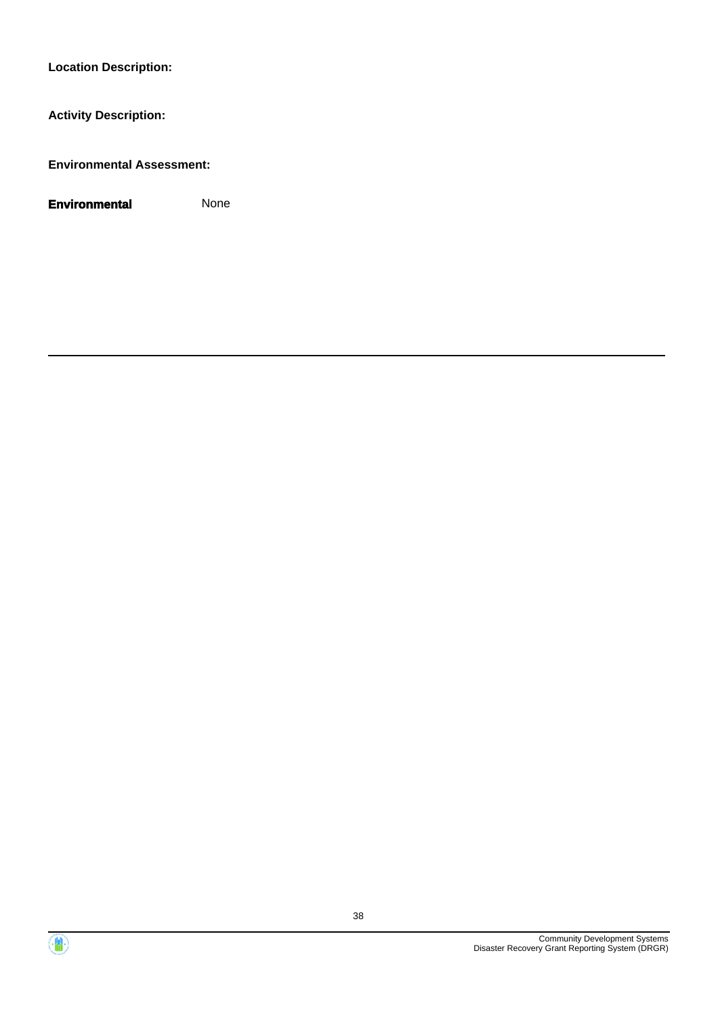**Activity Description:**

**Environmental Assessment:**

**Environmental** None

Community Development Systems Disaster Recovery Grant Reporting System (DRGR)

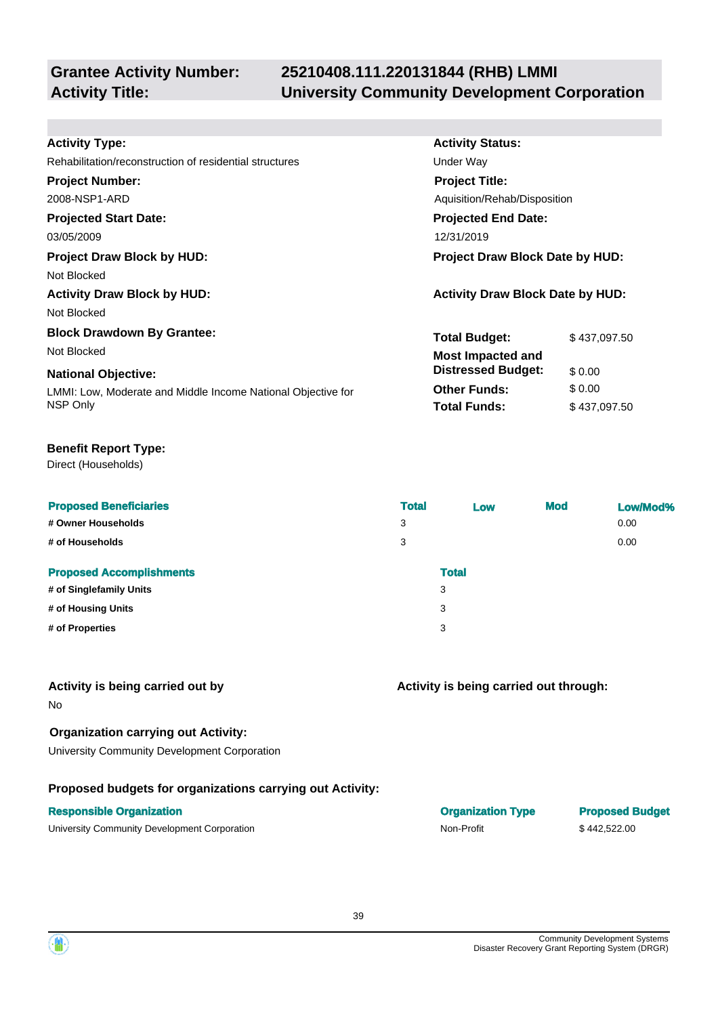## **Grantee Activity Number:**

## **25210408.111.220131844 (RHB) LMMI Activity Title: University Community Development Corporation**

**Activity Status:**

**Project Title:**

**Projected End Date:**

Aquisition/Rehab/Disposition

**Total Budget:** \$437,097.50

**Total Funds:** \$ 437,097.50

**Other Funds:**  $$0.00$ 

**Distressed Budget:** \$ 0.00

#### **Activity Type:**

Rehabilitation/reconstruction of residential structures **Exercise Structures** Under Way

#### **Project Number:**

2008-NSP1-ARD

#### **Projected Start Date:**

03/05/2009 12/31/2019

#### **Project Draw Block by HUD: Project Draw Block Date by HUD:**

Not Blocked

**Activity Draw Block by HUD: Activity Draw Block Date by HUD:**

Not Blocked

#### **Block Drawdown By Grantee:**

Not Blocked **Most Impacted and** 

#### **National Objective:**

LMMI: Low, Moderate and Middle Income National Objective for NSP Only

#### **Benefit Report Type:**

Direct (Households)

| <b>Proposed Beneficiaries</b>   | <b>Total</b> | Low          | <b>Mod</b> | Low/Mod% |
|---------------------------------|--------------|--------------|------------|----------|
| # Owner Households              | 3            |              |            | 0.00     |
| # of Households                 | 3            |              |            | 0.00     |
| <b>Proposed Accomplishments</b> |              | <b>Total</b> |            |          |
| # of Singlefamily Units         |              | 3            |            |          |
| # of Housing Units              |              | 3            |            |          |
| # of Properties                 |              | 3            |            |          |
|                                 |              |              |            |          |

#### **Activity is being carried out by**

No

### **Organization carrying out Activity:**

University Community Development Corporation

#### **Proposed budgets for organizations carrying out Activity:**

#### **Responsible Organization**

University Community Development Corporation Non-Profit \$ 442,522.00

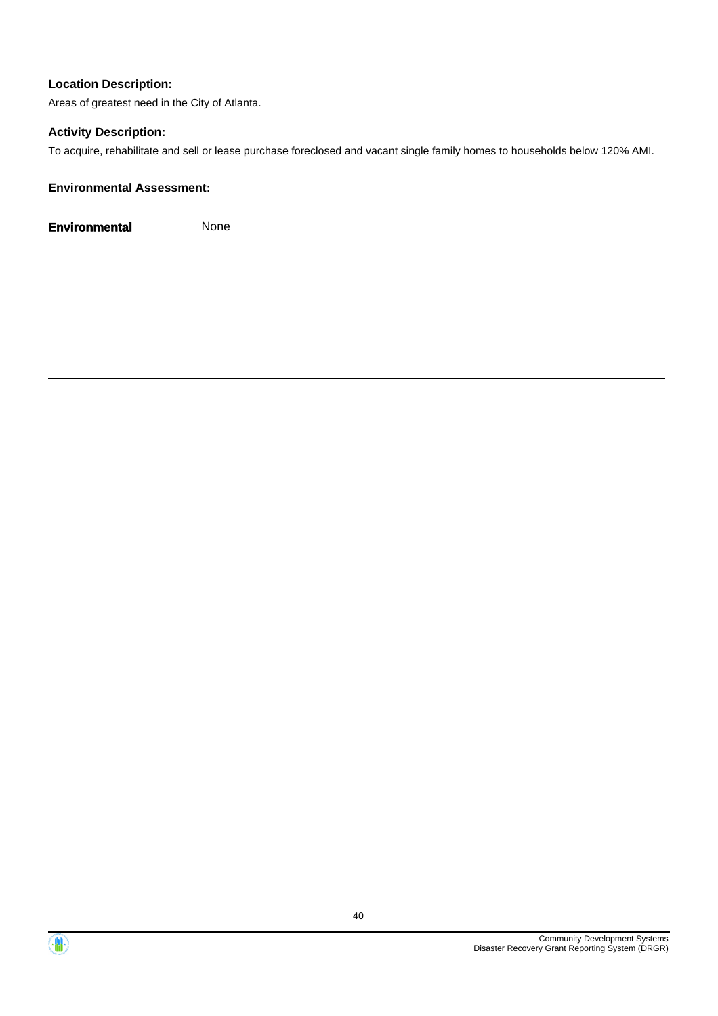Areas of greatest need in the City of Atlanta.

#### **Activity Description:**

To acquire, rehabilitate and sell or lease purchase foreclosed and vacant single family homes to households below 120% AMI.

#### **Environmental Assessment:**



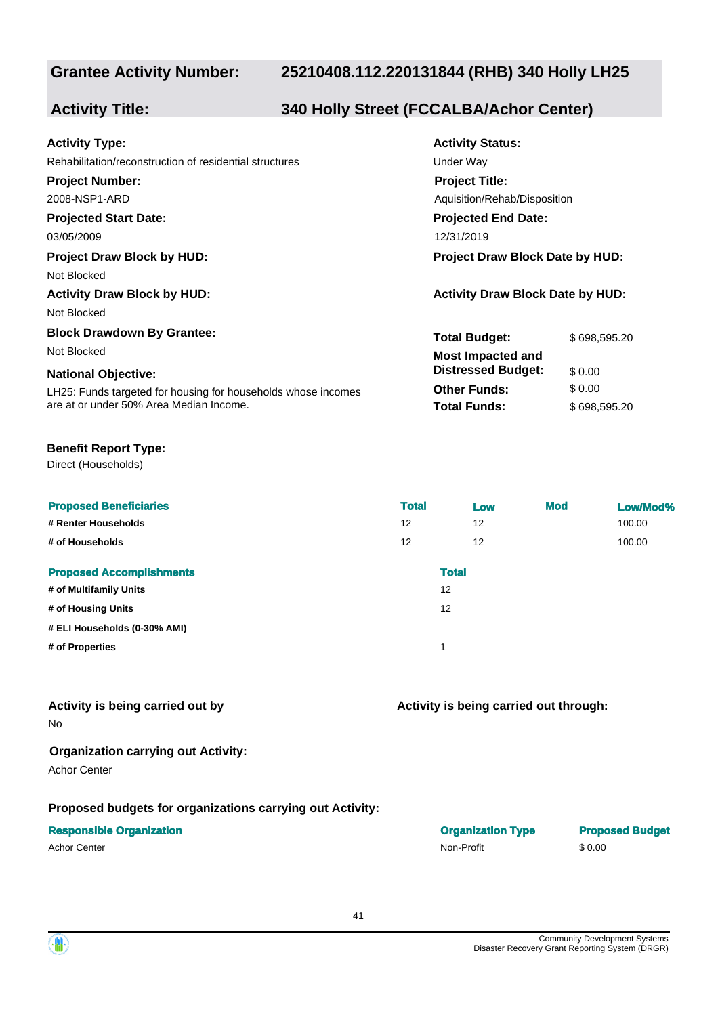#### **Grantee Activity Number:**

#### **25210408.112.220131844 (RHB) 340 Holly LH25**

### **Activity Title: 340 Holly Street (FCCALBA/Achor Center)**

| <b>Activity Type:</b>                                         | <b>Activity Status:</b>                 |              |  |  |
|---------------------------------------------------------------|-----------------------------------------|--------------|--|--|
| Rehabilitation/reconstruction of residential structures       | Under Way                               |              |  |  |
| <b>Project Number:</b>                                        | <b>Project Title:</b>                   |              |  |  |
| 2008-NSP1-ARD                                                 | Aquisition/Rehab/Disposition            |              |  |  |
| <b>Projected Start Date:</b>                                  | <b>Projected End Date:</b>              |              |  |  |
| 03/05/2009                                                    | 12/31/2019                              |              |  |  |
| <b>Project Draw Block by HUD:</b>                             | Project Draw Block Date by HUD:         |              |  |  |
| Not Blocked                                                   |                                         |              |  |  |
| <b>Activity Draw Block by HUD:</b>                            | <b>Activity Draw Block Date by HUD:</b> |              |  |  |
| Not Blocked                                                   |                                         |              |  |  |
| <b>Block Drawdown By Grantee:</b>                             | <b>Total Budget:</b>                    | \$698,595.20 |  |  |
| Not Blocked                                                   | <b>Most Impacted and</b>                |              |  |  |
| <b>National Objective:</b>                                    | <b>Distressed Budget:</b>               | \$0.00       |  |  |
| LH25: Funds targeted for housing for households whose incomes | <b>Other Funds:</b>                     | \$0.00       |  |  |
| are at or under 50% Area Median Income.                       | <b>Total Funds:</b>                     | \$698,595.20 |  |  |

#### **Benefit Report Type:**

Direct (Households)

| <b>Proposed Beneficiaries</b><br># Renter Households<br># of Households | <b>Total</b><br>12<br>$12 \overline{ }$ | Low<br>12<br>$12 \overline{ }$ | <b>Mod</b> | Low/Mod%<br>100.00<br>100.00 |
|-------------------------------------------------------------------------|-----------------------------------------|--------------------------------|------------|------------------------------|
| <b>Proposed Accomplishments</b><br># of Multifamily Units               |                                         | <b>Total</b><br>12             |            |                              |
| # of Housing Units<br># ELI Households (0-30% AMI)<br># of Properties   | $\overline{\mathbf{A}}$                 | 12                             |            |                              |

## **Activity is being carried out by**

#### **Activity is being carried out through:**

No

### **Organization carrying out Activity:**

Achor Center

#### **Proposed budgets for organizations carrying out Activity:**

#### **Responsible Organization**

| <b>Responsible Organization</b> | <b>Organization Type</b> | <b>Proposed Budget</b> |
|---------------------------------|--------------------------|------------------------|
| Achor Center                    | Non-Profit               | \$0.00                 |

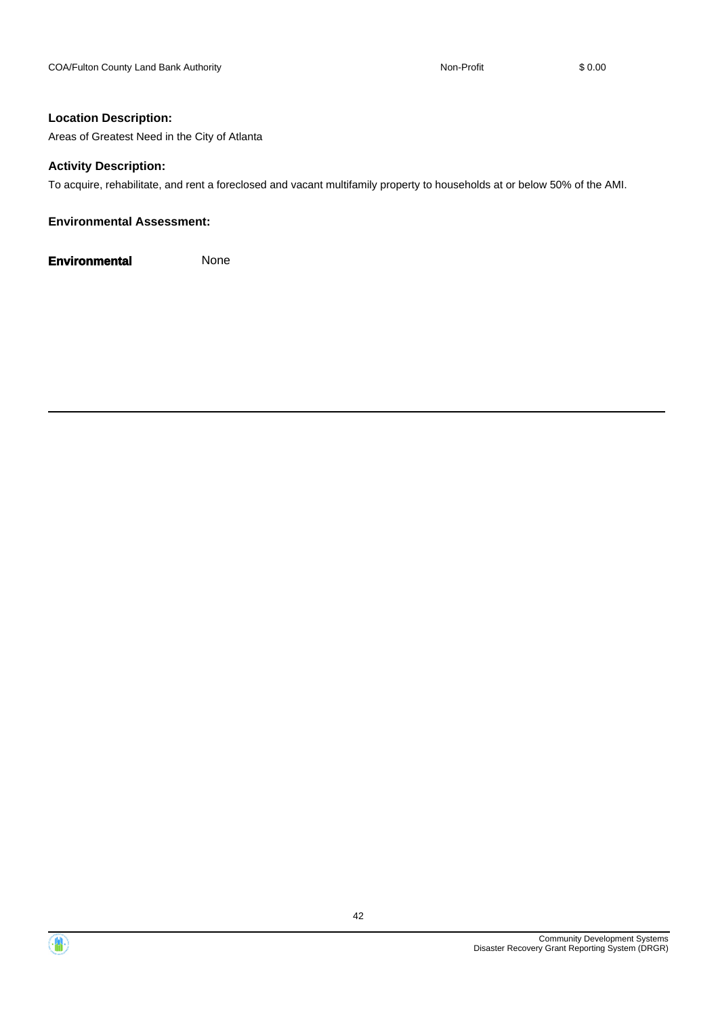Areas of Greatest Need in the City of Atlanta

#### **Activity Description:**

To acquire, rehabilitate, and rent a foreclosed and vacant multifamily property to households at or below 50% of the AMI.

#### **Environmental Assessment:**



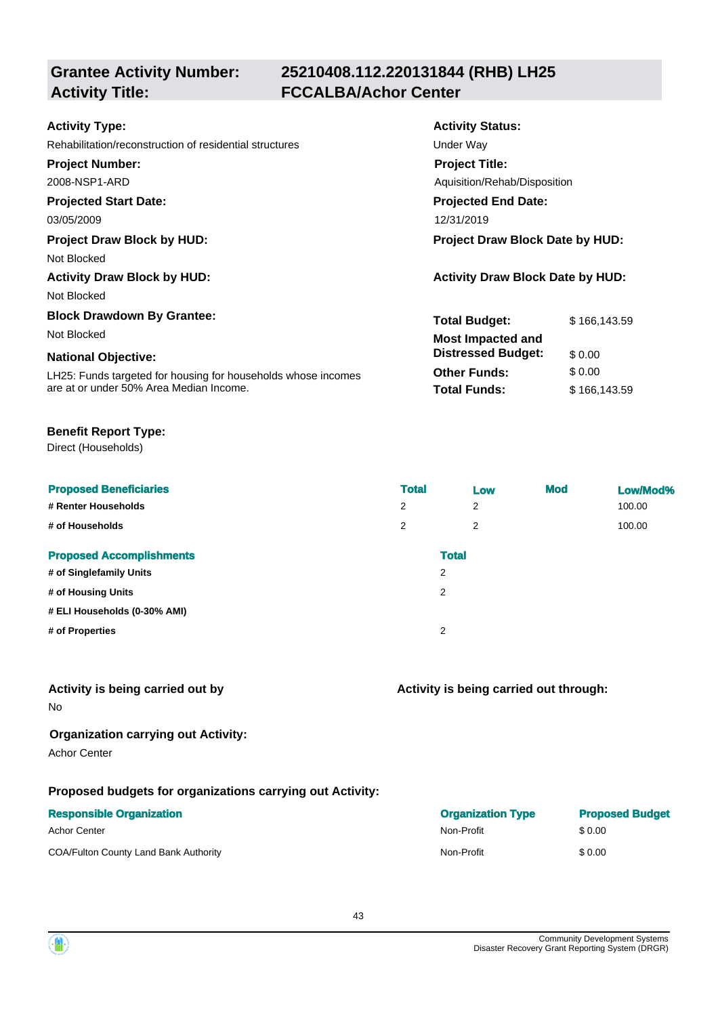# **Grantee Activity Number:**

## **25210408.112.220131844 (RHB) LH25 Activity Title: FCCALBA/Achor Center**

| <b>Activity Type:</b>                                         | <b>Activity Status:</b>                 |              |  |  |
|---------------------------------------------------------------|-----------------------------------------|--------------|--|--|
| Rehabilitation/reconstruction of residential structures       | Under Way                               |              |  |  |
| <b>Project Number:</b>                                        | <b>Project Title:</b>                   |              |  |  |
| 2008-NSP1-ARD                                                 | Aguisition/Rehab/Disposition            |              |  |  |
| <b>Projected Start Date:</b>                                  | <b>Projected End Date:</b>              |              |  |  |
| 03/05/2009                                                    | 12/31/2019                              |              |  |  |
| <b>Project Draw Block by HUD:</b>                             | <b>Project Draw Block Date by HUD:</b>  |              |  |  |
| Not Blocked                                                   |                                         |              |  |  |
| <b>Activity Draw Block by HUD:</b>                            | <b>Activity Draw Block Date by HUD:</b> |              |  |  |
| Not Blocked                                                   |                                         |              |  |  |
| <b>Block Drawdown By Grantee:</b>                             | <b>Total Budget:</b>                    | \$166,143.59 |  |  |
| Not Blocked                                                   | <b>Most Impacted and</b>                |              |  |  |
| <b>National Objective:</b>                                    | <b>Distressed Budget:</b>               | \$0.00       |  |  |
| LH25: Funds targeted for housing for households whose incomes | <b>Other Funds:</b>                     | \$0.00       |  |  |
| are at or under 50% Area Median Income.                       | <b>Total Funds:</b>                     | \$166,143.59 |  |  |

#### **Benefit Report Type:**

Direct (Households)

| <b>Proposed Beneficiaries</b><br># Renter Households<br># of Households | <b>Total</b><br>2<br>2 | Low<br>2<br>$\overline{2}$     | <b>Mod</b> | Low/Mod%<br>100.00<br>100.00 |
|-------------------------------------------------------------------------|------------------------|--------------------------------|------------|------------------------------|
| <b>Proposed Accomplishments</b><br># of Singlefamily Units              |                        | <b>Total</b><br>$\overline{2}$ |            |                              |
| # of Housing Units                                                      |                        | $\overline{2}$                 |            |                              |
| # ELI Households (0-30% AMI)                                            |                        |                                |            |                              |
| # of Properties                                                         |                        | 2                              |            |                              |

#### **Activity is being carried out by**

No

#### **Organization carrying out Activity:**

Achor Center

#### **Proposed budgets for organizations carrying out Activity:**

| <b>Responsible Organization</b>       | <b>Organization Type</b> | <b>Proposed Budget</b> |
|---------------------------------------|--------------------------|------------------------|
| Achor Center                          | Non-Profit               | \$ 0.00                |
| COA/Fulton County Land Bank Authority | Non-Profit               | \$ 0.00                |

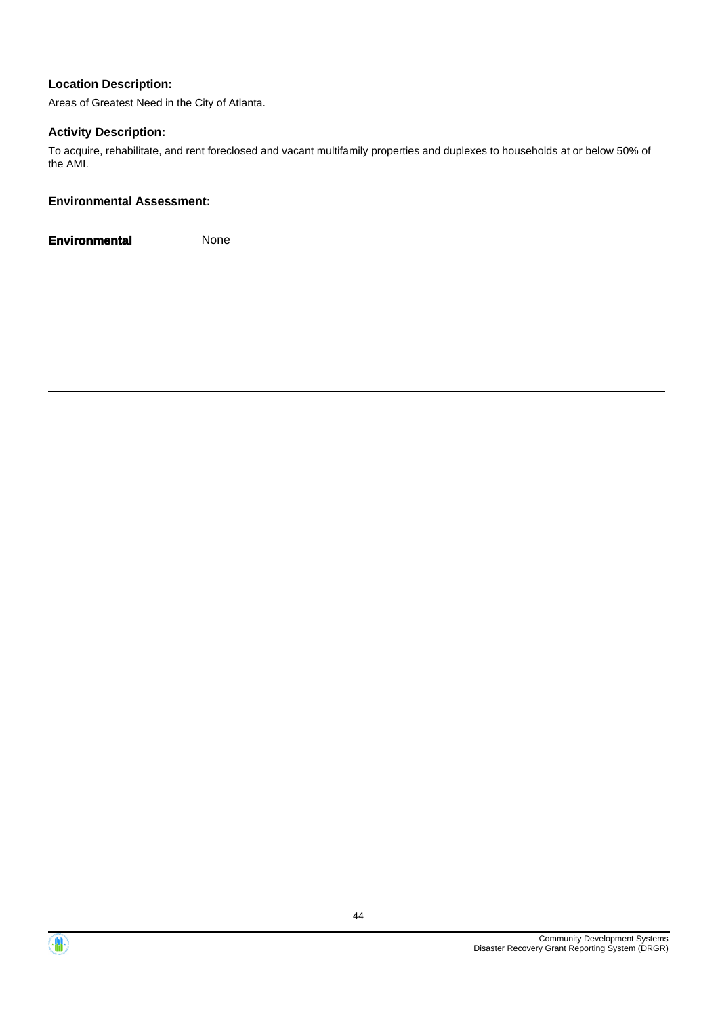Areas of Greatest Need in the City of Atlanta.

#### **Activity Description:**

To acquire, rehabilitate, and rent foreclosed and vacant multifamily properties and duplexes to households at or below 50% of the AMI.

#### **Environmental Assessment:**



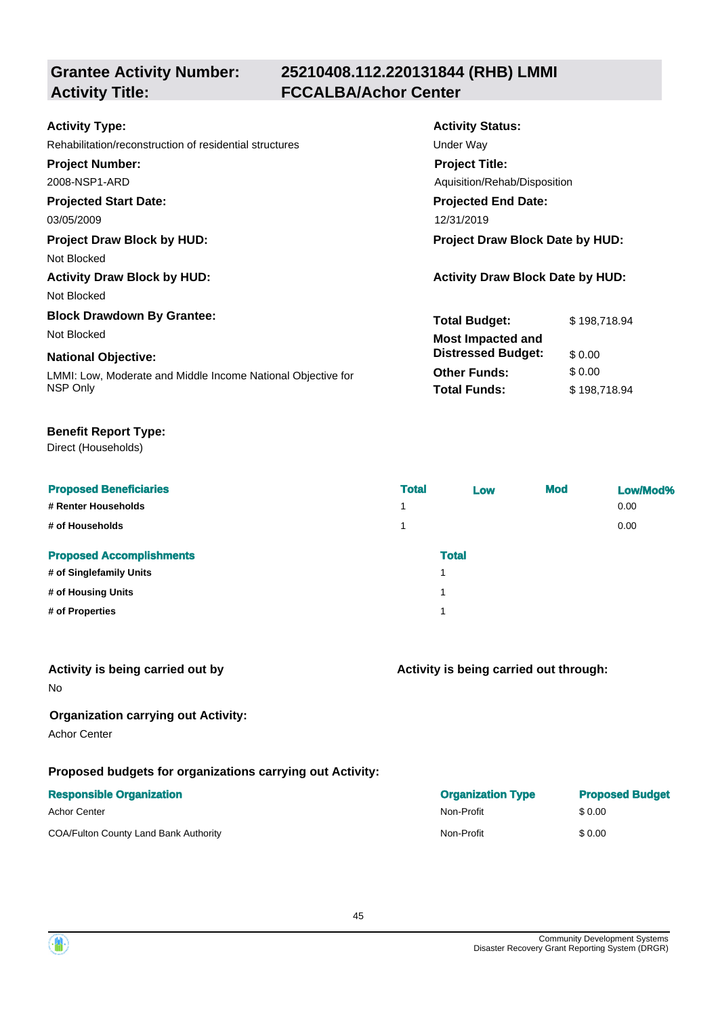## **Grantee Activity Number: Activity Title: FCCALBA/Achor Center**

## **25210408.112.220131844 (RHB) LMMI**

| <b>Activity Type:</b>                                        | <b>Activity Status:</b>                 |              |  |  |
|--------------------------------------------------------------|-----------------------------------------|--------------|--|--|
| Rehabilitation/reconstruction of residential structures      | Under Way                               |              |  |  |
| <b>Project Number:</b>                                       | <b>Project Title:</b>                   |              |  |  |
| 2008-NSP1-ARD                                                | Aquisition/Rehab/Disposition            |              |  |  |
| <b>Projected Start Date:</b>                                 | <b>Projected End Date:</b>              |              |  |  |
| 03/05/2009                                                   | 12/31/2019                              |              |  |  |
| <b>Project Draw Block by HUD:</b>                            | Project Draw Block Date by HUD:         |              |  |  |
| Not Blocked                                                  |                                         |              |  |  |
| <b>Activity Draw Block by HUD:</b>                           | <b>Activity Draw Block Date by HUD:</b> |              |  |  |
| Not Blocked                                                  |                                         |              |  |  |
| <b>Block Drawdown By Grantee:</b>                            | <b>Total Budget:</b>                    | \$198,718.94 |  |  |
| Not Blocked                                                  | Most Impacted and                       |              |  |  |
| <b>National Objective:</b>                                   | <b>Distressed Budget:</b>               | \$0.00       |  |  |
| LMMI: Low, Moderate and Middle Income National Objective for | <b>Other Funds:</b>                     | \$0.00       |  |  |
| NSP Only                                                     | <b>Total Funds:</b>                     | \$198,718.94 |  |  |

#### **Benefit Report Type:**

Direct (Households)

| <b>Proposed Beneficiaries</b>   | <b>Total</b>   | Low          | <b>Mod</b> | Low/Mod% |
|---------------------------------|----------------|--------------|------------|----------|
| # Renter Households             | $\overline{A}$ |              |            | 0.00     |
| # of Households                 | $\overline{ }$ |              |            | 0.00     |
| <b>Proposed Accomplishments</b> |                | <b>Total</b> |            |          |
| # of Singlefamily Units         |                | 1            |            |          |
| # of Housing Units              |                | 4            |            |          |
| # of Properties                 |                | 1            |            |          |
|                                 |                |              |            |          |

#### **Activity is being carried out by**

No

#### **Organization carrying out Activity:**

Achor Center

#### **Proposed budgets for organizations carrying out Activity:**

#### **Responsible Organization Organization Type Proposed Budget**

|                                       |            | <u>III DI RAMA MARITI DI MARITI DI PROPINSI DI PROPINSI DI PROPINSI DI PROPINSI DI PROPINSI DI PROPINSI DI PROPINSI DI PROPINSI DI PROPINSI DI PROPINSI DI PROPINSI DI PROPINSI DI PROPINSI DI PROPINSI DI PROPINSI DI PROPINSI </u> |
|---------------------------------------|------------|--------------------------------------------------------------------------------------------------------------------------------------------------------------------------------------------------------------------------------------|
| Achor Center                          | Non-Profit | \$0.00                                                                                                                                                                                                                               |
| COA/Fulton County Land Bank Authority | Non-Profit | \$0.00                                                                                                                                                                                                                               |

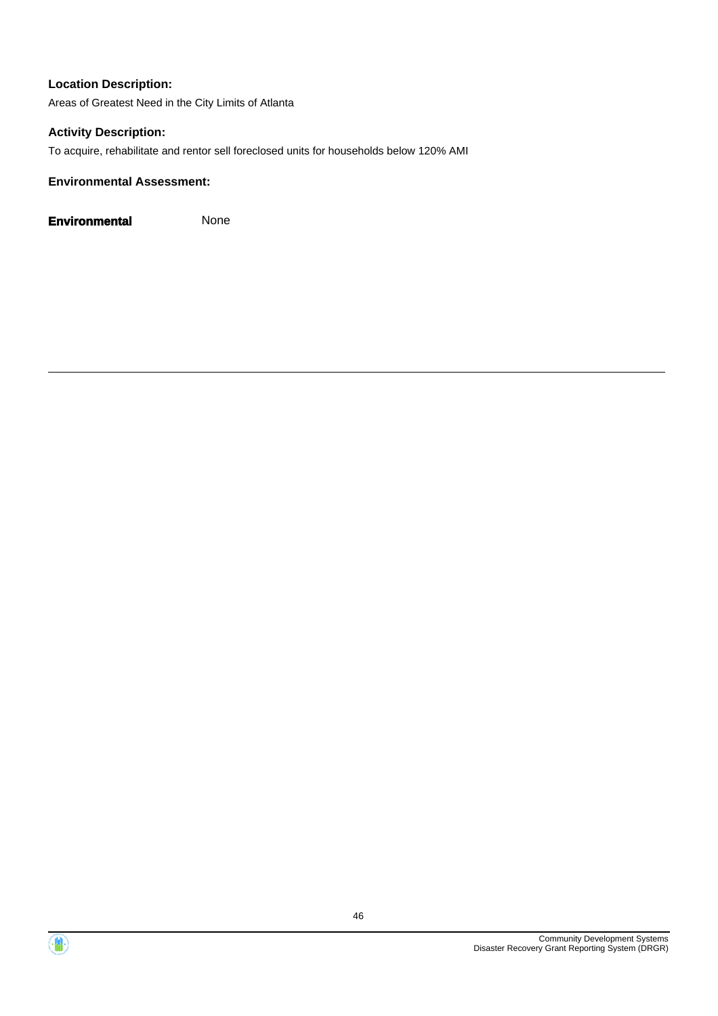Areas of Greatest Need in the City Limits of Atlanta

#### **Activity Description:**

To acquire, rehabilitate and rentor sell foreclosed units for households below 120% AMI

#### **Environmental Assessment:**

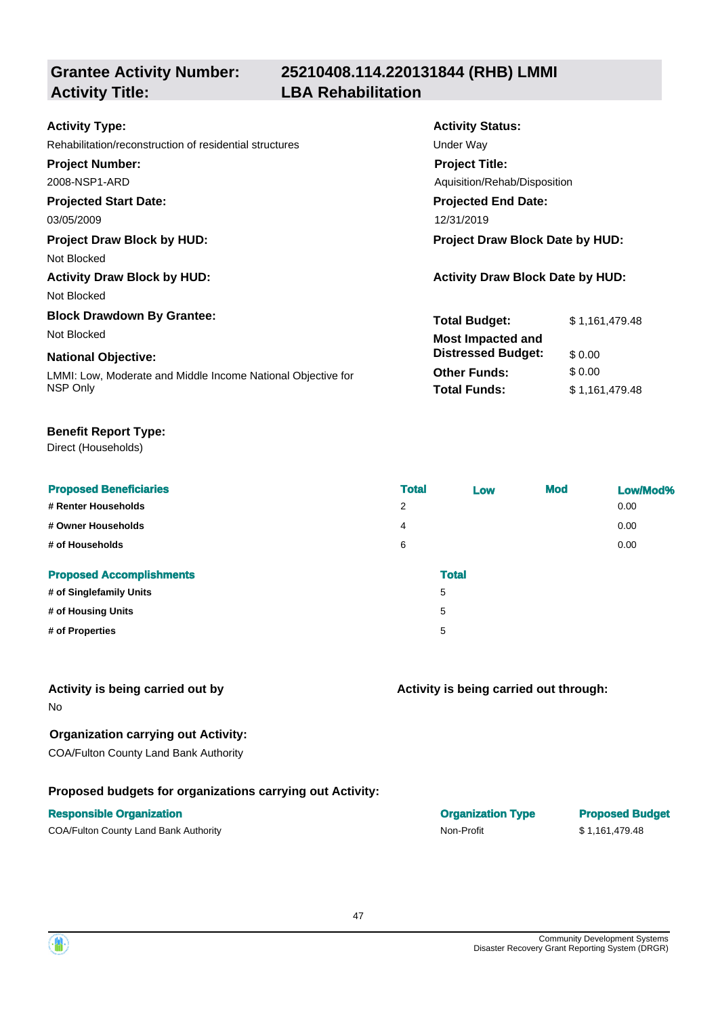## **Grantee Activity Number: Activity Title: LBA Rehabilitation**

## **25210408.114.220131844 (RHB) LMMI**

| <b>Activity Type:</b>                                        | <b>Activity Status:</b>                 |                |  |  |
|--------------------------------------------------------------|-----------------------------------------|----------------|--|--|
| Rehabilitation/reconstruction of residential structures      | Under Way                               |                |  |  |
| <b>Project Number:</b>                                       | <b>Project Title:</b>                   |                |  |  |
| 2008-NSP1-ARD                                                | Aguisition/Rehab/Disposition            |                |  |  |
| <b>Projected Start Date:</b>                                 | <b>Projected End Date:</b>              |                |  |  |
| 03/05/2009                                                   | 12/31/2019                              |                |  |  |
| <b>Project Draw Block by HUD:</b>                            | Project Draw Block Date by HUD:         |                |  |  |
| Not Blocked                                                  |                                         |                |  |  |
| <b>Activity Draw Block by HUD:</b>                           | <b>Activity Draw Block Date by HUD:</b> |                |  |  |
| Not Blocked                                                  |                                         |                |  |  |
| <b>Block Drawdown By Grantee:</b>                            | <b>Total Budget:</b>                    | \$1,161,479.48 |  |  |
| Not Blocked                                                  | <b>Most Impacted and</b>                |                |  |  |
| <b>National Objective:</b>                                   | <b>Distressed Budget:</b>               | \$0.00         |  |  |
| LMMI: Low, Moderate and Middle Income National Objective for | <b>Other Funds:</b>                     | \$0.00         |  |  |
| NSP Only                                                     | <b>Total Funds:</b>                     | \$1,161,479.48 |  |  |

#### **Benefit Report Type:**

Direct (Households)

| <b>Total</b>   | Low | <b>Mod</b>   | Low/Mod% |
|----------------|-----|--------------|----------|
| $\overline{2}$ |     |              | 0.00     |
| $\overline{4}$ |     |              | 0.00     |
| 6              |     |              | 0.00     |
|                |     |              |          |
|                | 5   |              |          |
|                | 5   |              |          |
|                | 5   |              |          |
|                |     | <b>Total</b> |          |

#### **Activity is being carried out by**

No

#### **Organization carrying out Activity:**

COA/Fulton County Land Bank Authority

#### **Proposed budgets for organizations carrying out Activity:**

#### **Responsible Organization COVID-100 COVID-100 COVID-100 COVID-100 COVID-100 COVID-100 COVID-100 COVID-100 COVID-100 COVID-100 COVID-100 COVID-100 COVID-100 COVID-100 COVID-100 COVID-100 COVID-100 COVID-100 COVID-100 COVI**

COA/Fulton County Land Bank Authority **Non-Profit** Non-Profit \$ 1,161,479.48

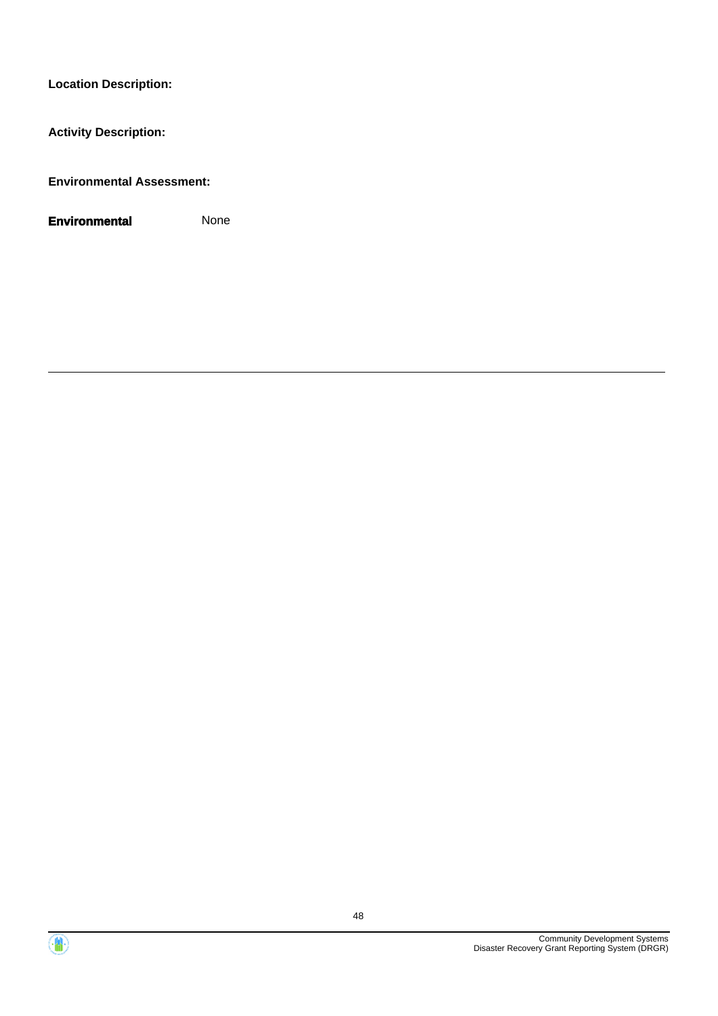**Activity Description:**

**Environmental Assessment:**



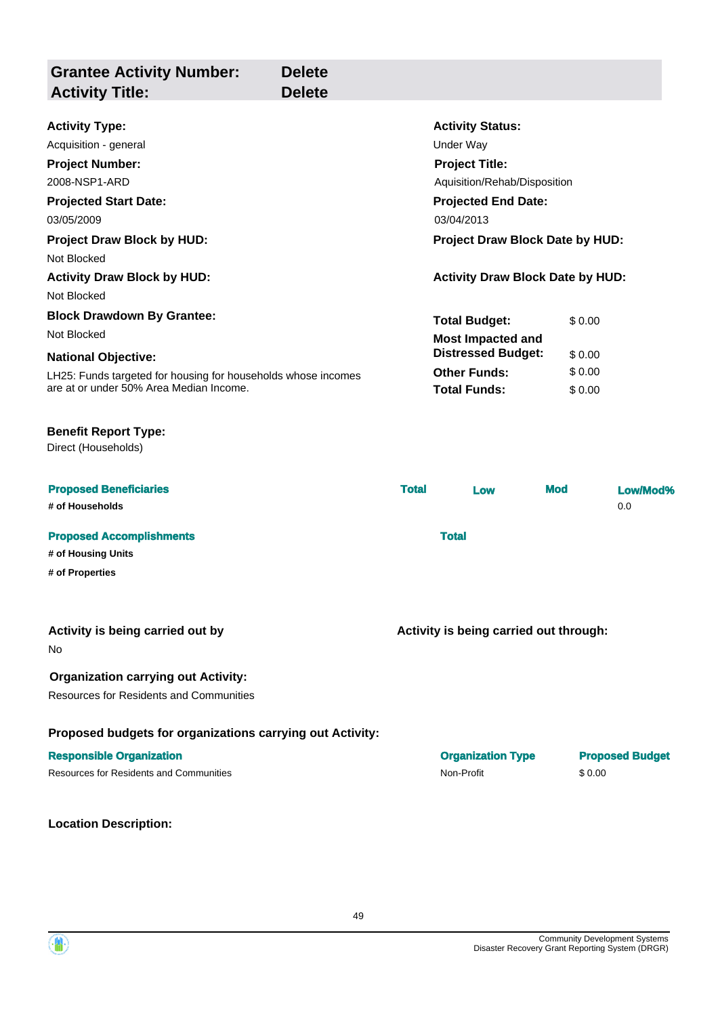| <b>Grantee Activity Number:</b><br><b>Activity Title:</b>                                    | <b>Delete</b><br><b>Delete</b> |                            |                                         |            |        |                        |
|----------------------------------------------------------------------------------------------|--------------------------------|----------------------------|-----------------------------------------|------------|--------|------------------------|
| <b>Activity Type:</b>                                                                        |                                |                            | <b>Activity Status:</b>                 |            |        |                        |
| Acquisition - general                                                                        |                                |                            | <b>Under Way</b>                        |            |        |                        |
| <b>Project Number:</b>                                                                       |                                |                            | <b>Project Title:</b>                   |            |        |                        |
| 2008-NSP1-ARD                                                                                |                                |                            | Aquisition/Rehab/Disposition            |            |        |                        |
| <b>Projected Start Date:</b>                                                                 |                                | <b>Projected End Date:</b> |                                         |            |        |                        |
| 03/05/2009                                                                                   |                                | 03/04/2013                 |                                         |            |        |                        |
| <b>Project Draw Block by HUD:</b>                                                            |                                |                            | Project Draw Block Date by HUD:         |            |        |                        |
| Not Blocked                                                                                  |                                |                            |                                         |            |        |                        |
| <b>Activity Draw Block by HUD:</b>                                                           |                                |                            | <b>Activity Draw Block Date by HUD:</b> |            |        |                        |
| Not Blocked                                                                                  |                                |                            |                                         |            |        |                        |
| <b>Block Drawdown By Grantee:</b>                                                            |                                |                            | <b>Total Budget:</b>                    |            | \$0.00 |                        |
| Not Blocked                                                                                  |                                |                            | <b>Most Impacted and</b>                |            |        |                        |
| <b>National Objective:</b>                                                                   |                                |                            | <b>Distressed Budget:</b>               |            | \$0.00 |                        |
| LH25: Funds targeted for housing for households whose incomes                                |                                |                            | <b>Other Funds:</b>                     |            | \$0.00 |                        |
| are at or under 50% Area Median Income.                                                      |                                |                            | <b>Total Funds:</b>                     |            | \$0.00 |                        |
| <b>Benefit Report Type:</b><br>Direct (Households)                                           |                                |                            |                                         |            |        |                        |
| <b>Proposed Beneficiaries</b>                                                                |                                | <b>Total</b>               | Low                                     | <b>Mod</b> |        | Low/Mod%               |
| # of Households                                                                              |                                |                            |                                         |            |        | 0.0                    |
| <b>Proposed Accomplishments</b>                                                              |                                |                            | <b>Total</b>                            |            |        |                        |
| # of Housing Units                                                                           |                                |                            |                                         |            |        |                        |
| # of Properties                                                                              |                                |                            |                                         |            |        |                        |
| Activity is being carried out by<br>No.                                                      |                                |                            | Activity is being carried out through:  |            |        |                        |
| <b>Organization carrying out Activity:</b><br><b>Resources for Residents and Communities</b> |                                |                            |                                         |            |        |                        |
| Proposed budgets for organizations carrying out Activity:                                    |                                |                            |                                         |            |        |                        |
| <b>Responsible Organization</b>                                                              |                                |                            | <b>Organization Type</b>                |            |        | <b>Proposed Budget</b> |
| <b>Resources for Residents and Communities</b>                                               |                                |                            | Non-Profit                              |            | \$0.00 |                        |
| <b>Location Description:</b>                                                                 |                                |                            |                                         |            |        |                        |

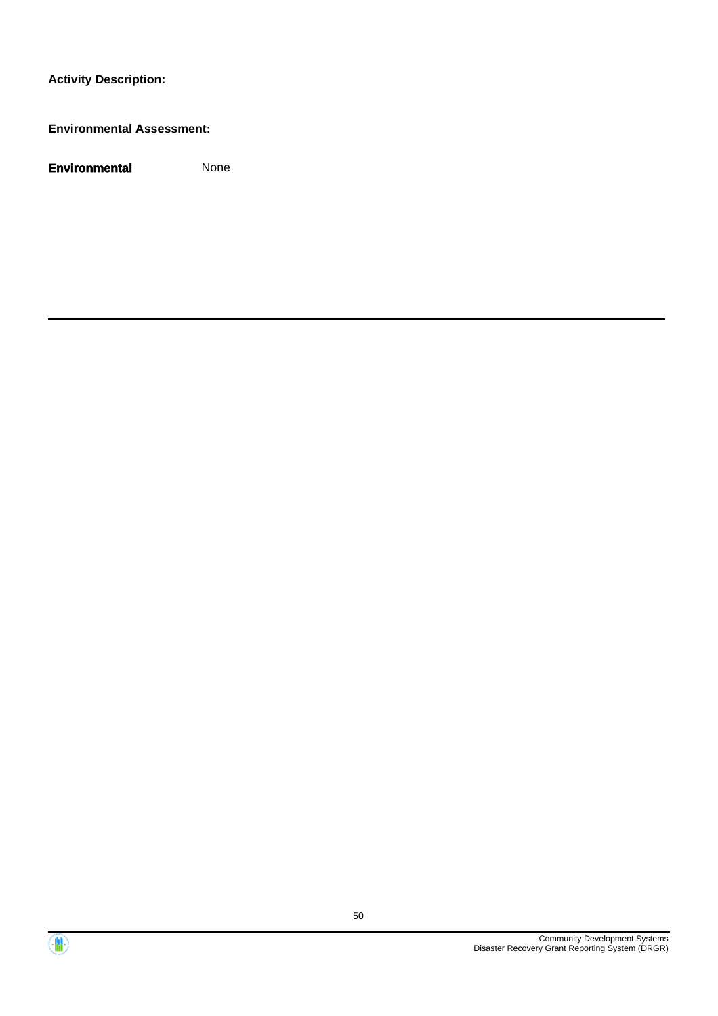#### **Environmental Assessment:**



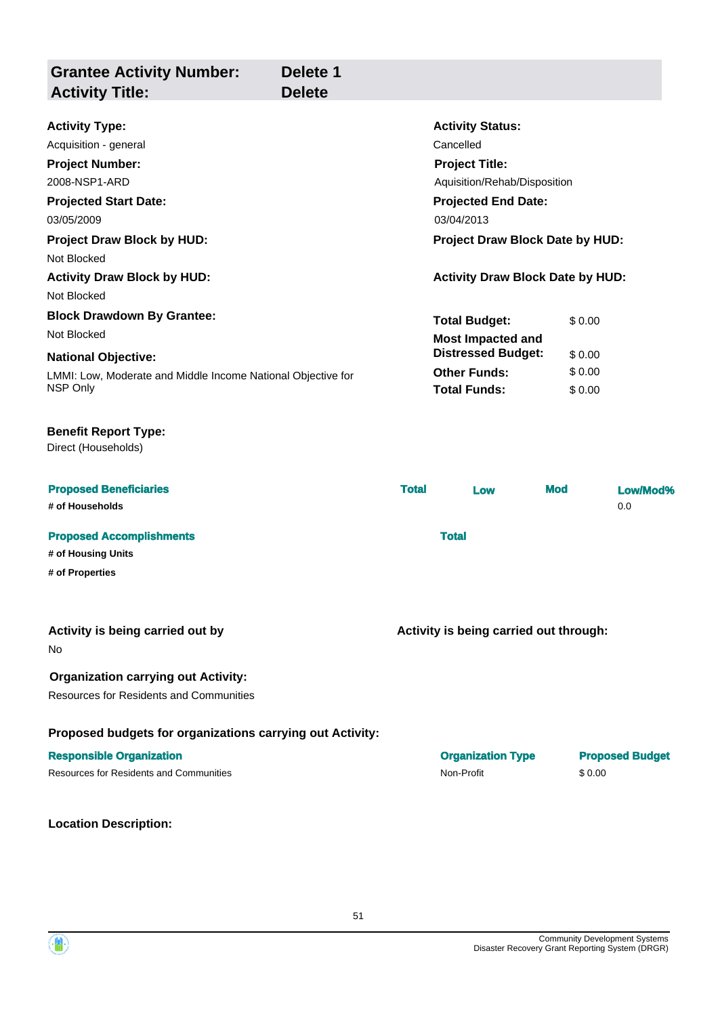| <b>Grantee Activity Number:</b><br><b>Activity Title:</b>                                    | Delete 1<br><b>Delete</b> |              |                                         |            |        |                        |
|----------------------------------------------------------------------------------------------|---------------------------|--------------|-----------------------------------------|------------|--------|------------------------|
| <b>Activity Type:</b>                                                                        |                           |              | <b>Activity Status:</b>                 |            |        |                        |
| Acquisition - general                                                                        |                           |              | Cancelled                               |            |        |                        |
| <b>Project Number:</b>                                                                       |                           |              | <b>Project Title:</b>                   |            |        |                        |
| 2008-NSP1-ARD                                                                                |                           |              | Aquisition/Rehab/Disposition            |            |        |                        |
| <b>Projected Start Date:</b>                                                                 |                           |              | <b>Projected End Date:</b>              |            |        |                        |
| 03/05/2009                                                                                   |                           |              | 03/04/2013                              |            |        |                        |
| <b>Project Draw Block by HUD:</b>                                                            |                           |              | <b>Project Draw Block Date by HUD:</b>  |            |        |                        |
| Not Blocked                                                                                  |                           |              |                                         |            |        |                        |
| <b>Activity Draw Block by HUD:</b>                                                           |                           |              | <b>Activity Draw Block Date by HUD:</b> |            |        |                        |
| Not Blocked                                                                                  |                           |              |                                         |            |        |                        |
| <b>Block Drawdown By Grantee:</b>                                                            |                           |              | <b>Total Budget:</b>                    |            | \$0.00 |                        |
| Not Blocked                                                                                  |                           |              | <b>Most Impacted and</b>                |            |        |                        |
| <b>National Objective:</b>                                                                   |                           |              | <b>Distressed Budget:</b>               |            | \$0.00 |                        |
| LMMI: Low, Moderate and Middle Income National Objective for                                 |                           |              | <b>Other Funds:</b>                     |            | \$0.00 |                        |
| NSP Only                                                                                     |                           |              | <b>Total Funds:</b>                     |            | \$0.00 |                        |
| <b>Benefit Report Type:</b><br>Direct (Households)                                           |                           |              |                                         |            |        |                        |
| <b>Proposed Beneficiaries</b>                                                                |                           | <b>Total</b> | Low                                     | <b>Mod</b> |        | Low/Mod%               |
| # of Households                                                                              |                           |              |                                         |            |        | 0.0                    |
| <b>Proposed Accomplishments</b>                                                              |                           |              | <b>Total</b>                            |            |        |                        |
| # of Housing Units                                                                           |                           |              |                                         |            |        |                        |
| # of Properties                                                                              |                           |              |                                         |            |        |                        |
| Activity is being carried out by<br>No                                                       |                           |              | Activity is being carried out through:  |            |        |                        |
| <b>Organization carrying out Activity:</b><br><b>Resources for Residents and Communities</b> |                           |              |                                         |            |        |                        |
| Proposed budgets for organizations carrying out Activity:                                    |                           |              |                                         |            |        |                        |
| <b>Responsible Organization</b>                                                              |                           |              | <b>Organization Type</b>                |            |        | <b>Proposed Budget</b> |
| <b>Resources for Residents and Communities</b>                                               |                           |              | Non-Profit                              |            | \$0.00 |                        |
| <b>Location Description:</b>                                                                 |                           |              |                                         |            |        |                        |



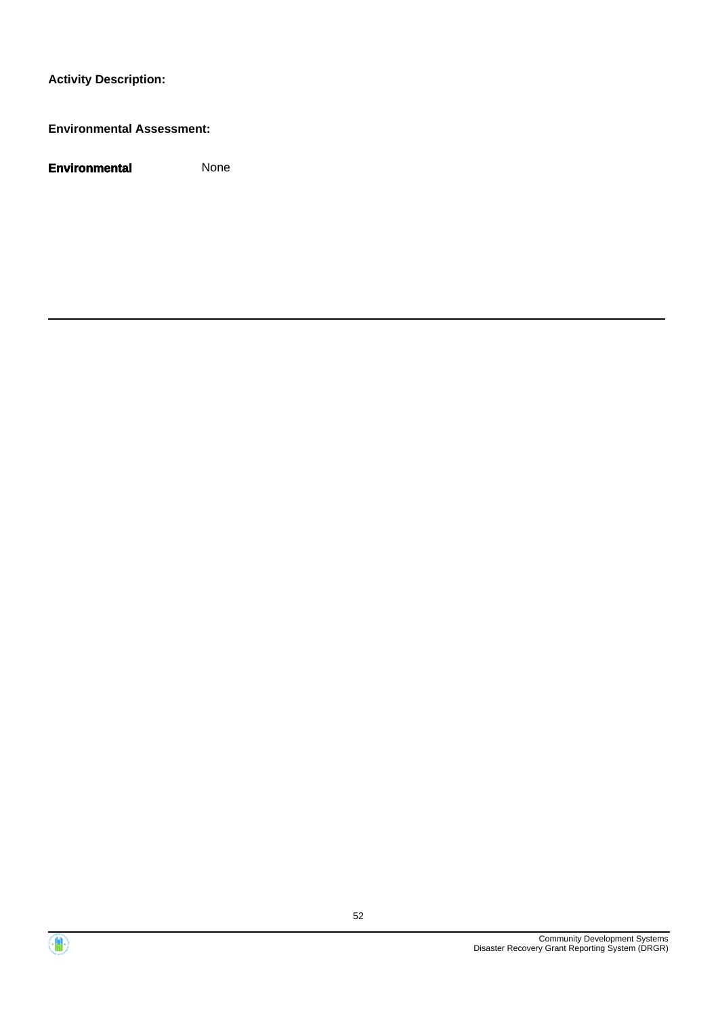#### **Environmental Assessment:**



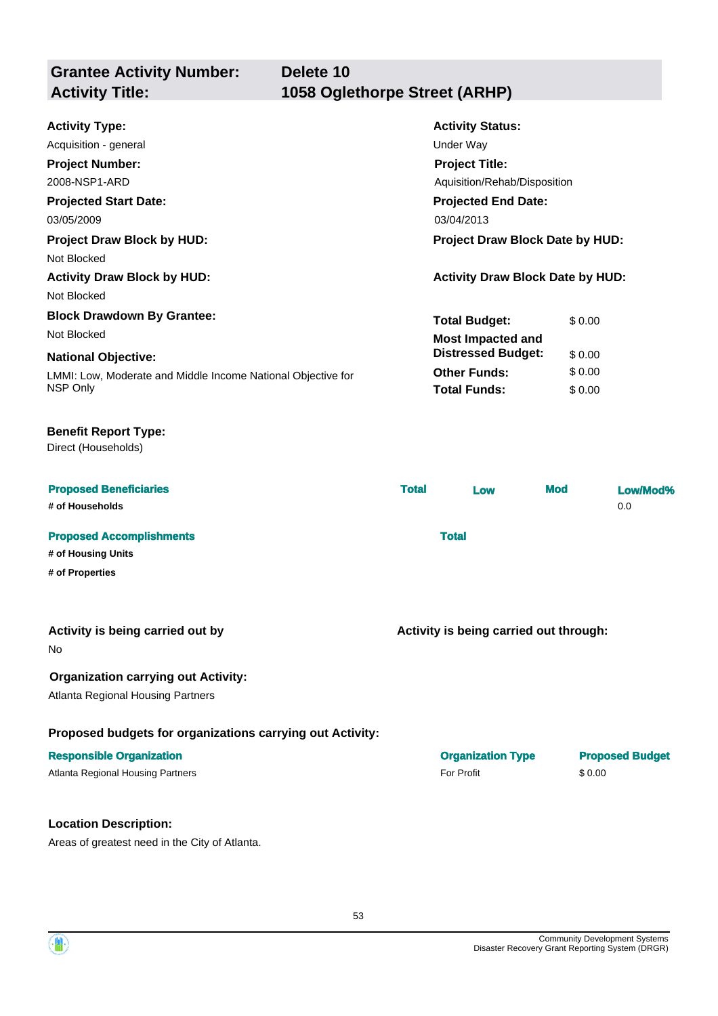| <b>Grantee Activity Number:</b> | Delete 10                     |
|---------------------------------|-------------------------------|
| <b>Activity Title:</b>          | 1058 Oglethorpe Street (ARHP) |
|                                 |                               |

| <b>Activity Type:</b>                                        | <b>Activity Status:</b>                 |        |  |
|--------------------------------------------------------------|-----------------------------------------|--------|--|
| Acquisition - general                                        | Under Way                               |        |  |
| <b>Project Number:</b>                                       | <b>Project Title:</b>                   |        |  |
| 2008-NSP1-ARD                                                | Aquisition/Rehab/Disposition            |        |  |
| <b>Projected Start Date:</b>                                 | <b>Projected End Date:</b>              |        |  |
| 03/05/2009                                                   | 03/04/2013                              |        |  |
| <b>Project Draw Block by HUD:</b>                            | Project Draw Block Date by HUD:         |        |  |
| Not Blocked                                                  |                                         |        |  |
| <b>Activity Draw Block by HUD:</b>                           | <b>Activity Draw Block Date by HUD:</b> |        |  |
| Not Blocked                                                  |                                         |        |  |
| <b>Block Drawdown By Grantee:</b>                            | <b>Total Budget:</b>                    | \$0.00 |  |
| Not Blocked                                                  | <b>Most Impacted and</b>                |        |  |
| <b>National Objective:</b>                                   | <b>Distressed Budget:</b>               | \$0.00 |  |
| LMMI: Low, Moderate and Middle Income National Objective for | <b>Other Funds:</b>                     | \$0.00 |  |
| NSP Only                                                     | <b>Total Funds:</b>                     | \$0.00 |  |

#### **Benefit Report Type:**

Direct (Households)

| <b>Proposed Beneficiaries</b><br># of Households      | <b>Total</b> | Low | <b>Mod</b> | Low/Mod%<br>0.0 |
|-------------------------------------------------------|--------------|-----|------------|-----------------|
| <b>Proposed Accomplishments</b><br># of Housing Units | <b>Total</b> |     |            |                 |
| # of Properties                                       |              |     |            |                 |

#### **Activity is being carried out by**

No

#### **Organization carrying out Activity:**

Atlanta Regional Housing Partners

#### **Proposed budgets for organizations carrying out Activity:**

#### **Responsible Organization**

Atlanta Regional Housing Partners

#### **Location Description:**

Areas of greatest need in the City of Atlanta.

| <b>Organization Type</b> | <b>Proposed Budget</b> |
|--------------------------|------------------------|
| For Profit               | \$ 0.00                |

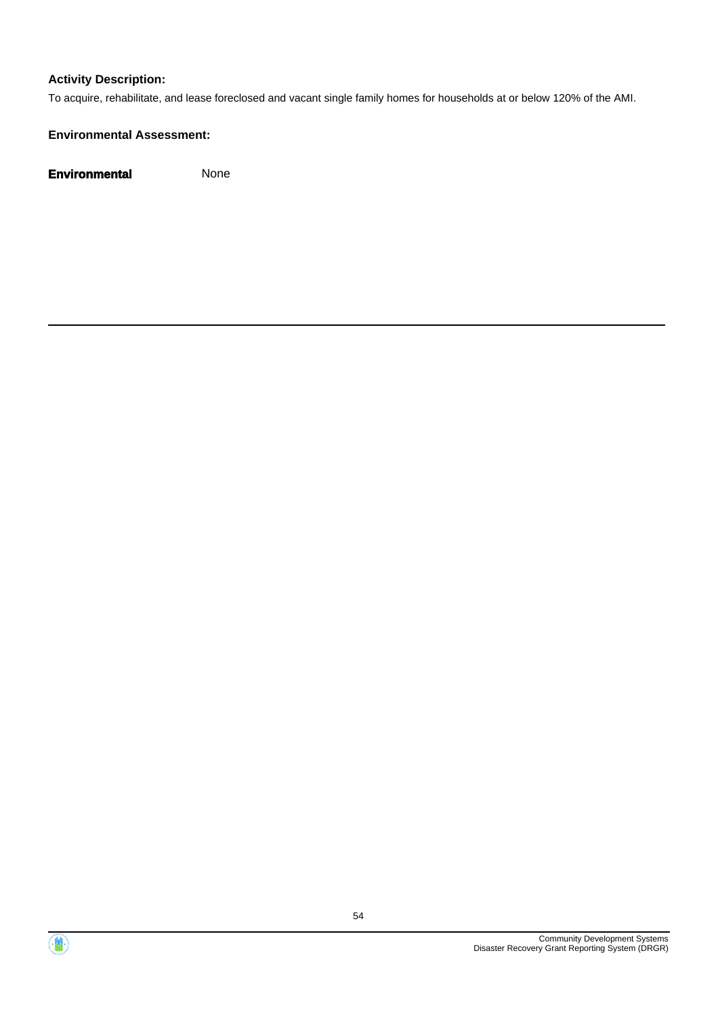To acquire, rehabilitate, and lease foreclosed and vacant single family homes for households at or below 120% of the AMI.

#### **Environmental Assessment:**



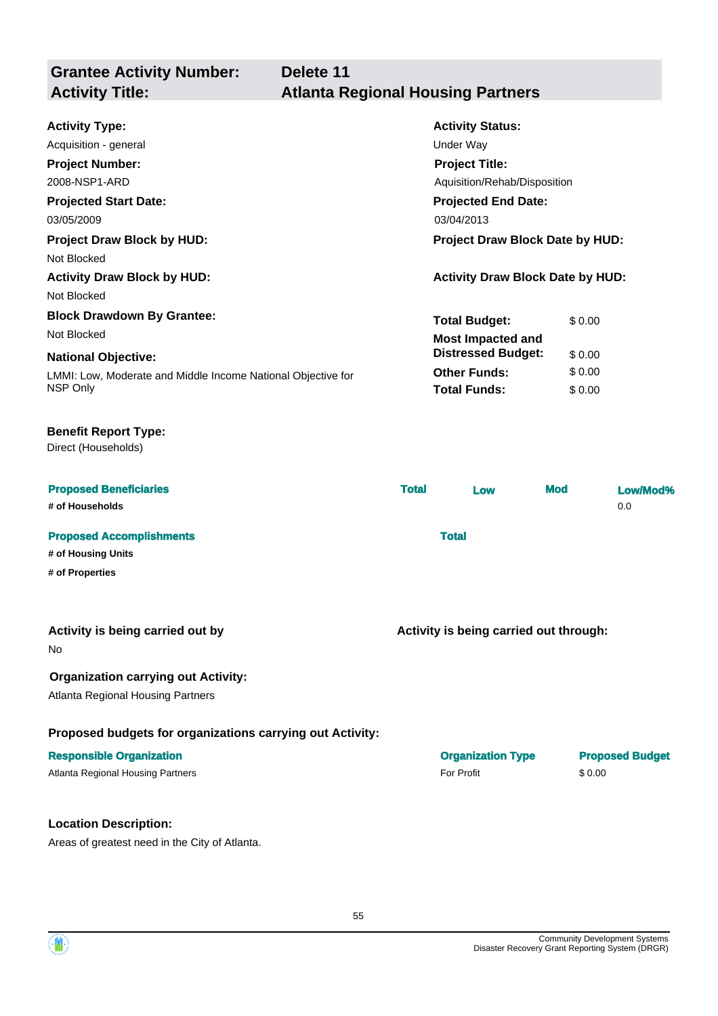**Grantee Activity Number: Activity Status: Delete 11 Activity Type:** Acquisition - general Under Way **Activity Title: Atlanta Regional Housing Partners Project Number:** 2008-NSP1-ARD **Project Title:** Aquisition/Rehab/Disposition

**Projected Start Date:** LMMI: Low, Moderate and Middle Income National Objective for NSP Only **National Objective: Projected End Date:** 03/05/2009 03/04/2013 **Total Budget:** \$ 0.00 **Other Funds:** \$ 0.00 **Total Funds:** \$ 0.00 **Project Draw Block by HUD: Project Draw Block Date by HUD:** Not Blocked **Activity Draw Block by HUD: Activity Draw Block Date by HUD:** Not Blocked **Block Drawdown By Grantee:** Not Blocked **Most Impacted and Distressed Budget:** \$ 0.00

#### **Benefit Report Type:**

Direct (Households)

| <b>Proposed Beneficiaries</b><br># of Households | <b>Total</b> | Low | <b>Mod</b> | Low/Mod%<br>0.0 |
|--------------------------------------------------|--------------|-----|------------|-----------------|
| <b>Proposed Accomplishments</b>                  | <b>Total</b> |     |            |                 |
| # of Housing Units                               |              |     |            |                 |
| # of Properties                                  |              |     |            |                 |

#### **Activity is being carried out by**

No

#### **Organization carrying out Activity:**

Atlanta Regional Housing Partners

#### **Proposed budgets for organizations carrying out Activity:**

#### **Location Description:**

Areas of greatest need in the City of Atlanta.

| <b>Responsible Organization</b>   | <b>Organization Type</b> | <b>Proposed Budget</b> |
|-----------------------------------|--------------------------|------------------------|
| Atlanta Regional Housing Partners | For Profit               | \$0.00                 |

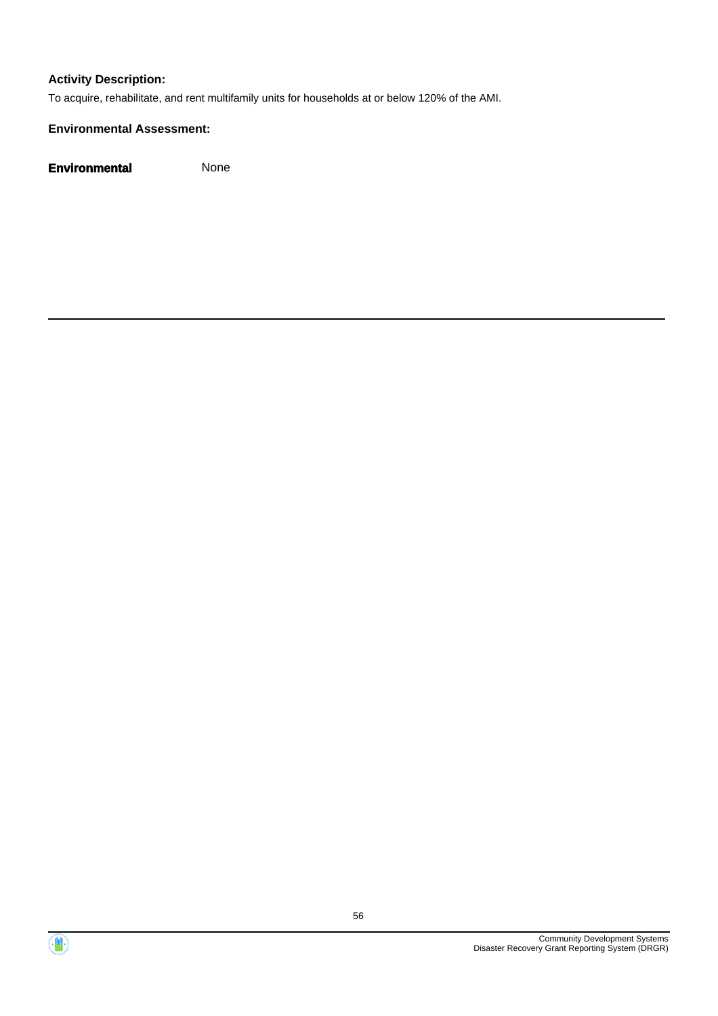To acquire, rehabilitate, and rent multifamily units for households at or below 120% of the AMI.

#### **Environmental Assessment:**



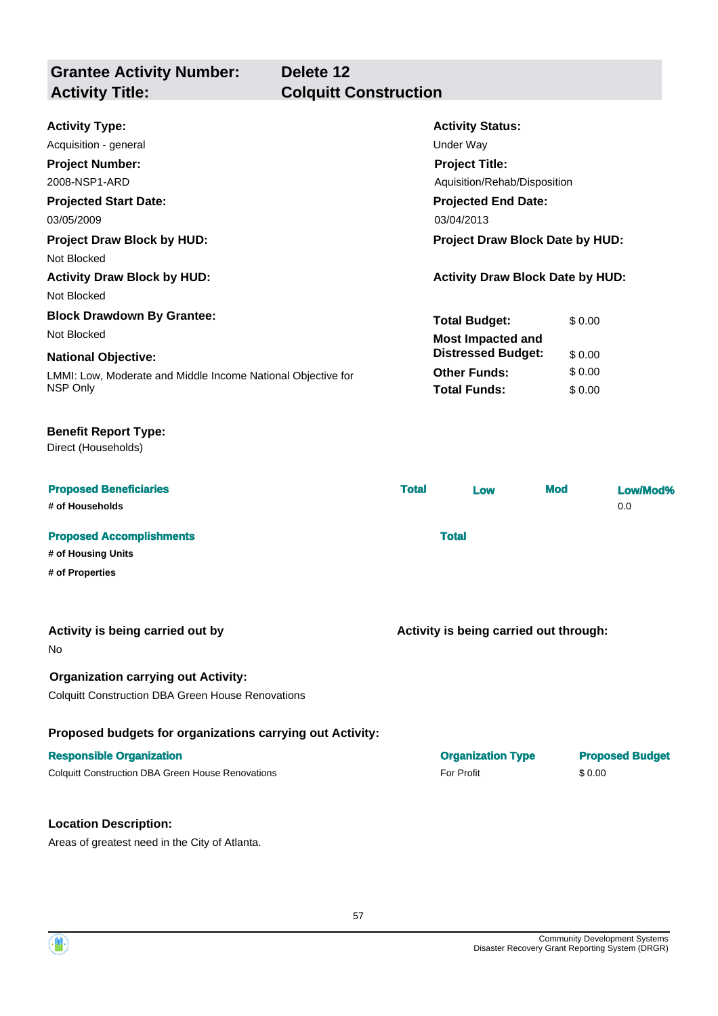**Grantee Activity Number: Activity Title: Colquitt Construction**

## **Delete 12**

| <b>Activity Status:</b>                 |  |  |
|-----------------------------------------|--|--|
| Under Way                               |  |  |
| <b>Project Title:</b>                   |  |  |
| Aquisition/Rehab/Disposition            |  |  |
| <b>Projected End Date:</b>              |  |  |
| 03/04/2013                              |  |  |
| <b>Project Draw Block Date by HUD:</b>  |  |  |
|                                         |  |  |
| <b>Activity Draw Block Date by HUD:</b> |  |  |
|                                         |  |  |
| <b>Total Budget:</b><br>\$0.00          |  |  |
| <b>Most Impacted and</b>                |  |  |
| <b>Distressed Budget:</b><br>\$0.00     |  |  |
| <b>Other Funds:</b><br>\$0.00           |  |  |
| <b>Total Funds:</b><br>\$0.00           |  |  |
|                                         |  |  |

#### **Benefit Report Type:**

Direct (Households)

| <b>Proposed Beneficiaries</b><br># of Households      | <b>Total</b> | Low | <b>Mod</b> | Low/Mod%<br>0.0 |
|-------------------------------------------------------|--------------|-----|------------|-----------------|
| <b>Proposed Accomplishments</b><br># of Housing Units | <b>Total</b> |     |            |                 |

**# of Properties**

| Activity is being carried out by |  |  |  |
|----------------------------------|--|--|--|
|----------------------------------|--|--|--|

No

#### **Organization carrying out Activity:**

Colquitt Construction DBA Green House Renovations

#### **Proposed budgets for organizations carrying out Activity:**

#### **Responsible Organization**

Colquitt Construction DBA Green House Renovations

#### **Location Description:**

Areas of greatest need in the City of Atlanta.

| <b>Organization Type</b> | <b>Proposed Budget</b> |
|--------------------------|------------------------|
| For Profit               | \$ 0.00                |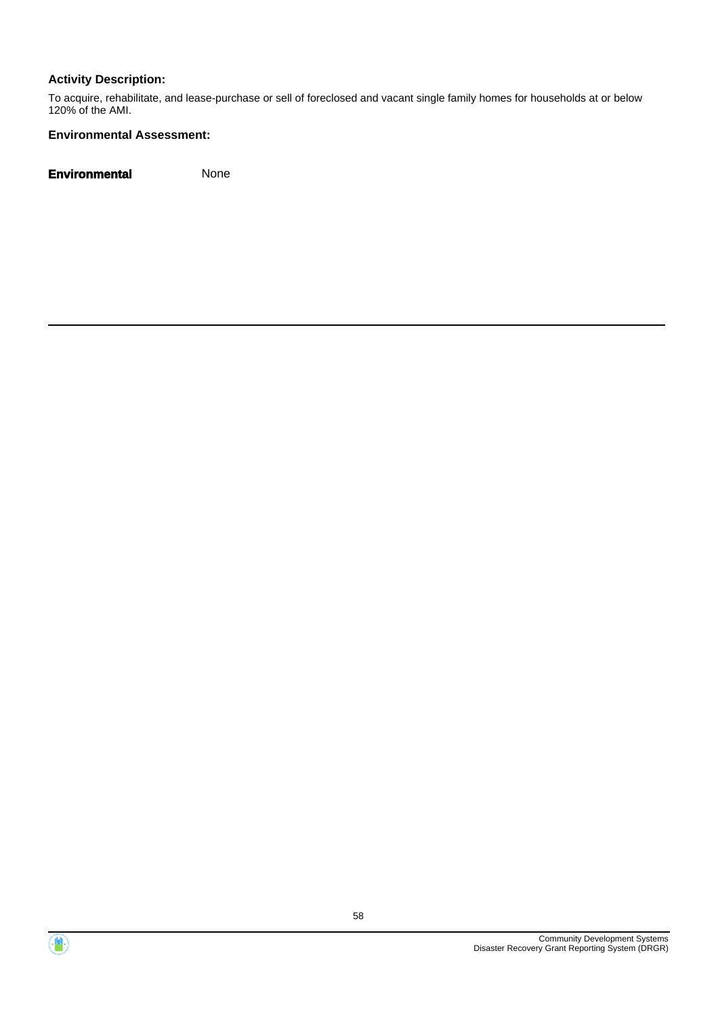To acquire, rehabilitate, and lease-purchase or sell of foreclosed and vacant single family homes for households at or below 120% of the AMI.

#### **Environmental Assessment:**



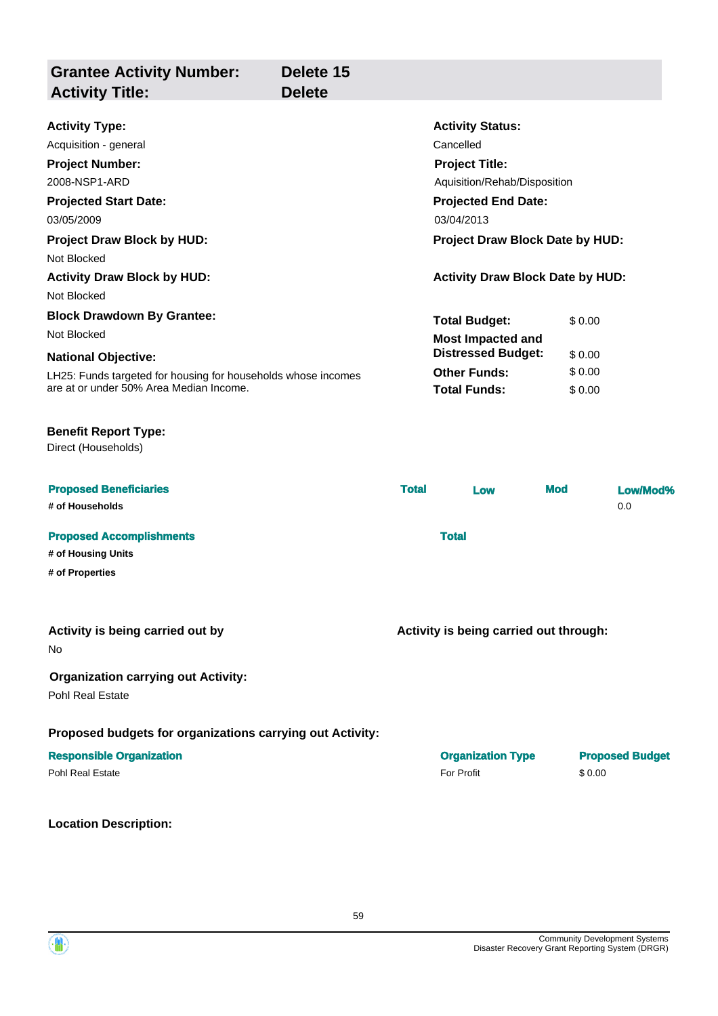| <b>Grantee Activity Number:</b><br><b>Activity Title:</b>                                                                                                                                                                                                                                                                                                                                           | Delete 15<br><b>Delete</b> |              |                                                                                                                                                                                                                                                                                                                                        |            |                            |                        |
|-----------------------------------------------------------------------------------------------------------------------------------------------------------------------------------------------------------------------------------------------------------------------------------------------------------------------------------------------------------------------------------------------------|----------------------------|--------------|----------------------------------------------------------------------------------------------------------------------------------------------------------------------------------------------------------------------------------------------------------------------------------------------------------------------------------------|------------|----------------------------|------------------------|
| <b>Activity Type:</b><br>Acquisition - general<br><b>Project Number:</b><br>2008-NSP1-ARD<br><b>Projected Start Date:</b><br>03/05/2009<br><b>Project Draw Block by HUD:</b><br>Not Blocked<br><b>Activity Draw Block by HUD:</b><br>Not Blocked<br><b>Block Drawdown By Grantee:</b><br>Not Blocked<br><b>National Objective:</b><br>LH25: Funds targeted for housing for households whose incomes |                            |              | <b>Activity Status:</b><br>Cancelled<br><b>Project Title:</b><br>Aquisition/Rehab/Disposition<br><b>Projected End Date:</b><br>03/04/2013<br><b>Project Draw Block Date by HUD:</b><br><b>Activity Draw Block Date by HUD:</b><br><b>Total Budget:</b><br><b>Most Impacted and</b><br><b>Distressed Budget:</b><br><b>Other Funds:</b> |            | \$0.00<br>\$0.00<br>\$0.00 |                        |
| are at or under 50% Area Median Income.<br><b>Benefit Report Type:</b><br>Direct (Households)                                                                                                                                                                                                                                                                                                       |                            |              | <b>Total Funds:</b>                                                                                                                                                                                                                                                                                                                    |            | \$0.00                     |                        |
| <b>Proposed Beneficiaries</b><br># of Households                                                                                                                                                                                                                                                                                                                                                    |                            | <b>Total</b> | Low                                                                                                                                                                                                                                                                                                                                    | <b>Mod</b> |                            | Low/Mod%<br>0.0        |
| <b>Proposed Accomplishments</b><br># of Housing Units<br># of Properties                                                                                                                                                                                                                                                                                                                            |                            |              | <b>Total</b>                                                                                                                                                                                                                                                                                                                           |            |                            |                        |
| Activity is being carried out by<br>No                                                                                                                                                                                                                                                                                                                                                              |                            |              | Activity is being carried out through:                                                                                                                                                                                                                                                                                                 |            |                            |                        |
| <b>Organization carrying out Activity:</b><br>Pohl Real Estate                                                                                                                                                                                                                                                                                                                                      |                            |              |                                                                                                                                                                                                                                                                                                                                        |            |                            |                        |
| Proposed budgets for organizations carrying out Activity:                                                                                                                                                                                                                                                                                                                                           |                            |              |                                                                                                                                                                                                                                                                                                                                        |            |                            |                        |
| <b>Responsible Organization</b><br>Pohl Real Estate                                                                                                                                                                                                                                                                                                                                                 |                            |              | <b>Organization Type</b><br>For Profit                                                                                                                                                                                                                                                                                                 |            | \$0.00                     | <b>Proposed Budget</b> |

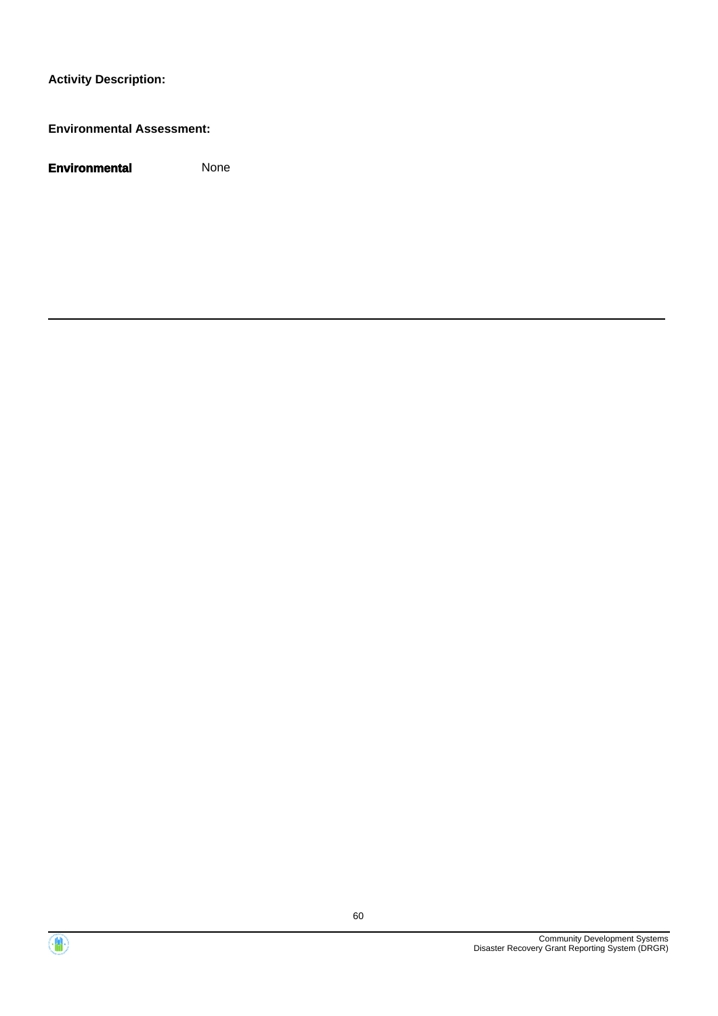#### **Environmental Assessment:**



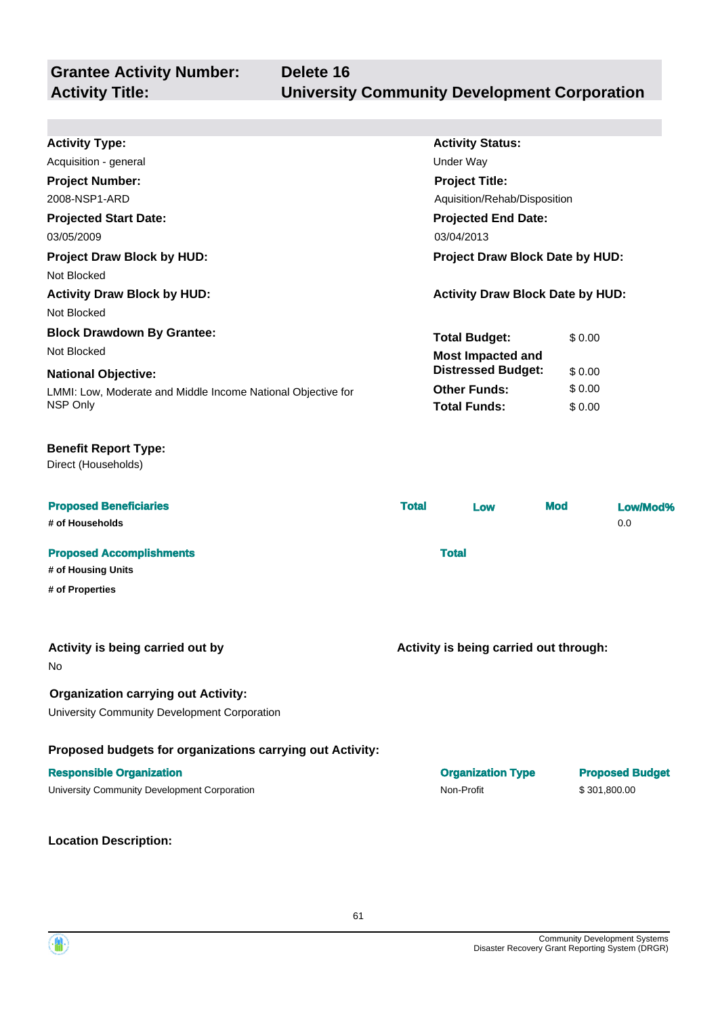| <b>Activity Type:</b>                                        |                                 |                                         |              |                        |  |
|--------------------------------------------------------------|---------------------------------|-----------------------------------------|--------------|------------------------|--|
|                                                              |                                 | <b>Activity Status:</b>                 |              |                        |  |
| Acquisition - general                                        |                                 | Under Way                               |              |                        |  |
| <b>Project Number:</b>                                       |                                 | <b>Project Title:</b>                   |              |                        |  |
| 2008-NSP1-ARD                                                |                                 | Aquisition/Rehab/Disposition            |              |                        |  |
| <b>Projected Start Date:</b><br><b>Projected End Date:</b>   |                                 |                                         |              |                        |  |
| 03/04/2013<br>03/05/2009                                     |                                 |                                         |              |                        |  |
| <b>Project Draw Block by HUD:</b>                            | Project Draw Block Date by HUD: |                                         |              |                        |  |
| Not Blocked                                                  |                                 |                                         |              |                        |  |
| <b>Activity Draw Block by HUD:</b>                           |                                 | <b>Activity Draw Block Date by HUD:</b> |              |                        |  |
| Not Blocked                                                  |                                 |                                         |              |                        |  |
| <b>Block Drawdown By Grantee:</b>                            |                                 | <b>Total Budget:</b>                    | \$0.00       |                        |  |
| Not Blocked                                                  |                                 | <b>Most Impacted and</b>                |              |                        |  |
| <b>National Objective:</b>                                   |                                 | <b>Distressed Budget:</b>               | \$0.00       |                        |  |
| LMMI: Low, Moderate and Middle Income National Objective for |                                 | <b>Other Funds:</b>                     | \$0.00       |                        |  |
| NSP Only                                                     |                                 | <b>Total Funds:</b>                     | \$0.00       |                        |  |
|                                                              |                                 |                                         |              |                        |  |
| <b>Benefit Report Type:</b><br>Direct (Households)           |                                 |                                         |              |                        |  |
| <b>Proposed Beneficiaries</b>                                | <b>Total</b>                    | Low                                     | <b>Mod</b>   | Low/Mod%               |  |
| # of Households                                              |                                 |                                         |              | 0.0                    |  |
| <b>Proposed Accomplishments</b>                              |                                 | <b>Total</b>                            |              |                        |  |
| # of Housing Units                                           |                                 |                                         |              |                        |  |
| # of Properties                                              |                                 |                                         |              |                        |  |
|                                                              |                                 |                                         |              |                        |  |
|                                                              |                                 |                                         |              |                        |  |
|                                                              |                                 |                                         |              |                        |  |
| Activity is being carried out by<br>No                       |                                 | Activity is being carried out through:  |              |                        |  |
|                                                              |                                 |                                         |              |                        |  |
| <b>Organization carrying out Activity:</b>                   |                                 |                                         |              |                        |  |
| University Community Development Corporation                 |                                 |                                         |              |                        |  |
| Proposed budgets for organizations carrying out Activity:    |                                 |                                         |              |                        |  |
| <b>Responsible Organization</b>                              |                                 | <b>Organization Type</b>                |              | <b>Proposed Budget</b> |  |
| University Community Development Corporation                 |                                 | Non-Profit                              | \$301,800.00 |                        |  |

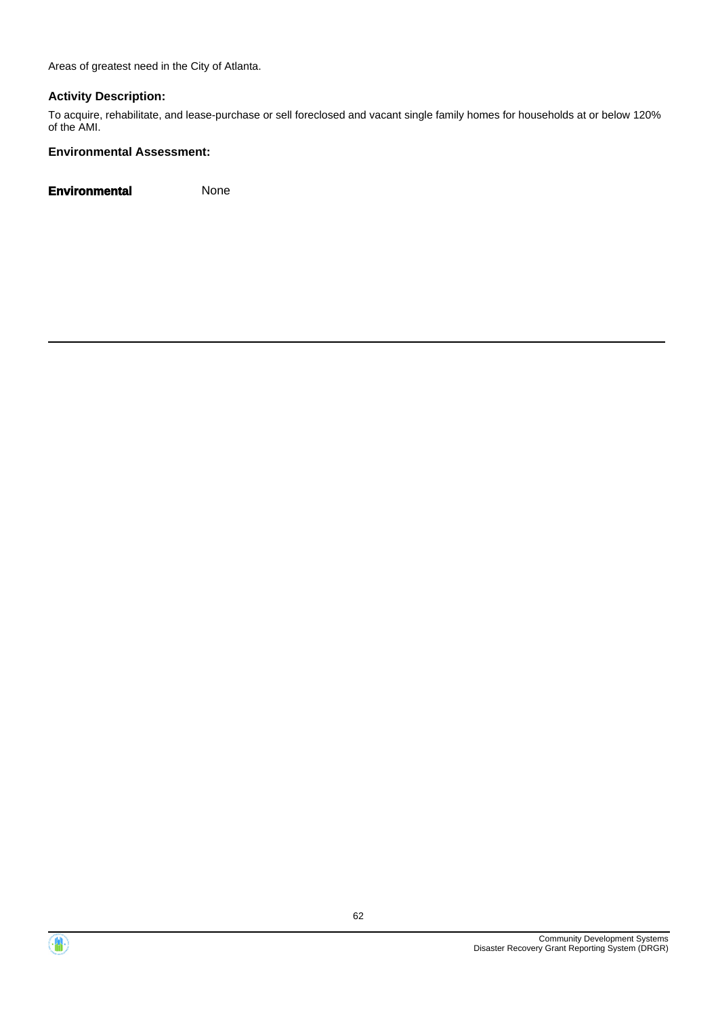Areas of greatest need in the City of Atlanta.

#### **Activity Description:**

To acquire, rehabilitate, and lease-purchase or sell foreclosed and vacant single family homes for households at or below 120% of the AMI.

#### **Environmental Assessment:**



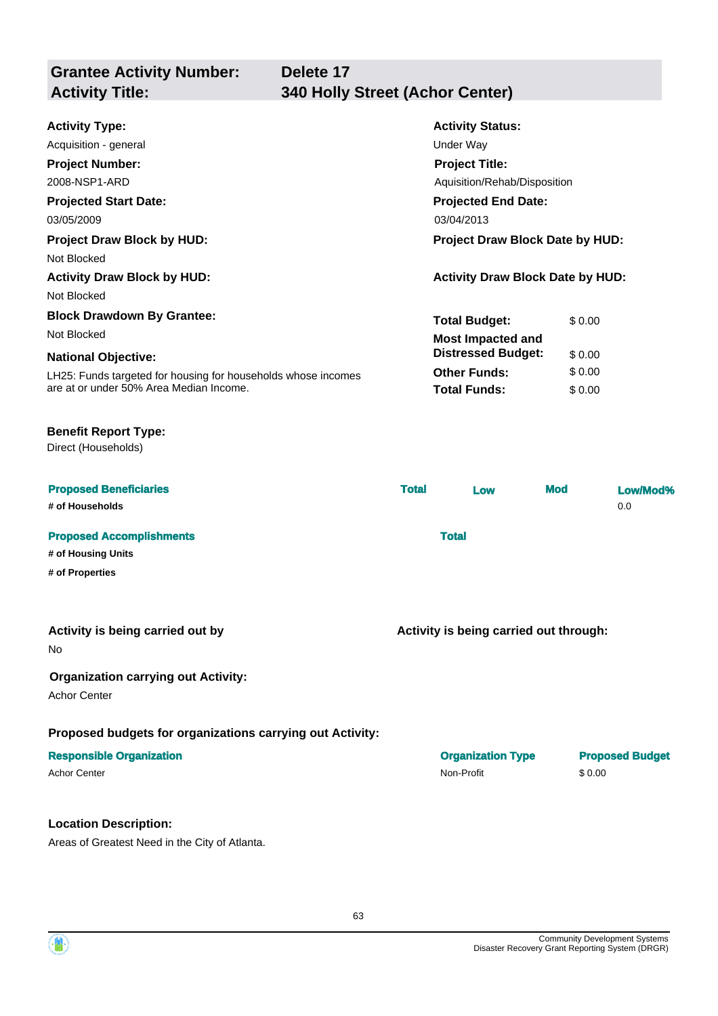| <b>Grantee Activity Number:</b><br><b>Activity Title:</b> | Delete 17<br><b>340 Holly Street (Achor Center)</b> |  |
|-----------------------------------------------------------|-----------------------------------------------------|--|
|                                                           |                                                     |  |
| <b>Activity Type:</b>                                     | <b>Activity Status:</b>                             |  |
| Acquisition - general                                     | Under Way                                           |  |
| <b>Project Number:</b>                                    | <b>Project Title:</b>                               |  |

| 2008-NSP1-ARD                                                 | Aquisition/Rehab/Disposition            |        |  |
|---------------------------------------------------------------|-----------------------------------------|--------|--|
| <b>Projected Start Date:</b>                                  | <b>Projected End Date:</b>              |        |  |
| 03/05/2009                                                    | 03/04/2013                              |        |  |
| <b>Project Draw Block by HUD:</b>                             | Project Draw Block Date by HUD:         |        |  |
| Not Blocked                                                   |                                         |        |  |
| <b>Activity Draw Block by HUD:</b>                            | <b>Activity Draw Block Date by HUD:</b> |        |  |
| Not Blocked                                                   |                                         |        |  |
| <b>Block Drawdown By Grantee:</b>                             | <b>Total Budget:</b>                    | \$0.00 |  |
| Not Blocked                                                   | <b>Most Impacted and</b>                |        |  |
| <b>National Objective:</b>                                    | <b>Distressed Budget:</b>               | \$0.00 |  |
| LH25: Funds targeted for housing for households whose incomes | <b>Other Funds:</b>                     | \$0.00 |  |
| are at or under 50% Area Median Income.                       | <b>Total Funds:</b>                     | \$0.00 |  |

#### **Benefit Report Type:**

Direct (Households)

| <b>Proposed Beneficiaries</b><br># of Households      | <b>Total</b> | Low          | <b>Mod</b> | Low/Mod%<br>0.0 |
|-------------------------------------------------------|--------------|--------------|------------|-----------------|
| <b>Proposed Accomplishments</b><br># of Housing Units |              | <b>Total</b> |            |                 |
| # of Properties                                       |              |              |            |                 |

#### **Activity is being carried out by**

No

#### **Organization carrying out Activity:**

Achor Center

#### **Proposed budgets for organizations carrying out Activity:**

#### **Location Description:**

Areas of Greatest Need in the City of Atlanta.

| <b>Responsible Organization</b> | <b>Organization Type</b> | <b>Proposed Budget</b> |
|---------------------------------|--------------------------|------------------------|
| <b>Achor Center</b>             | Non-Profit               | \$0.00                 |

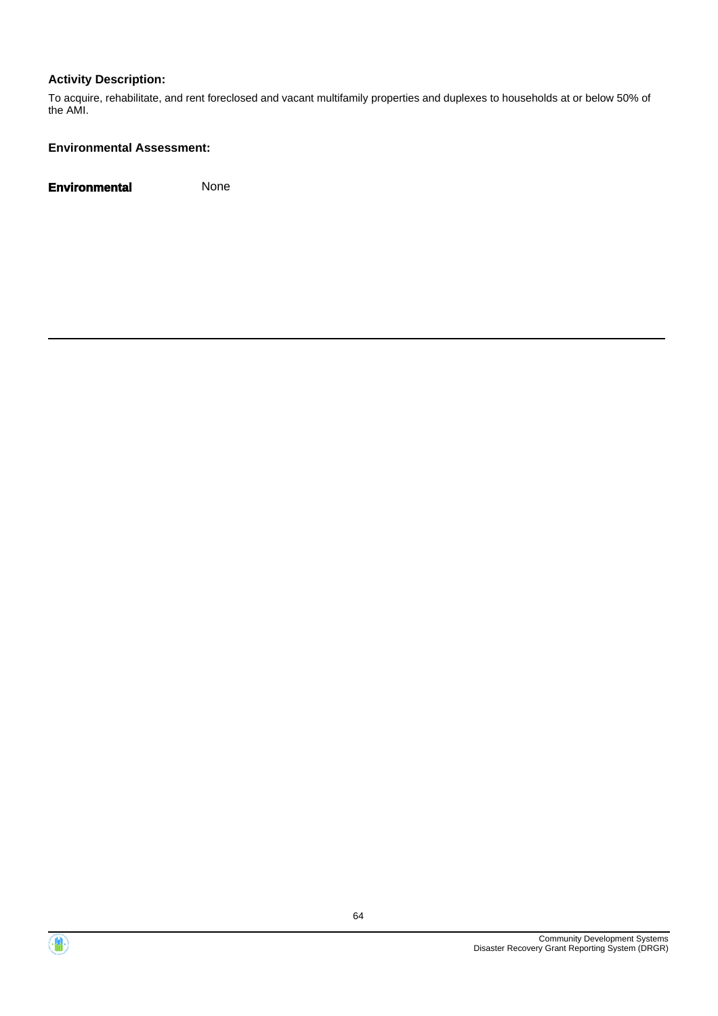To acquire, rehabilitate, and rent foreclosed and vacant multifamily properties and duplexes to households at or below 50% of the AMI.

#### **Environmental Assessment:**



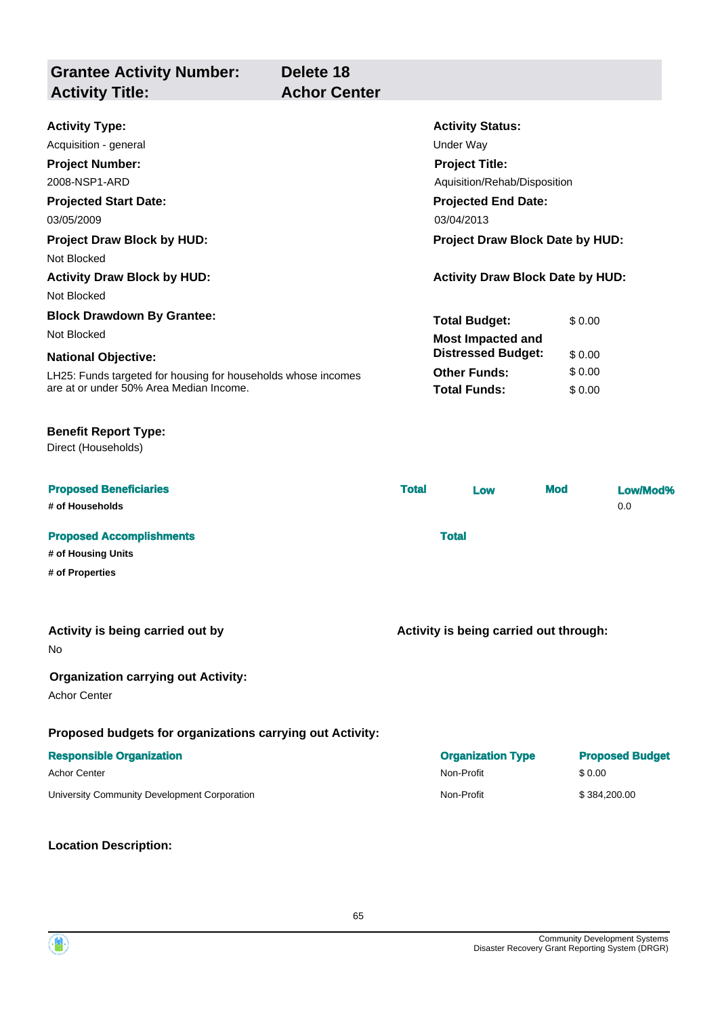**Grantee Activity Number: Projected Start Date:** LH25: Funds targeted for housing for households whose incomes are at or under 50% Area Median Income. **National Objective: Activity Status: Projected End Date: Delete 18 Activity Type:** 03/05/2009 03/04/2013 Acquisition - general and the contract of the Under Way **Activity Title: Achor Center Project Number:** 2008-NSP1-ARD **Project Title:** Aquisition/Rehab/Disposition **Total Budget:** \$ 0.00 **Other Funds:** \$ 0.00 **Total Funds:** \$ 0.00 **Project Draw Block by HUD: Project Draw Block Date by HUD:** Not Blocked **Activity Draw Block by HUD: Activity Draw Block Date by HUD:** Not Blocked **Block Drawdown By Grantee:** Not Blocked **Most Impacted and Distressed Budget:** \$ 0.00

#### **Benefit Report Type:**

Direct (Households)

| <b>Proposed Beneficiaries</b>   | <b>Total</b> | Low | <b>Mod</b> | Low/Mod% |
|---------------------------------|--------------|-----|------------|----------|
| # of Households                 |              |     |            | 0.0      |
| <b>Proposed Accomplishments</b> | <b>Total</b> |     |            |          |
| # of Housing Units              |              |     |            |          |
| # of Properties                 |              |     |            |          |

#### **Activity is being carried out by**

No

#### **Organization carrying out Activity:**

Achor Center

#### **Proposed budgets for organizations carrying out Activity:**

#### **Responsible Organization**

**Location Description:**

| <b>Responsible Organization</b>              | <b>Organization Type</b> | <b>Proposed Budget</b> |
|----------------------------------------------|--------------------------|------------------------|
| Achor Center                                 | Non-Profit               | \$ 0.00                |
| University Community Development Corporation | Non-Profit               | \$384,200,00           |

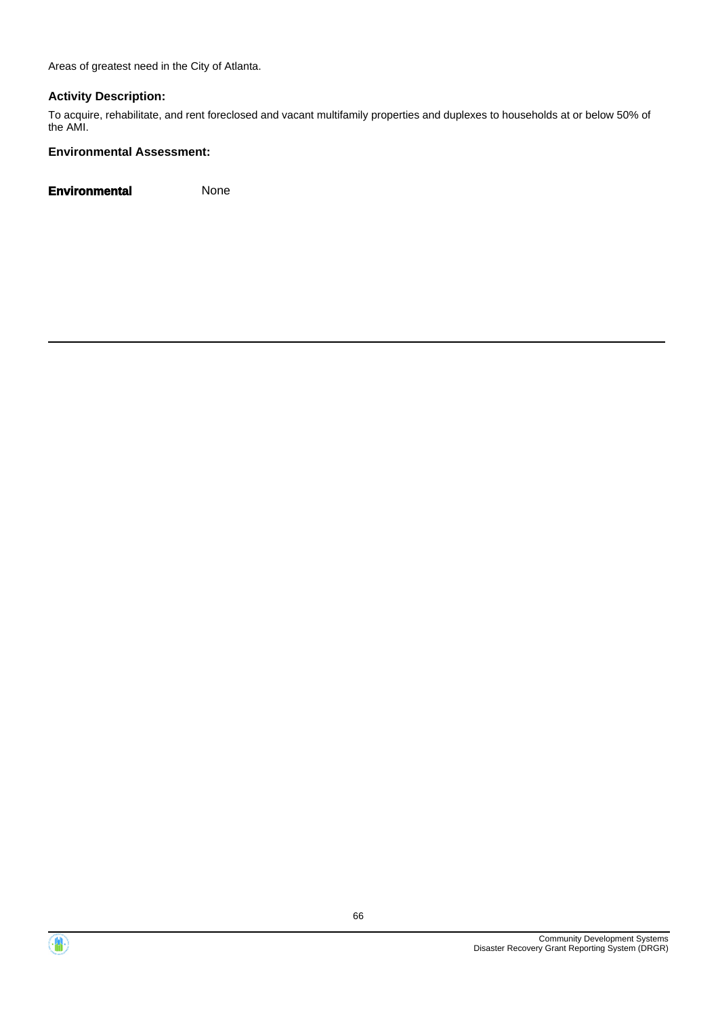Areas of greatest need in the City of Atlanta.

#### **Activity Description:**

To acquire, rehabilitate, and rent foreclosed and vacant multifamily properties and duplexes to households at or below 50% of the AMI.

#### **Environmental Assessment:**



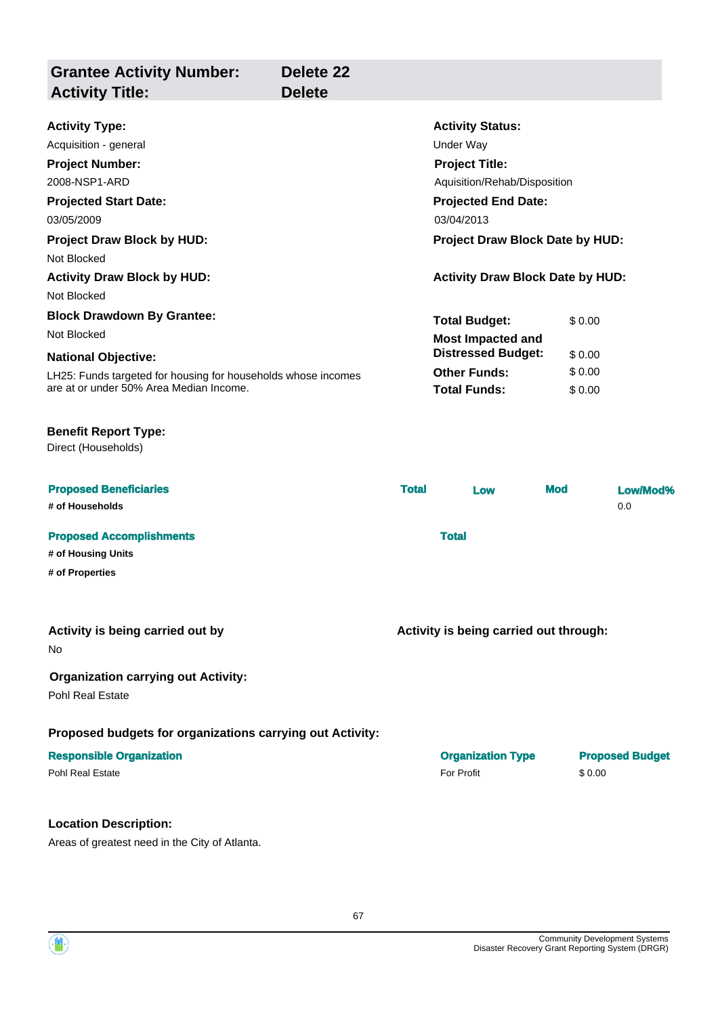| <b>Grantee Activity Number:</b><br><b>Activity Title:</b>                      | Delete <sub>22</sub><br><b>Delete</b> |                                        |                                                      |            |        |                        |
|--------------------------------------------------------------------------------|---------------------------------------|----------------------------------------|------------------------------------------------------|------------|--------|------------------------|
| <b>Activity Type:</b>                                                          |                                       |                                        | <b>Activity Status:</b>                              |            |        |                        |
| Acquisition - general                                                          |                                       |                                        | <b>Under Way</b>                                     |            |        |                        |
| <b>Project Number:</b>                                                         |                                       |                                        | <b>Project Title:</b>                                |            |        |                        |
| 2008-NSP1-ARD                                                                  |                                       |                                        | Aquisition/Rehab/Disposition                         |            |        |                        |
| <b>Projected Start Date:</b>                                                   |                                       |                                        | <b>Projected End Date:</b>                           |            |        |                        |
| 03/05/2009                                                                     |                                       |                                        | 03/04/2013<br><b>Project Draw Block Date by HUD:</b> |            |        |                        |
| <b>Project Draw Block by HUD:</b>                                              |                                       |                                        |                                                      |            |        |                        |
| Not Blocked                                                                    |                                       |                                        |                                                      |            |        |                        |
| <b>Activity Draw Block by HUD:</b>                                             |                                       |                                        | <b>Activity Draw Block Date by HUD:</b>              |            |        |                        |
| Not Blocked                                                                    |                                       |                                        |                                                      |            |        |                        |
| <b>Block Drawdown By Grantee:</b>                                              |                                       |                                        | <b>Total Budget:</b>                                 |            | \$0.00 |                        |
| Not Blocked                                                                    |                                       |                                        | <b>Most Impacted and</b>                             |            |        |                        |
| <b>National Objective:</b>                                                     |                                       |                                        | <b>Distressed Budget:</b>                            |            | \$0.00 |                        |
| LH25: Funds targeted for housing for households whose incomes                  |                                       |                                        | <b>Other Funds:</b>                                  |            | \$0.00 |                        |
| are at or under 50% Area Median Income.                                        |                                       |                                        | <b>Total Funds:</b>                                  |            | \$0.00 |                        |
| <b>Benefit Report Type:</b><br>Direct (Households)                             |                                       |                                        |                                                      |            |        |                        |
| <b>Proposed Beneficiaries</b>                                                  |                                       | <b>Total</b>                           | Low                                                  | <b>Mod</b> |        | Low/Mod%               |
| # of Households                                                                |                                       |                                        |                                                      |            |        | 0.0                    |
| <b>Proposed Accomplishments</b>                                                |                                       |                                        | <b>Total</b>                                         |            |        |                        |
| # of Housing Units                                                             |                                       |                                        |                                                      |            |        |                        |
| # of Properties                                                                |                                       |                                        |                                                      |            |        |                        |
| Activity is being carried out by<br>No.                                        |                                       | Activity is being carried out through: |                                                      |            |        |                        |
| <b>Organization carrying out Activity:</b><br>Pohl Real Estate                 |                                       |                                        |                                                      |            |        |                        |
| Proposed budgets for organizations carrying out Activity:                      |                                       |                                        |                                                      |            |        |                        |
| <b>Responsible Organization</b><br><b>Pohl Real Estate</b>                     |                                       |                                        | <b>Organization Type</b><br>For Profit               |            | \$0.00 | <b>Proposed Budget</b> |
| <b>Location Description:</b><br>Areas of greatest need in the City of Atlanta. |                                       |                                        |                                                      |            |        |                        |

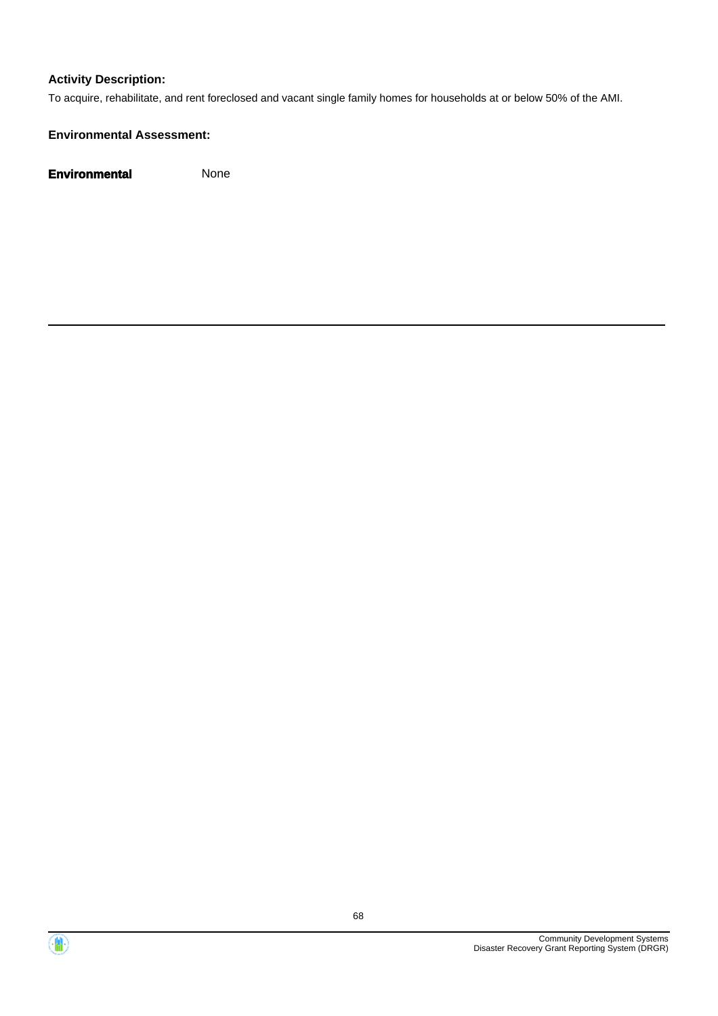To acquire, rehabilitate, and rent foreclosed and vacant single family homes for households at or below 50% of the AMI.

#### **Environmental Assessment:**



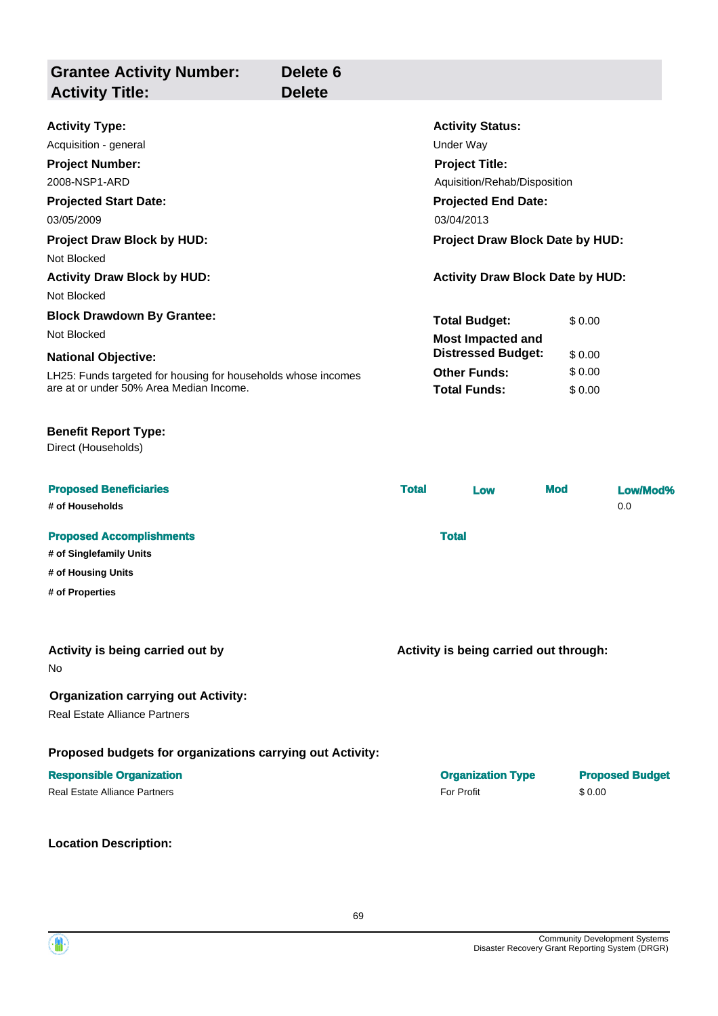| <b>Grantee Activity Number:</b><br><b>Activity Title:</b>                                                | Delete <sub>6</sub><br><b>Delete</b> |              |                                            |                  |                 |  |
|----------------------------------------------------------------------------------------------------------|--------------------------------------|--------------|--------------------------------------------|------------------|-----------------|--|
| <b>Activity Type:</b>                                                                                    |                                      |              | <b>Activity Status:</b>                    |                  |                 |  |
| Acquisition - general                                                                                    |                                      |              | <b>Under Way</b>                           |                  |                 |  |
| <b>Project Number:</b>                                                                                   |                                      |              | <b>Project Title:</b>                      |                  |                 |  |
| 2008-NSP1-ARD                                                                                            |                                      |              | Aquisition/Rehab/Disposition               |                  |                 |  |
| <b>Projected Start Date:</b>                                                                             |                                      |              | <b>Projected End Date:</b>                 |                  |                 |  |
| 03/05/2009                                                                                               |                                      |              | 03/04/2013                                 |                  |                 |  |
| <b>Project Draw Block by HUD:</b><br>Not Blocked                                                         |                                      |              | Project Draw Block Date by HUD:            |                  |                 |  |
| <b>Activity Draw Block by HUD:</b><br>Not Blocked                                                        |                                      |              | <b>Activity Draw Block Date by HUD:</b>    |                  |                 |  |
| <b>Block Drawdown By Grantee:</b>                                                                        |                                      |              | <b>Total Budget:</b>                       | \$0.00           |                 |  |
| Not Blocked                                                                                              |                                      |              | <b>Most Impacted and</b>                   |                  |                 |  |
| <b>National Objective:</b>                                                                               |                                      |              | <b>Distressed Budget:</b>                  | \$0.00           |                 |  |
| LH25: Funds targeted for housing for households whose incomes<br>are at or under 50% Area Median Income. |                                      |              | <b>Other Funds:</b><br><b>Total Funds:</b> | \$0.00<br>\$0.00 |                 |  |
| <b>Benefit Report Type:</b><br>Direct (Households)                                                       |                                      |              |                                            |                  |                 |  |
| <b>Proposed Beneficiaries</b><br># of Households                                                         |                                      | <b>Total</b> | Low                                        | <b>Mod</b>       | Low/Mod%<br>0.0 |  |
| <b>Proposed Accomplishments</b>                                                                          |                                      |              | <b>Total</b>                               |                  |                 |  |
| # of Singlefamily Units                                                                                  |                                      |              |                                            |                  |                 |  |
| # of Housing Units                                                                                       |                                      |              |                                            |                  |                 |  |
| # of Properties                                                                                          |                                      |              |                                            |                  |                 |  |
|                                                                                                          |                                      |              |                                            |                  |                 |  |

#### No **Activity is being carried out by**

**Organization carrying out Activity:**

Real Estate Alliance Partners

#### **Proposed budgets for organizations carrying out Activity:**

#### **Responsible Organization Organization Type Proposed Budget**

| Real Estate Alliance Partners | For Profit | \$0.00 |
|-------------------------------|------------|--------|
|                               |            |        |

**Location Description:**

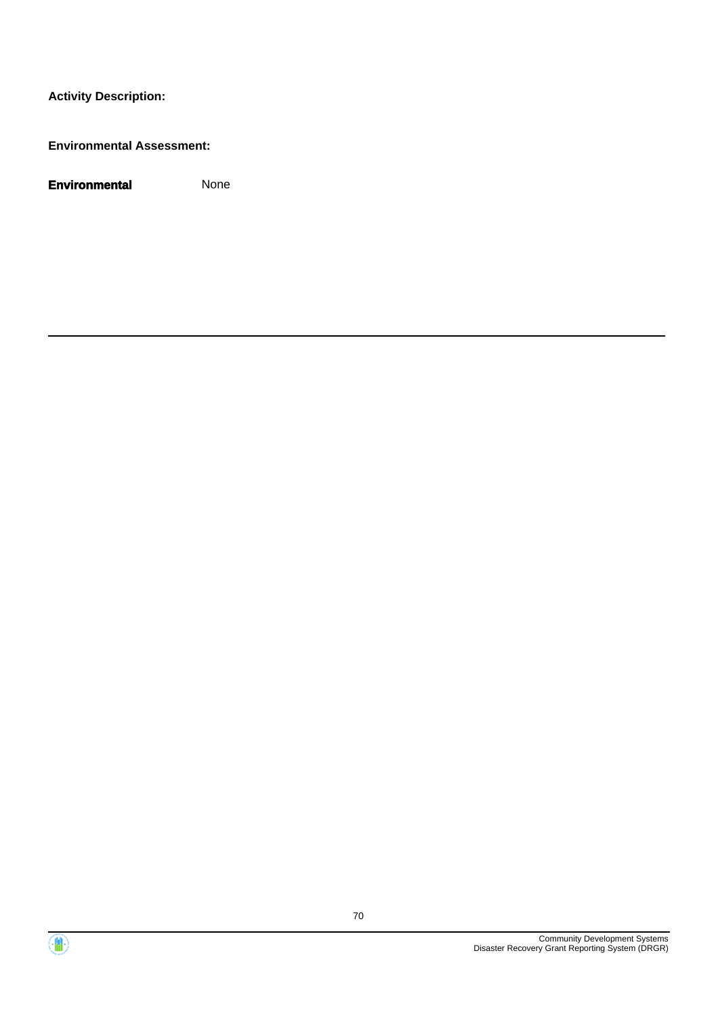**Environmental Assessment:**



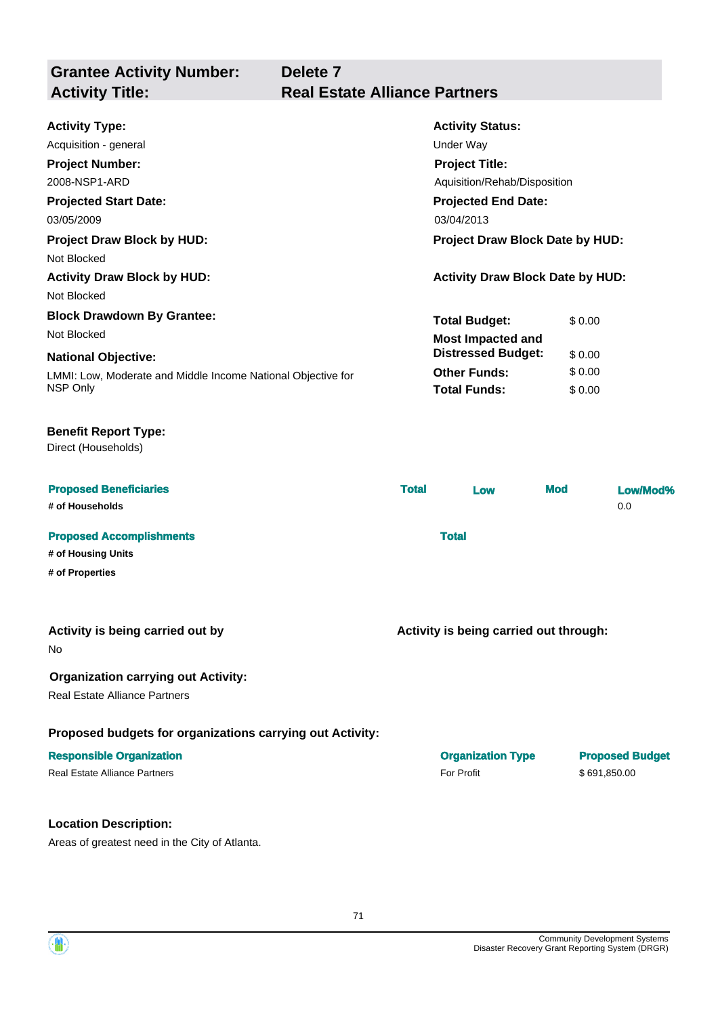| <b>Grantee Activity Number:</b>   | Delete <sub>7</sub>                  |  |  |
|-----------------------------------|--------------------------------------|--|--|
| <b>Activity Title:</b>            | <b>Real Estate Alliance Partners</b> |  |  |
|                                   |                                      |  |  |
| <b>Activity Type:</b>             | <b>Activity Status:</b>              |  |  |
| Acquisition - general             | Under Way                            |  |  |
| <b>Project Number:</b>            | <b>Project Title:</b>                |  |  |
| 2008-NSP1-ARD                     | Aquisition/Rehab/Disposition         |  |  |
| <b>Projected Start Date:</b>      | <b>Projected End Date:</b>           |  |  |
| 03/05/2009                        | 03/04/2013                           |  |  |
| <b>Project Draw Block by HUD:</b> | Project Draw Block Date by HUD:      |  |  |
| Not Blocked                       |                                      |  |  |

**Activity Draw Block by HUD: Activity Draw Block Date by HUD:** Not Blocked **Block Drawdown By Grantee:**

## Not Blocked **Most Impacted and**

#### **National Objective:**

LMMI: Low, Moderate and Middle Income National Objective for NSP Only

#### **Benefit Report Type:**

Direct (Households)

| <b>Proposed Beneficiaries</b><br># of Households      | <b>Total</b> | Low | <b>Mod</b> | Low/Mod%<br>0.0 |
|-------------------------------------------------------|--------------|-----|------------|-----------------|
| <b>Proposed Accomplishments</b><br># of Housing Units | <b>Total</b> |     |            |                 |

**# of Properties**

#### **Activity is being carried out by**

No

#### **Organization carrying out Activity:**

Real Estate Alliance Partners

#### **Proposed budgets for organizations carrying out Activity:**

#### **Location Description:**

Areas of greatest need in the City of Atlanta.

**Activity is being carried out through:**

**Total Budget:** \$ 0.00

**Other Funds:** \$ 0.00 **Total Funds:** \$ 0.00

**Distressed Budget:** \$ 0.00

| <b>Responsible Organization</b> | <b>Organization Type</b> | <b>Proposed Budget</b> |
|---------------------------------|--------------------------|------------------------|
| Real Estate Alliance Partners   | <b>For Profit</b>        | \$691.850.00           |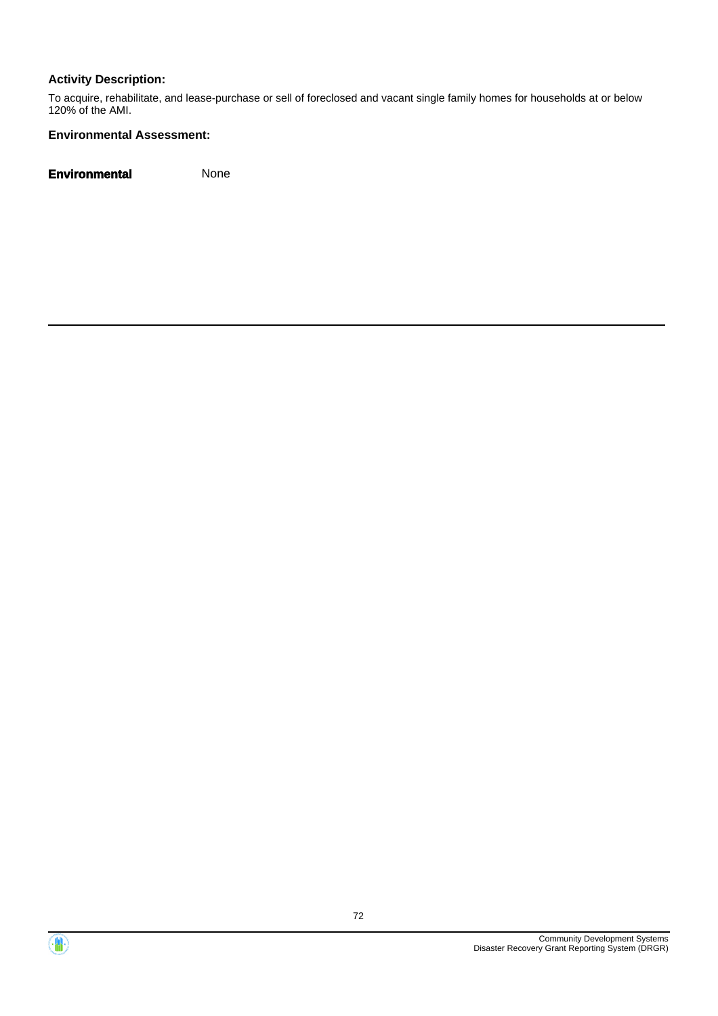To acquire, rehabilitate, and lease-purchase or sell of foreclosed and vacant single family homes for households at or below 120% of the AMI.

#### **Environmental Assessment:**



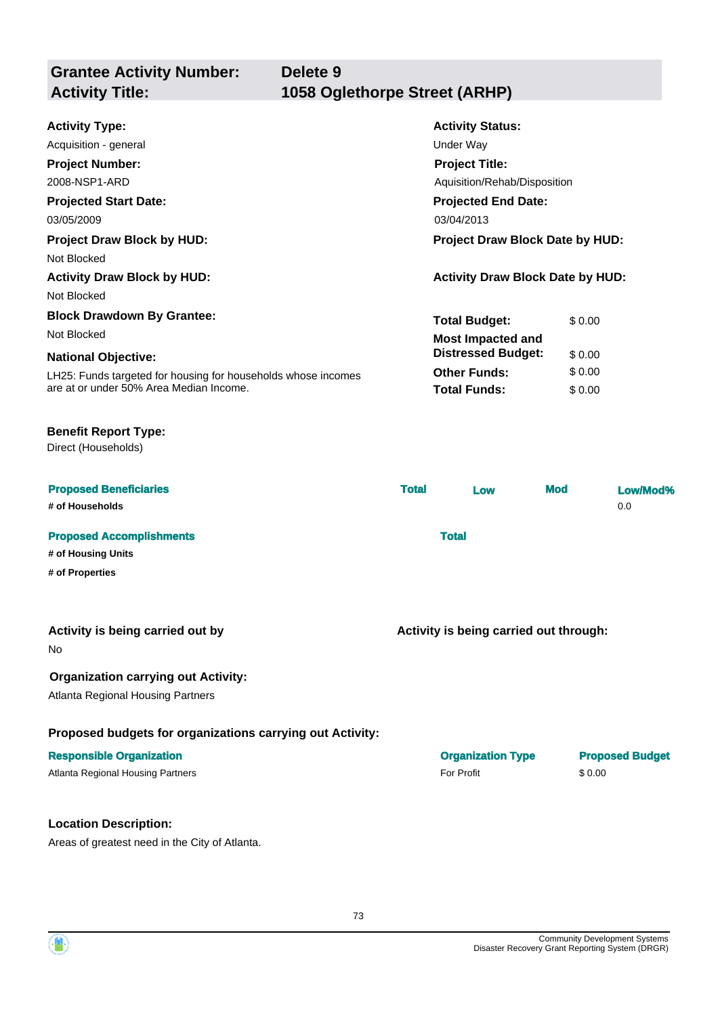| <b>Grantee Activity Number:</b><br><b>Activity Title:</b> | Delete 9<br>1058 Oglethorpe Street (ARHP) |
|-----------------------------------------------------------|-------------------------------------------|
|                                                           |                                           |
| <b>Activity Type:</b>                                     | <b>Activity Status:</b>                   |
| Acquisition - general                                     | Under Way                                 |
| <b>Project Number:</b>                                    | <b>Project Title:</b>                     |
| 2008-NSP1-ARD                                             | Aquisition/Rehab/Disposition              |
| <b>Projected Start Date:</b>                              | <b>Projected End Date:</b>                |
| 03/05/2009                                                | 03/04/2013                                |
| <b>Project Draw Block by HUD:</b>                         | Project Draw Block Date by HUD:           |
| Not Blocked                                               |                                           |
| <b>Activity Draw Block by HUD:</b>                        | <b>Activity Draw Block Date by HUD:</b>   |
| Not Blocked                                               |                                           |
| <b>Block Drawdown By Grantee:</b>                         | <b>Total Budget:</b><br>\$0.00            |

Not Blocked **Most Impacted and** 

## **National Objective:**

LH25: Funds targeted for housing for households whose incomes are at or under 50% Area Median Income.

## **Benefit Report Type:**

Direct (Households)

| <b>Proposed Beneficiaries</b><br># of Households | <b>Total</b> | Low | <b>Mod</b> | Low/Mod%<br>0.0 |
|--------------------------------------------------|--------------|-----|------------|-----------------|
| <b>Proposed Accomplishments</b>                  | <b>Total</b> |     |            |                 |
| # of Housing Units                               |              |     |            |                 |
| # of Properties                                  |              |     |            |                 |

## **Activity is being carried out by**

No

## **Organization carrying out Activity:**

Atlanta Regional Housing Partners

## **Proposed budgets for organizations carrying out Activity:**

## **Location Description:**

Areas of greatest need in the City of Atlanta.

**Activity is being carried out through:**

**Other Funds:** \$ 0.00 **Total Funds:** \$ 0.00

**Distressed Budget:** \$ 0.00

| <b>Responsible Organization</b>   | <b>Organization Type</b> | <b>Proposed Budget</b> |
|-----------------------------------|--------------------------|------------------------|
| Atlanta Regional Housing Partners | <b>For Profit</b>        | \$0.00                 |

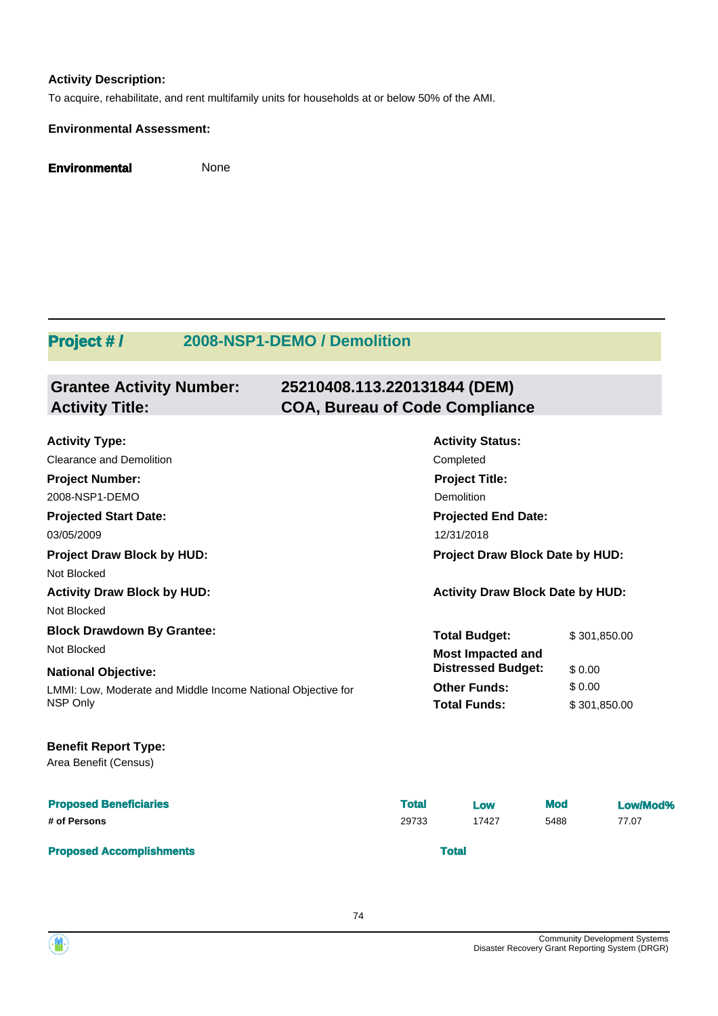## **Activity Description:**

To acquire, rehabilitate, and rent multifamily units for households at or below 50% of the AMI.

### **Environmental Assessment:**

**Environmental** None

## **Project # / 2008-NSP1-DEMO / Demolition**

### **Grantee Activity Number: 25210408.113.220131844 (DEM) Activity Title: COA, Bureau of Code Compliance**

| <b>Activity Type:</b>                                        |              | <b>Activity Status:</b>                 |            |              |
|--------------------------------------------------------------|--------------|-----------------------------------------|------------|--------------|
| Clearance and Demolition                                     |              | Completed                               |            |              |
| <b>Project Number:</b>                                       |              | <b>Project Title:</b>                   |            |              |
| 2008-NSP1-DEMO                                               |              | Demolition                              |            |              |
| <b>Projected Start Date:</b>                                 |              | <b>Projected End Date:</b>              |            |              |
| 03/05/2009                                                   |              | 12/31/2018                              |            |              |
| <b>Project Draw Block by HUD:</b>                            |              | Project Draw Block Date by HUD:         |            |              |
| Not Blocked                                                  |              |                                         |            |              |
| <b>Activity Draw Block by HUD:</b>                           |              | <b>Activity Draw Block Date by HUD:</b> |            |              |
| Not Blocked                                                  |              |                                         |            |              |
| <b>Block Drawdown By Grantee:</b>                            |              | <b>Total Budget:</b>                    |            | \$301,850.00 |
| Not Blocked                                                  |              | <b>Most Impacted and</b>                |            |              |
| <b>National Objective:</b>                                   |              | <b>Distressed Budget:</b>               | \$0.00     |              |
| LMMI: Low, Moderate and Middle Income National Objective for |              | <b>Other Funds:</b>                     | \$0.00     |              |
| NSP Only                                                     |              | <b>Total Funds:</b>                     |            | \$301,850.00 |
| <b>Benefit Report Type:</b>                                  |              |                                         |            |              |
| Area Benefit (Census)                                        |              |                                         |            |              |
| <b>Proposed Beneficiaries</b>                                | <b>Total</b> | Low                                     | <b>Mod</b> | Low/Mod%     |
| # of Persons                                                 | 29733        | 17427                                   | 5488       | 77.07        |
| <b>Proposed Accomplishments</b>                              |              | <b>Total</b>                            |            |              |

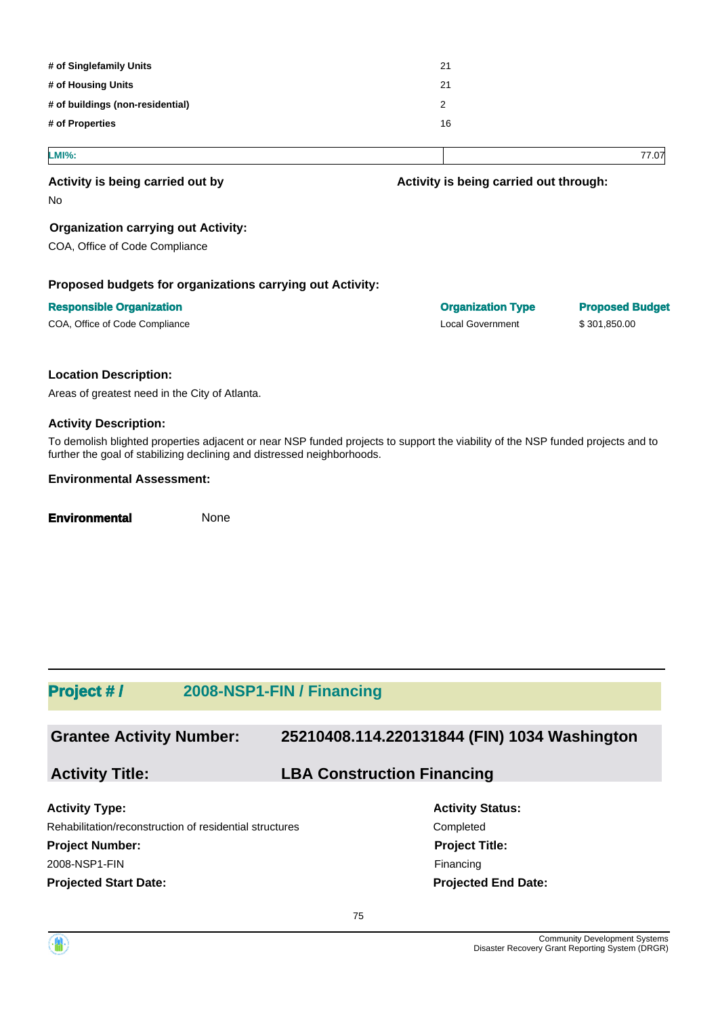| # of Singlefamily Units          | 21 |
|----------------------------------|----|
| # of Housing Units               | 21 |
| # of buildings (non-residential) | 2  |
| # of Properties                  | 16 |
|                                  |    |

### **LMI%:** 77.07

### **Activity is being carried out by**

No

### **Organization carrying out Activity:**

COA, Office of Code Compliance

### **Proposed budgets for organizations carrying out Activity:**

### **Responsible Organization Construction Construction Type Proposed Budget Proposed Budget** COA, Office of Code Compliance Local Government \$ 301,850.00

**Activity is being carried out through:**

### **Location Description:**

Areas of greatest need in the City of Atlanta.

### **Activity Description:**

To demolish blighted properties adjacent or near NSP funded projects to support the viability of the NSP funded projects and to further the goal of stabilizing declining and distressed neighborhoods.

### **Environmental Assessment:**

**Environmental** None

## **Project # / 2008-NSP1-FIN / Financing**

**Grantee Activity Number: 25210408.114.220131844 (FIN) 1034 Washington**

## **Activity Title: LBA Construction Financing**

**Projected Start Date: Activity Type:** Rehabilitation/reconstruction of residential structures Completed **Project Number:** 2008-NSP1-FIN

**Activity Status: Projected End Date: Project Title:** Financing

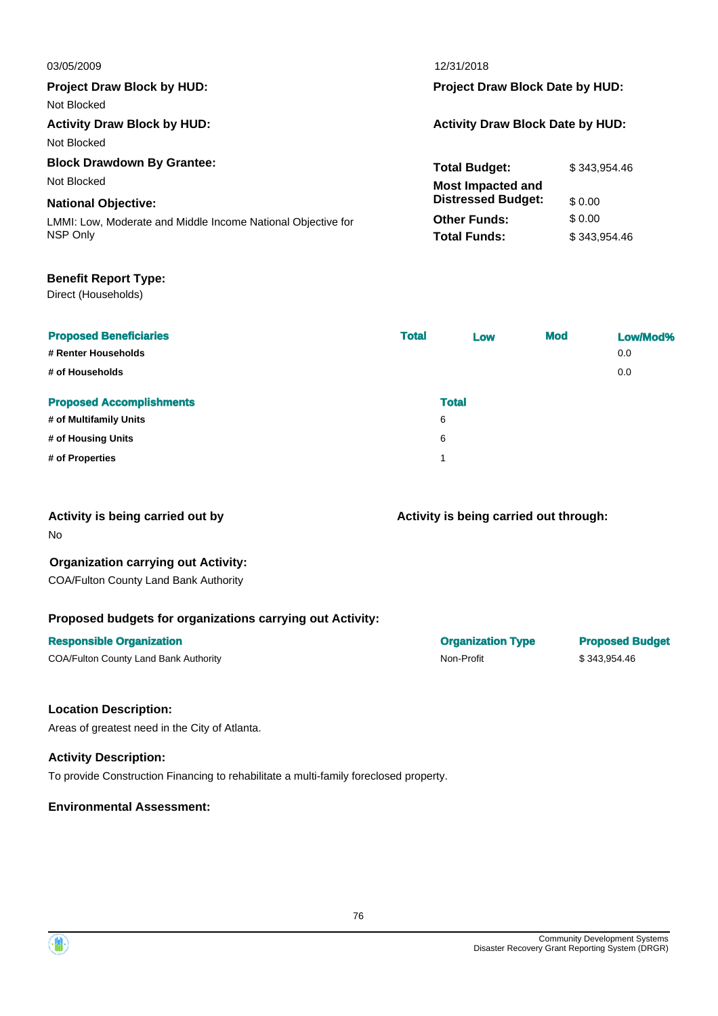| 03/05/2009                                                   | 12/31/2018                              |              |  |
|--------------------------------------------------------------|-----------------------------------------|--------------|--|
| <b>Project Draw Block by HUD:</b>                            | Project Draw Block Date by HUD:         |              |  |
| Not Blocked                                                  |                                         |              |  |
| <b>Activity Draw Block by HUD:</b>                           | <b>Activity Draw Block Date by HUD:</b> |              |  |
| Not Blocked                                                  |                                         |              |  |
| <b>Block Drawdown By Grantee:</b>                            | <b>Total Budget:</b>                    | \$343.954.46 |  |
| Not Blocked                                                  | <b>Most Impacted and</b>                |              |  |
| <b>National Objective:</b>                                   | <b>Distressed Budget:</b>               | \$0.00       |  |
| LMMI: Low, Moderate and Middle Income National Objective for | <b>Other Funds:</b>                     | \$ 0.00      |  |
| NSP Only                                                     | <b>Total Funds:</b>                     | \$343.954.46 |  |
|                                                              |                                         |              |  |
|                                                              |                                         |              |  |

## **Benefit Report Type:**

Direct (Households)

| <b>Proposed Beneficiaries</b><br># Renter Households<br># of Households | <b>Total</b> | Low          | <b>Mod</b> | Low/Mod%<br>0.0<br>0.0 |
|-------------------------------------------------------------------------|--------------|--------------|------------|------------------------|
| <b>Proposed Accomplishments</b>                                         |              | <b>Total</b> |            |                        |
| # of Multifamily Units                                                  | 6            |              |            |                        |
| # of Housing Units                                                      | 6            |              |            |                        |
| # of Properties                                                         | 4            |              |            |                        |

## **Activity is being carried out by**

No

## **Organization carrying out Activity:**

COA/Fulton County Land Bank Authority

## **Proposed budgets for organizations carrying out Activity:**

| COA/Fulton County Land Bank Authority |  |  |
|---------------------------------------|--|--|
|                                       |  |  |

## **Activity is being carried out through:**

**Responsible Organization Organization Type Proposed Budget** COA/Fulton County Land Bank Authority Non-Profit \$ 343,954.46

## **Location Description:**

Areas of greatest need in the City of Atlanta.

## **Activity Description:**

To provide Construction Financing to rehabilitate a multi-family foreclosed property.

## **Environmental Assessment:**

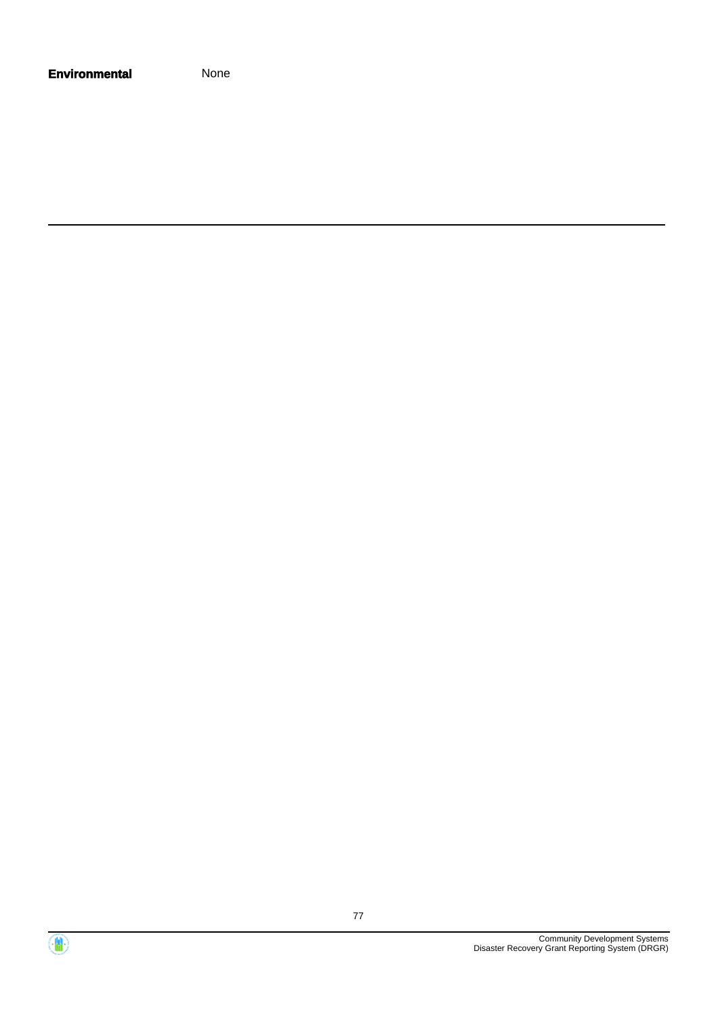| <b>Environmental</b> | None |
|----------------------|------|
|----------------------|------|

Community Development Systems Disaster Recovery Grant Reporting System (DRGR)

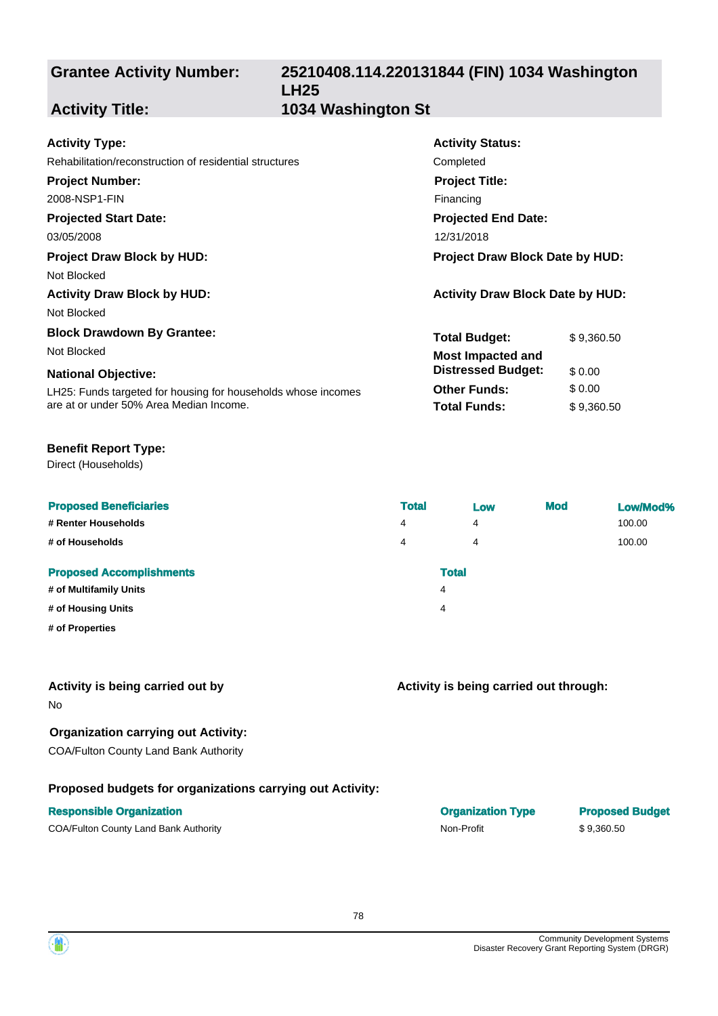## **25210408.114.220131844 (FIN) 1034 Washington LH25 Activity Title: 1034 Washington St**

Completed

**Activity Status:**

**Project Title:** Financing

**Projected End Date:**

**Total Budget:** \$9,360.50

**Other Funds:** \$ 0.00 **Total Funds:** \$9,360.50

**Distressed Budget:** \$ 0.00

## **Activity Type:**

| Rehabilitation/reconstruction of residential structures |  |  |  |
|---------------------------------------------------------|--|--|--|
|---------------------------------------------------------|--|--|--|

## **Project Number:**

2008-NSP1-FIN

## **Projected Start Date:**

03/05/2008 12/31/2018

## **Project Draw Block by HUD: Project Draw Block Date by HUD:**

Not Blocked

## **Activity Draw Block by HUD: Activity Draw Block Date by HUD:**

Not Blocked

## **Block Drawdown By Grantee:**

Not Blocked **Most Impacted and** 

## **National Objective:**

LH25: Funds targeted for housing for households whose incomes are at or under 50% Area Median Income.

## **Benefit Report Type:**

Direct (Households)

| <b>Proposed Beneficiaries</b>   | <b>Total</b> | Low          | <b>Mod</b> | Low/Mod% |
|---------------------------------|--------------|--------------|------------|----------|
| # Renter Households             | 4            | 4            |            | 100.00   |
| # of Households                 | 4            | 4            |            | 100.00   |
| <b>Proposed Accomplishments</b> |              | <b>Total</b> |            |          |
| # of Multifamily Units          |              | 4            |            |          |
| # of Housing Units              |              | 4            |            |          |
| # of Properties                 |              |              |            |          |

## **Activity is being carried out by**

No

## **Organization carrying out Activity:**

COA/Fulton County Land Bank Authority

## **Proposed budgets for organizations carrying out Activity:**

## **Responsible Organization**

COA/Fulton County Land Bank Authority **Non-Profit** \$ 9,360.50

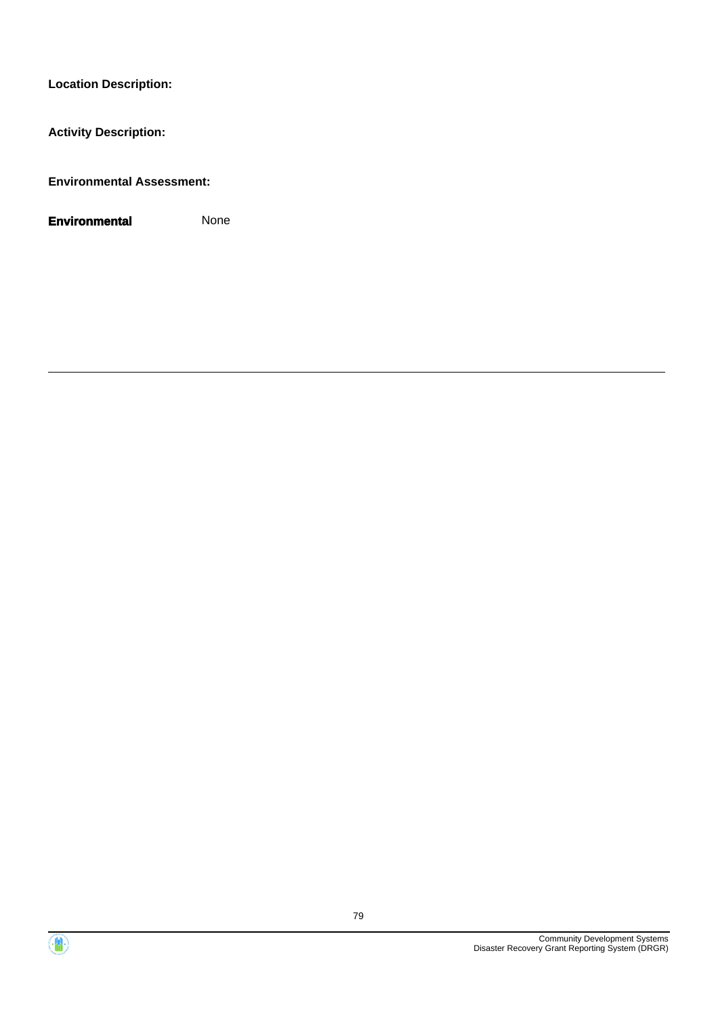**Activity Description:**

**Environmental Assessment:**



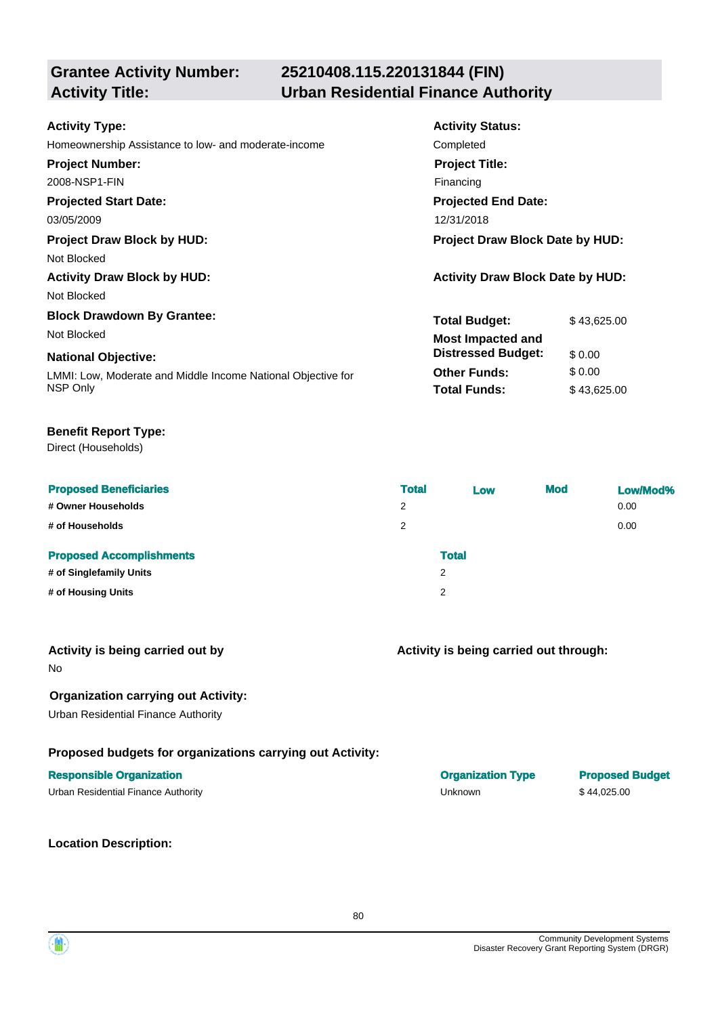## **25210408.115.220131844 (FIN) Activity Title: Urban Residential Finance Authority**

| <b>Activity Type:</b>                                        | <b>Activity Status:</b>                 |
|--------------------------------------------------------------|-----------------------------------------|
| Homeownership Assistance to low- and moderate-income         | Completed                               |
| <b>Project Number:</b>                                       | <b>Project Title:</b>                   |
| 2008-NSP1-FIN                                                | Financing                               |
| <b>Projected Start Date:</b>                                 | <b>Projected End Date:</b>              |
| 03/05/2009                                                   | 12/31/2018                              |
| <b>Project Draw Block by HUD:</b>                            | <b>Project Draw Block Date by HUD:</b>  |
| Not Blocked                                                  |                                         |
| <b>Activity Draw Block by HUD:</b>                           | <b>Activity Draw Block Date by HUD:</b> |
| Not Blocked                                                  |                                         |
| <b>Block Drawdown By Grantee:</b>                            | <b>Total Budget:</b><br>\$43,625.00     |
| Not Blocked                                                  | <b>Most Impacted and</b>                |
| <b>National Objective:</b>                                   | <b>Distressed Budget:</b><br>\$0.00     |
| LMMI: Low, Moderate and Middle Income National Objective for | <b>Other Funds:</b><br>\$0.00           |
| NSP Only                                                     | <b>Total Funds:</b><br>\$43,625.00      |
|                                                              |                                         |

## **Benefit Report Type:**

Direct (Households)

| <b>Proposed Beneficiaries</b><br># Owner Households<br># of Households           | <b>Total</b><br>2<br>2 | Low          | <b>Mod</b> | Low/Mod%<br>0.00<br>0.00 |
|----------------------------------------------------------------------------------|------------------------|--------------|------------|--------------------------|
| <b>Proposed Accomplishments</b><br># of Singlefamily Units<br># of Housing Units | 2<br>2                 | <b>Total</b> |            |                          |

| Activity is being carried out by |  |  |
|----------------------------------|--|--|
|                                  |  |  |

No

## **Organization carrying out Activity:**

Urban Residential Finance Authority

## **Proposed budgets for organizations carrying out Activity:**

|  | Urban Residential Finance Authority |
|--|-------------------------------------|
|--|-------------------------------------|

**Location Description:**

| <b>Responsible Organization</b>     | <b>Organization Type</b> | <b>Proposed Budget</b> |
|-------------------------------------|--------------------------|------------------------|
| Urban Residential Finance Authority | Unknown                  | \$44.025.00            |

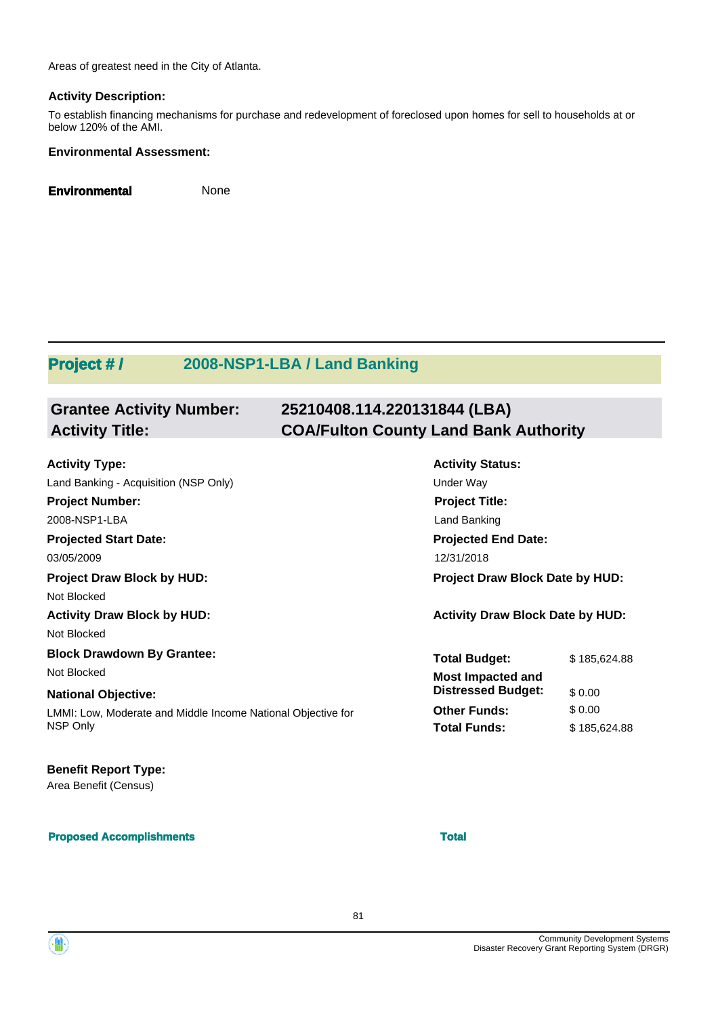Areas of greatest need in the City of Atlanta.

## **Activity Description:**

To establish financing mechanisms for purchase and redevelopment of foreclosed upon homes for sell to households at or below 120% of the AMI.

## **Environmental Assessment:**

**Environmental** None

## **Project # / 2008-NSP1-LBA / Land Banking**

| <b>Grantee Activity Number:</b> | 25210408.114.220131844 (LBA)                 |
|---------------------------------|----------------------------------------------|
| <b>Activity Title:</b>          | <b>COA/Fulton County Land Bank Authority</b> |
|                                 |                                              |

| <b>Activity Type:</b>                                        | <b>Activity Status:</b>                 |              |  |  |
|--------------------------------------------------------------|-----------------------------------------|--------------|--|--|
| Land Banking - Acquisition (NSP Only)                        | Under Way                               |              |  |  |
| <b>Project Number:</b>                                       | <b>Project Title:</b>                   |              |  |  |
| 2008-NSP1-LBA                                                | Land Banking                            |              |  |  |
| <b>Projected Start Date:</b>                                 | <b>Projected End Date:</b>              |              |  |  |
| 03/05/2009                                                   | 12/31/2018                              |              |  |  |
| <b>Project Draw Block by HUD:</b>                            | <b>Project Draw Block Date by HUD:</b>  |              |  |  |
| Not Blocked                                                  |                                         |              |  |  |
| <b>Activity Draw Block by HUD:</b>                           | <b>Activity Draw Block Date by HUD:</b> |              |  |  |
| Not Blocked                                                  |                                         |              |  |  |
| <b>Block Drawdown By Grantee:</b>                            | <b>Total Budget:</b>                    | \$185,624.88 |  |  |
| Not Blocked                                                  | <b>Most Impacted and</b>                |              |  |  |
| <b>National Objective:</b>                                   | <b>Distressed Budget:</b>               | \$0.00       |  |  |
| LMMI: Low, Moderate and Middle Income National Objective for | <b>Other Funds:</b>                     | \$0.00       |  |  |
| NSP Only                                                     | <b>Total Funds:</b>                     | \$185,624.88 |  |  |
|                                                              |                                         |              |  |  |

## **Benefit Report Type:**

Area Benefit (Census)

### **Proposed Accomplishments Total**

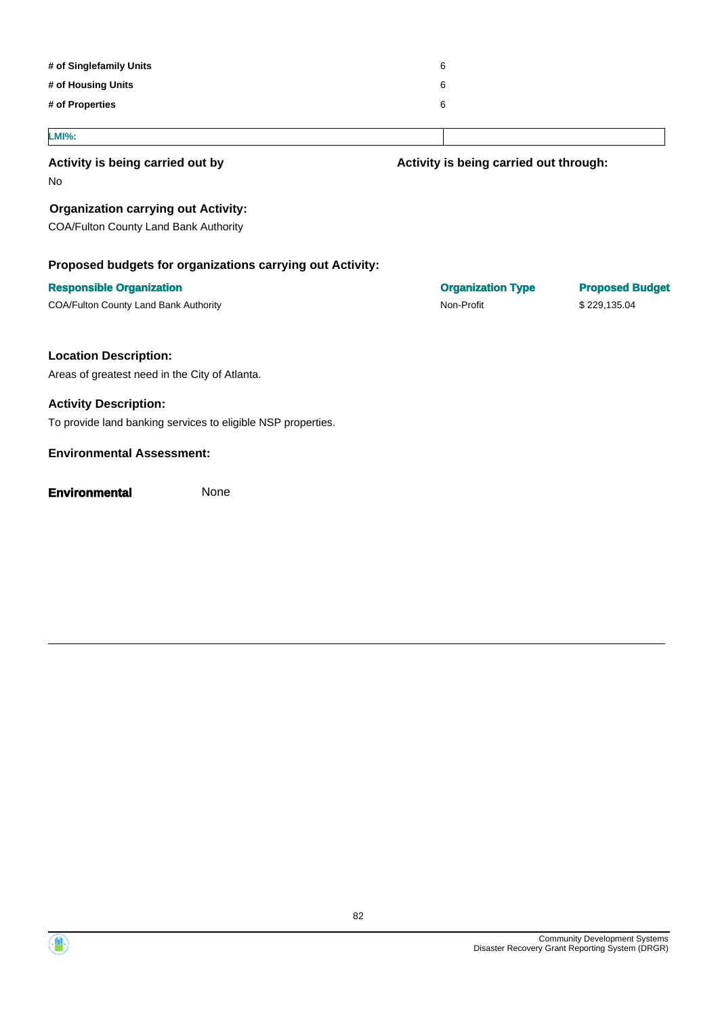| # of Singlefamily Units                                      | 6                                      |                        |
|--------------------------------------------------------------|----------------------------------------|------------------------|
| # of Housing Units                                           | 6                                      |                        |
| # of Properties                                              | 6                                      |                        |
| <b>LMI%:</b>                                                 |                                        |                        |
| Activity is being carried out by                             | Activity is being carried out through: |                        |
| No.                                                          |                                        |                        |
| <b>Organization carrying out Activity:</b>                   |                                        |                        |
| COA/Fulton County Land Bank Authority                        |                                        |                        |
| Proposed budgets for organizations carrying out Activity:    |                                        |                        |
| <b>Responsible Organization</b>                              | <b>Organization Type</b>               | <b>Proposed Budget</b> |
| COA/Fulton County Land Bank Authority                        | Non-Profit                             | \$229,135.04           |
| <b>Location Description:</b>                                 |                                        |                        |
| Areas of greatest need in the City of Atlanta.               |                                        |                        |
| <b>Activity Description:</b>                                 |                                        |                        |
| To provide land banking services to eligible NSP properties. |                                        |                        |
| <b>Environmental Assessment:</b>                             |                                        |                        |
| <b>Environmental</b><br>None                                 |                                        |                        |
|                                                              |                                        |                        |

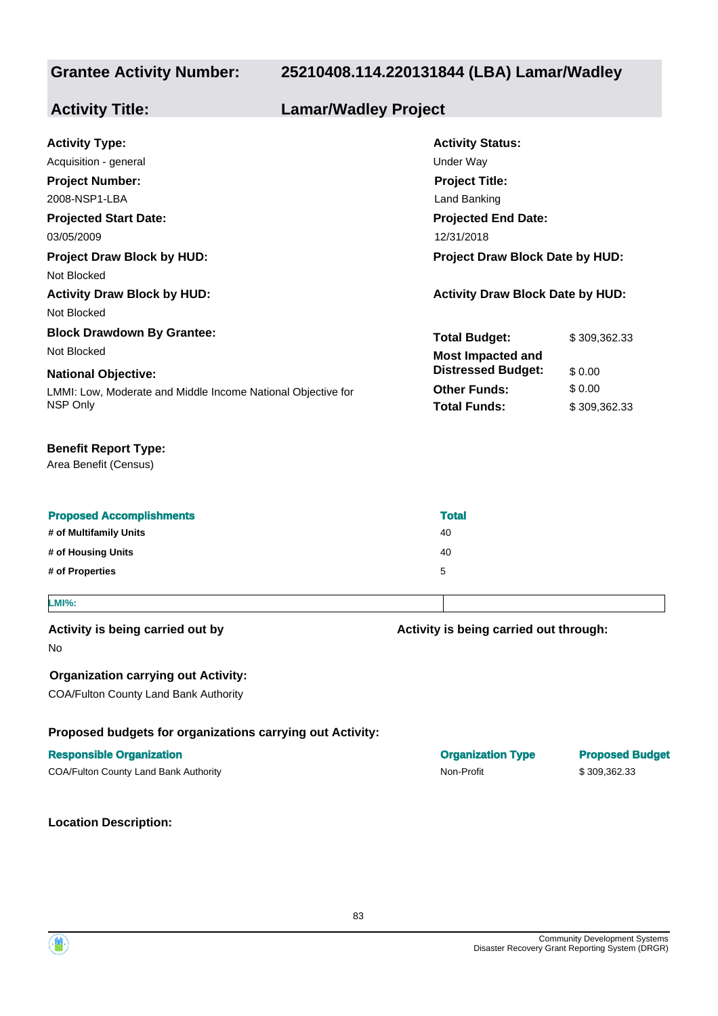## **25210408.114.220131844 (LBA) Lamar/Wadley**

### **Projected Start Date:** LMMI: Low, Moderate and Middle Income National Objective for NSP Only **National Objective: Activity Status: Projected End Date: Activity Type:** 03/05/2009 12/31/2018 Acquisition - general and the state of the state of the Under Way **Activity Title: Lamar/Wadley Project Project Number:** 2008-NSP1-LBA **Project Title:** Land Banking **Total Budget:** \$ 309,362.33 **Other Funds:** \$ 0.00 **Total Funds:** \$ 309,362,33 **Project Draw Block by HUD: Project Draw Block Date by HUD:** Not Blocked **Activity Draw Block by HUD: Activity Draw Block Date by HUD:** Not Blocked **Block Drawdown By Grantee:** Not Blocked **Most Impacted and Distressed Budget:** \$ 0.00

### **Benefit Report Type:**

Area Benefit (Census)

| <b>Proposed Accomplishments</b> | <b>Total</b> |
|---------------------------------|--------------|
| # of Multifamily Units          | 40           |
| # of Housing Units              | 40           |
| # of Properties                 | 5            |
|                                 |              |

83

## **LMI%:**

## **Activity is being carried out by**

No

## **Organization carrying out Activity:**

COA/Fulton County Land Bank Authority

## **Proposed budgets for organizations carrying out Activity:**

### **Responsible Organization Organization Type Proposed Budget**

COA/Fulton County Land Bank Authority **Non-Profit** \$ 309,362.33

**Location Description:**

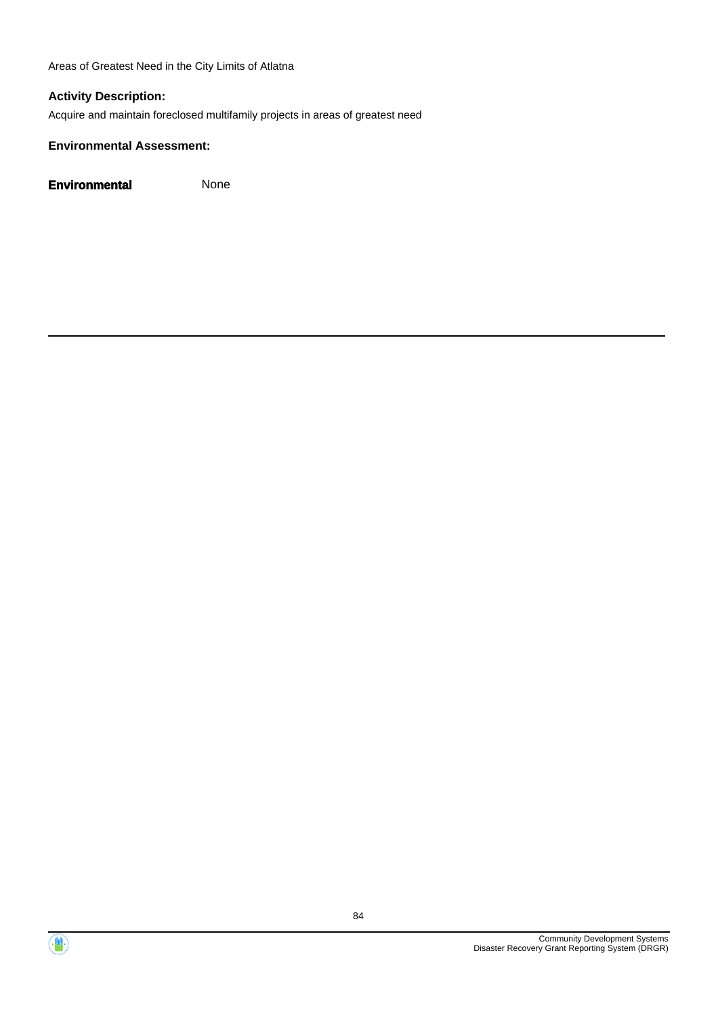Areas of Greatest Need in the City Limits of Atlatna

## **Activity Description:**

Acquire and maintain foreclosed multifamily projects in areas of greatest need

### **Environmental Assessment:**



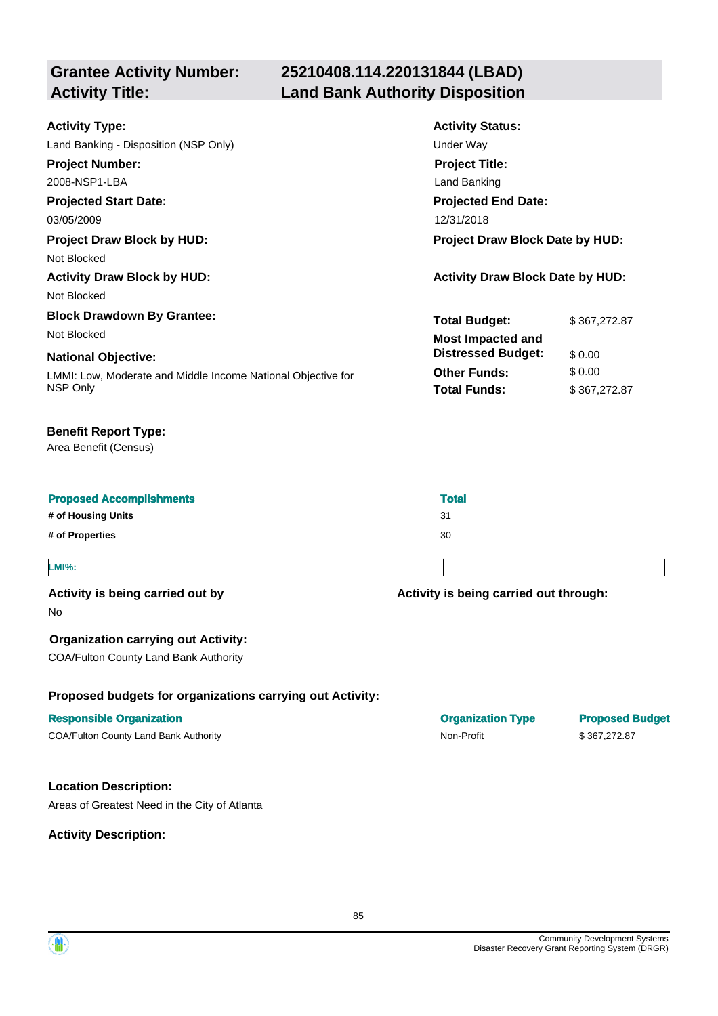**Grantee Activity Number: 25210408.114.220131844 (LBAD) Activity Title: Land Bank Authority Disposition**

| <b>Activity Type:</b>                                        | <b>Activity Status:</b>                 |              |  |
|--------------------------------------------------------------|-----------------------------------------|--------------|--|
| Land Banking - Disposition (NSP Only)                        | Under Way                               |              |  |
| <b>Project Number:</b>                                       | <b>Project Title:</b>                   |              |  |
| 2008-NSP1-LBA                                                | Land Banking                            |              |  |
| <b>Projected Start Date:</b>                                 | <b>Projected End Date:</b>              |              |  |
| 03/05/2009                                                   | 12/31/2018                              |              |  |
| <b>Project Draw Block by HUD:</b>                            | <b>Project Draw Block Date by HUD:</b>  |              |  |
| Not Blocked                                                  |                                         |              |  |
| <b>Activity Draw Block by HUD:</b>                           | <b>Activity Draw Block Date by HUD:</b> |              |  |
| Not Blocked                                                  |                                         |              |  |
| <b>Block Drawdown By Grantee:</b>                            | <b>Total Budget:</b>                    | \$367,272.87 |  |
| Not Blocked                                                  | <b>Most Impacted and</b>                |              |  |
| <b>National Objective:</b>                                   | <b>Distressed Budget:</b>               | \$0.00       |  |
| LMMI: Low, Moderate and Middle Income National Objective for | <b>Other Funds:</b>                     | \$0.00       |  |
| NSP Only                                                     | <b>Total Funds:</b>                     | \$367,272.87 |  |
|                                                              |                                         |              |  |

## **Benefit Report Type:**

Area Benefit (Census)

| # of Housing Units<br>-31 |  |
|---------------------------|--|
| # of Properties<br>30     |  |

### **LMI%:**

## **Activity is being carried out by**

No

## **Organization carrying out Activity:**

COA/Fulton County Land Bank Authority

## **Proposed budgets for organizations carrying out Activity:**

## **Responsible Organization COVID-100 COVID-100 COVID-100 COVID-100 COVID-100 COVID-100 COVID-100 COVID-100 COVID-100 COVID-100 COVID-100 COVID-100 COVID-100 COVID-100 COVID-100 COVID-100 COVID-100 COVID-100 COVID-100 COVI**

COA/Fulton County Land Bank Authority Non-Profit \$ 367,272.87

## **Location Description:**

Areas of Greatest Need in the City of Atlanta

**Activity Description:**

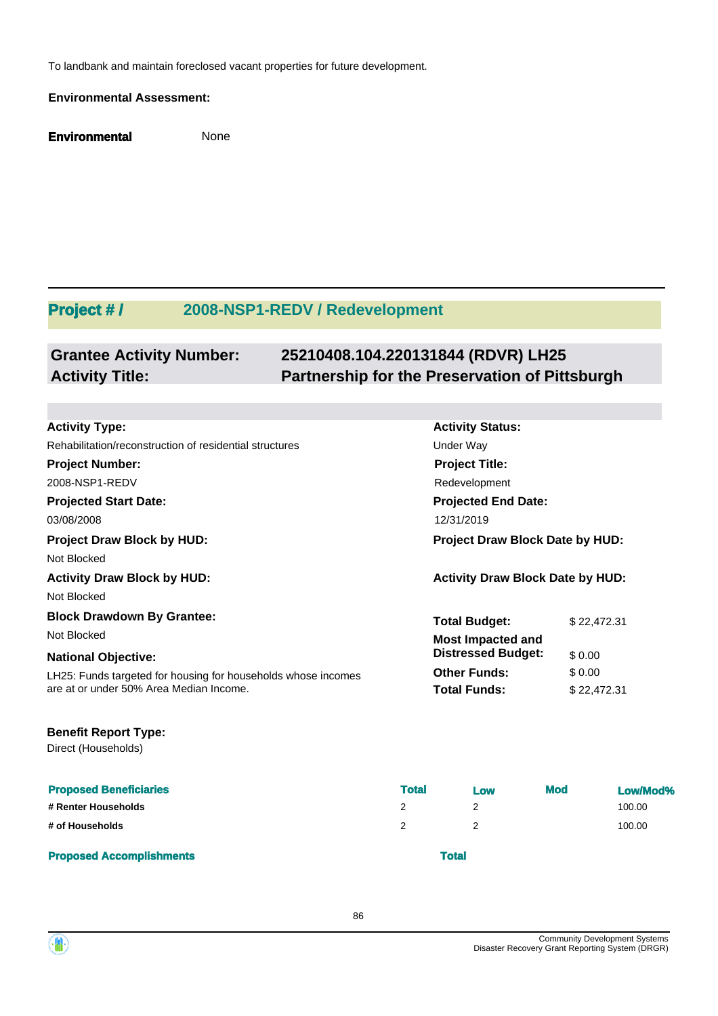To landbank and maintain foreclosed vacant properties for future development.

### **Environmental Assessment:**

**Environmental** None

## **Project # / 2008-NSP1-REDV / Redevelopment**

### **Grantee Activity Number: 25210408.104.220131844 (RDVR) LH25 Activity Title: Partnership for the Preservation of Pittsburgh**

**Activity Status:**

**Project Title:** Redevelopment

**Projected End Date:**

**Total Budget:** \$22,472.31

**Other Funds:** \$ 0.00 **Total Funds:** \$ 22,472.31

**Distressed Budget:** \$ 0.00

### **Activity Type:**

Rehabilitation/reconstruction of residential structures example and the Under Way

**Project Number:**

2008-NSP1-REDV

**Projected Start Date:**

03/08/2008 12/31/2019

**Project Draw Block by HUD: Project Draw Block Date by HUD:** Not Blocked

**Activity Draw Block by HUD: Activity Draw Block Date by HUD:**

Not Blocked

**Block Drawdown By Grantee:**

Not Blocked **Most Impacted and** 

### **National Objective:**

LH25: Funds targeted for housing for households whose incomes are at or under 50% Area Median Income.

## **Benefit Report Type:**

Direct (Households)

| <b>Proposed Beneficiaries</b>   | <b>Total</b> | Low | <b>Mod</b> | Low/Mod% |
|---------------------------------|--------------|-----|------------|----------|
| # Renter Households             |              |     |            | 100.00   |
| # of Households                 |              |     |            | 100.00   |
| <b>Proposed Accomplishments</b> | Total        |     |            |          |

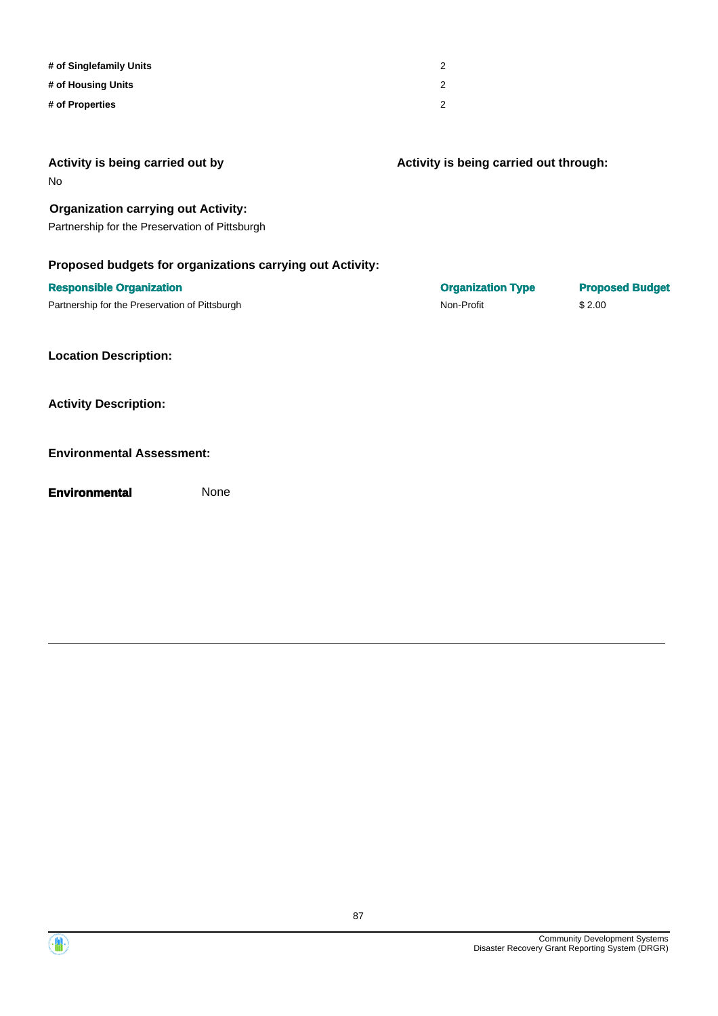| # of Singlefamily Units | 2 |
|-------------------------|---|
| # of Housing Units      | 2 |
| # of Properties         | 2 |

| Activity is being carried out by<br>No.                   | Activity is being carried out through: |                        |
|-----------------------------------------------------------|----------------------------------------|------------------------|
| <b>Organization carrying out Activity:</b>                |                                        |                        |
| Partnership for the Preservation of Pittsburgh            |                                        |                        |
| Proposed budgets for organizations carrying out Activity: |                                        |                        |
| <b>Responsible Organization</b>                           | <b>Organization Type</b>               | <b>Proposed Budget</b> |
| Partnership for the Preservation of Pittsburgh            | Non-Profit                             | \$2.00                 |
| <b>Location Description:</b>                              |                                        |                        |
| <b>Activity Description:</b>                              |                                        |                        |
| <b>Environmental Assessment:</b>                          |                                        |                        |
| <b>Environmental</b><br>None                              |                                        |                        |
|                                                           |                                        |                        |

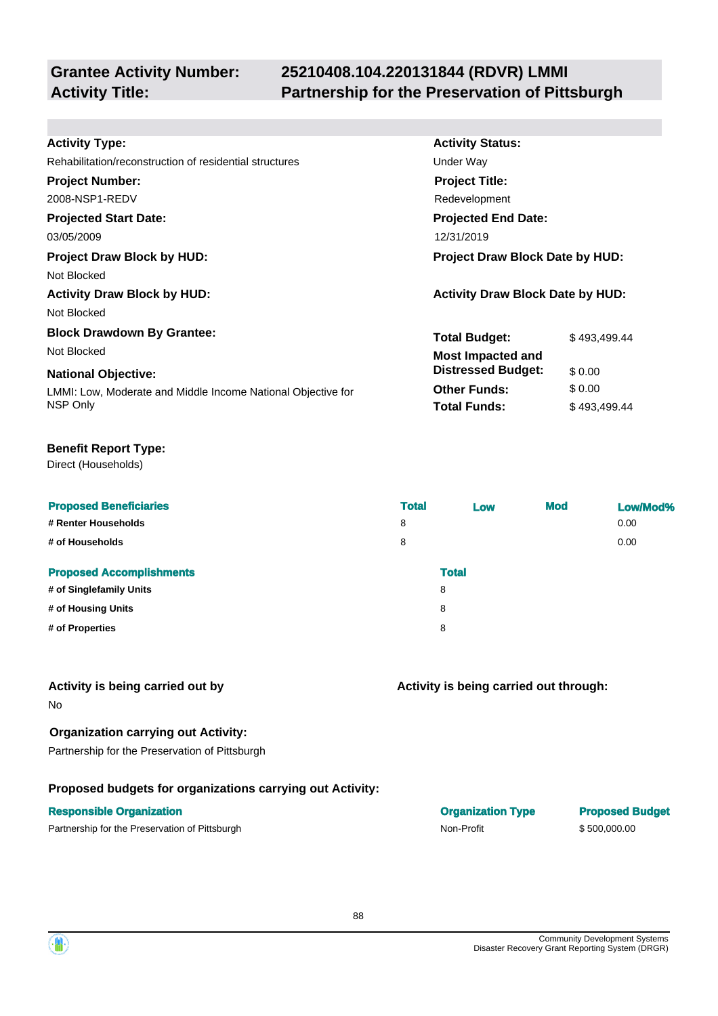## **25210408.104.220131844 (RDVR) LMMI Activity Title: Partnership for the Preservation of Pittsburgh**

**Activity Status:**

**Project Title:** Redevelopment

**Projected End Date:**

**Total Budget:** \$493,499.44

**Total Funds:** \$493,499.44

**Other Funds:** \$ 0.00

**Distressed Budget:** \$ 0.00

## **Activity Type:**

Rehabilitation/reconstruction of residential structures **Exercise Structures** Under Way

### **Project Number:**

2008-NSP1-REDV

## **Projected Start Date:**

03/05/2009 12/31/2019

## **Project Draw Block by HUD: Project Draw Block Date by HUD:**

Not Blocked

**Activity Draw Block by HUD: Activity Draw Block Date by HUD:**

Not Blocked

## **Block Drawdown By Grantee:**

Not Blocked **Most Impacted and** 

## **National Objective:**

LMMI: Low, Moderate and Middle Income National Objective for NSP Only

## **Benefit Report Type:**

Direct (Households)

| <b>Proposed Beneficiaries</b>   | <b>Total</b> | Low          | <b>Mod</b> | Low/Mod% |
|---------------------------------|--------------|--------------|------------|----------|
| # Renter Households             | 8            |              |            | 0.00     |
| # of Households                 | 8            |              |            | 0.00     |
| <b>Proposed Accomplishments</b> |              | <b>Total</b> |            |          |
| # of Singlefamily Units         |              | 8            |            |          |
| # of Housing Units              |              | 8            |            |          |
| # of Properties                 |              | 8            |            |          |
|                                 |              |              |            |          |

## **Activity is being carried out by**

No

## **Organization carrying out Activity:**

Partnership for the Preservation of Pittsburgh

## **Proposed budgets for organizations carrying out Activity:**

## **Responsible Organization**

Partnership for the Preservation of Pittsburgh Non-Profit \$ 500,000.00

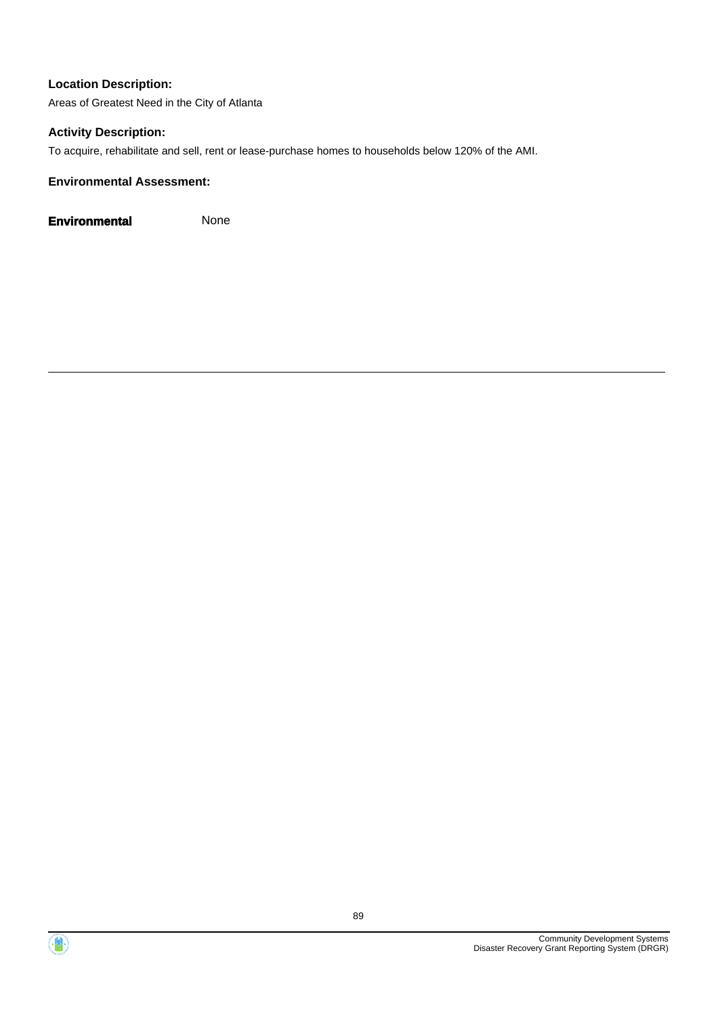Areas of Greatest Need in the City of Atlanta

## **Activity Description:**

To acquire, rehabilitate and sell, rent or lease-purchase homes to households below 120% of the AMI.

## **Environmental Assessment:**

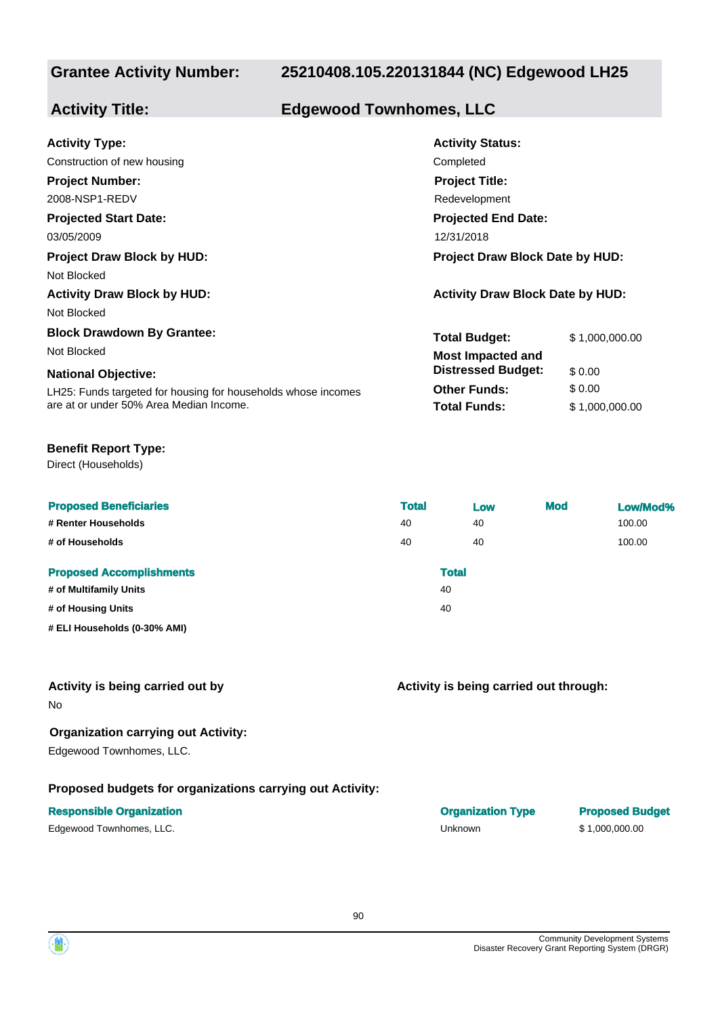## **25210408.105.220131844 (NC) Edgewood LH25**

## **Activity Title: Edgewood Townhomes, LLC**

| <b>Activity Type:</b>                                         | <b>Activity Status:</b>                 |                |  |
|---------------------------------------------------------------|-----------------------------------------|----------------|--|
| Construction of new housing                                   | Completed                               |                |  |
| <b>Project Number:</b>                                        | <b>Project Title:</b>                   |                |  |
| 2008-NSP1-REDV                                                | Redevelopment                           |                |  |
| <b>Projected Start Date:</b>                                  | <b>Projected End Date:</b>              |                |  |
| 03/05/2009                                                    | 12/31/2018                              |                |  |
| <b>Project Draw Block by HUD:</b>                             | <b>Project Draw Block Date by HUD:</b>  |                |  |
| Not Blocked                                                   |                                         |                |  |
| <b>Activity Draw Block by HUD:</b>                            | <b>Activity Draw Block Date by HUD:</b> |                |  |
| Not Blocked                                                   |                                         |                |  |
| <b>Block Drawdown By Grantee:</b>                             | <b>Total Budget:</b>                    | \$1,000,000.00 |  |
| Not Blocked                                                   | <b>Most Impacted and</b>                |                |  |
| <b>National Objective:</b>                                    | <b>Distressed Budget:</b>               | \$0.00         |  |
| LH25: Funds targeted for housing for households whose incomes | <b>Other Funds:</b>                     | \$0.00         |  |
| are at or under 50% Area Median Income.                       | <b>Total Funds:</b>                     | \$1,000,000.00 |  |

### **Benefit Report Type:**

Direct (Households)

| <b>Proposed Beneficiaries</b>   | <b>Total</b> | Low          | <b>Mod</b> | Low/Mod% |
|---------------------------------|--------------|--------------|------------|----------|
| # Renter Households             | 40           | 40           |            | 100.00   |
| # of Households                 | 40           | 40           |            | 100.00   |
| <b>Proposed Accomplishments</b> |              | <b>Total</b> |            |          |
| # of Multifamily Units          | 40           |              |            |          |
| # of Housing Units              | 40           |              |            |          |
| # ELI Households (0-30% AMI)    |              |              |            |          |

## **Activity is being carried out by**

No

## **Organization carrying out Activity:**

Edgewood Townhomes, LLC.

## **Proposed budgets for organizations carrying out Activity:**

## **Responsible Organization COVID-100 COVID-100 COVID-100 COVID-100 COVID-100 COVID-100 COVID-100 COVID-100 COVID-100 COVID-100 COVID-100 COVID-100 COVID-100 COVID-100 COVID-100 COVID-100 COVID-100 COVID-100 COVID-100 COVI**

Edgewood Townhomes, LLC. **Edgewood Townhomes, LLC.** The Contract of the Unknown Contract Contract Contract Contract Contract Contract Contract Contract Contract Contract Contract Contract Contract Contract Contract Contrac

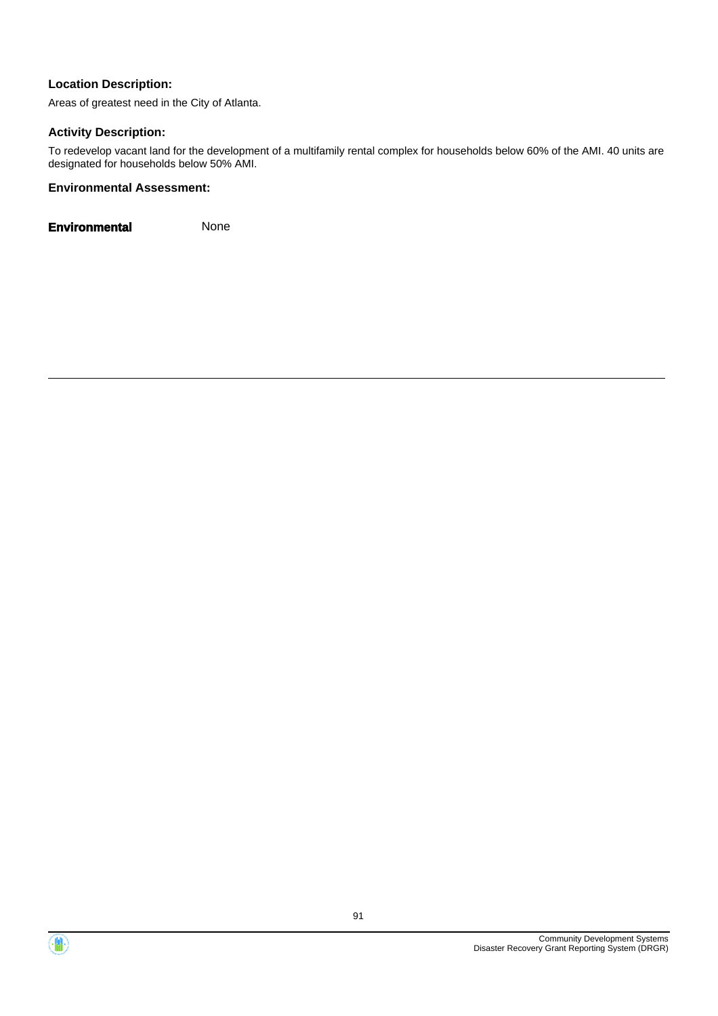Areas of greatest need in the City of Atlanta.

## **Activity Description:**

To redevelop vacant land for the development of a multifamily rental complex for households below 60% of the AMI. 40 units are designated for households below 50% AMI.

## **Environmental Assessment:**



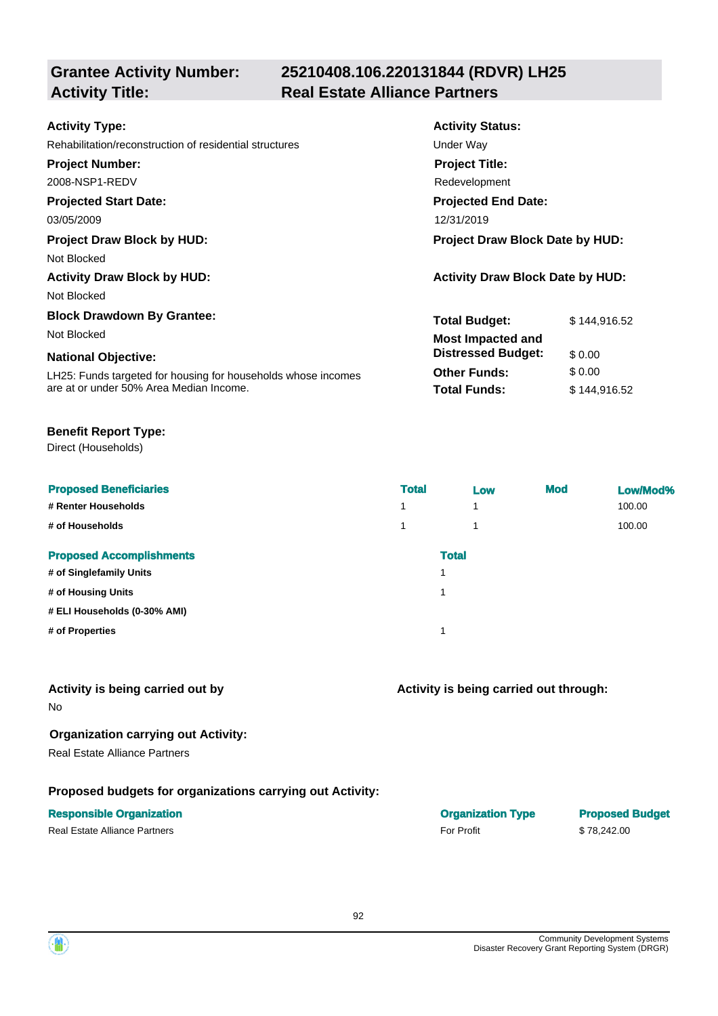## **25210408.106.220131844 (RDVR) LH25 Activity Title: Real Estate Alliance Partners**

| <b>Activity Type:</b>                                         | <b>Activity Status:</b>                 |              |  |
|---------------------------------------------------------------|-----------------------------------------|--------------|--|
| Rehabilitation/reconstruction of residential structures       | Under Way                               |              |  |
| <b>Project Number:</b>                                        | <b>Project Title:</b>                   |              |  |
| 2008-NSP1-REDV                                                | Redevelopment                           |              |  |
| <b>Projected Start Date:</b>                                  | <b>Projected End Date:</b>              |              |  |
| 03/05/2009                                                    | 12/31/2019                              |              |  |
| <b>Project Draw Block by HUD:</b>                             | <b>Project Draw Block Date by HUD:</b>  |              |  |
| Not Blocked                                                   |                                         |              |  |
| <b>Activity Draw Block by HUD:</b>                            | <b>Activity Draw Block Date by HUD:</b> |              |  |
| Not Blocked                                                   |                                         |              |  |
| <b>Block Drawdown By Grantee:</b>                             | <b>Total Budget:</b>                    | \$144,916.52 |  |
| Not Blocked                                                   | <b>Most Impacted and</b>                |              |  |
| <b>National Objective:</b>                                    | <b>Distressed Budget:</b>               | \$0.00       |  |
| LH25: Funds targeted for housing for households whose incomes | <b>Other Funds:</b>                     | \$0.00       |  |
| are at or under 50% Area Median Income.                       | <b>Total Funds:</b>                     | \$144,916.52 |  |

## **Benefit Report Type:**

Direct (Households)

| <b>Proposed Beneficiaries</b><br># Renter Households<br># of Households | <b>Total</b><br>4<br>1 | Low<br>и<br>1 | <b>Mod</b> | Low/Mod%<br>100.00<br>100.00 |
|-------------------------------------------------------------------------|------------------------|---------------|------------|------------------------------|
| <b>Proposed Accomplishments</b>                                         |                        | <b>Total</b>  |            |                              |
| # of Singlefamily Units                                                 |                        |               |            |                              |
| # of Housing Units                                                      |                        |               |            |                              |
| # ELI Households (0-30% AMI)                                            |                        |               |            |                              |
| # of Properties                                                         |                        |               |            |                              |

## **Activity is being carried out by**

No

## **Organization carrying out Activity:**

Real Estate Alliance Partners

## **Proposed budgets for organizations carrying out Activity:**

## **Responsible Organization Organization Type Proposed Budget**

Real Estate Alliance Partners **For Profit** 5 78.242.00

## **Activity is being carried out through:**

| <b>Organization Typ</b> |  |
|-------------------------|--|
| <b>For Profit</b>       |  |

92

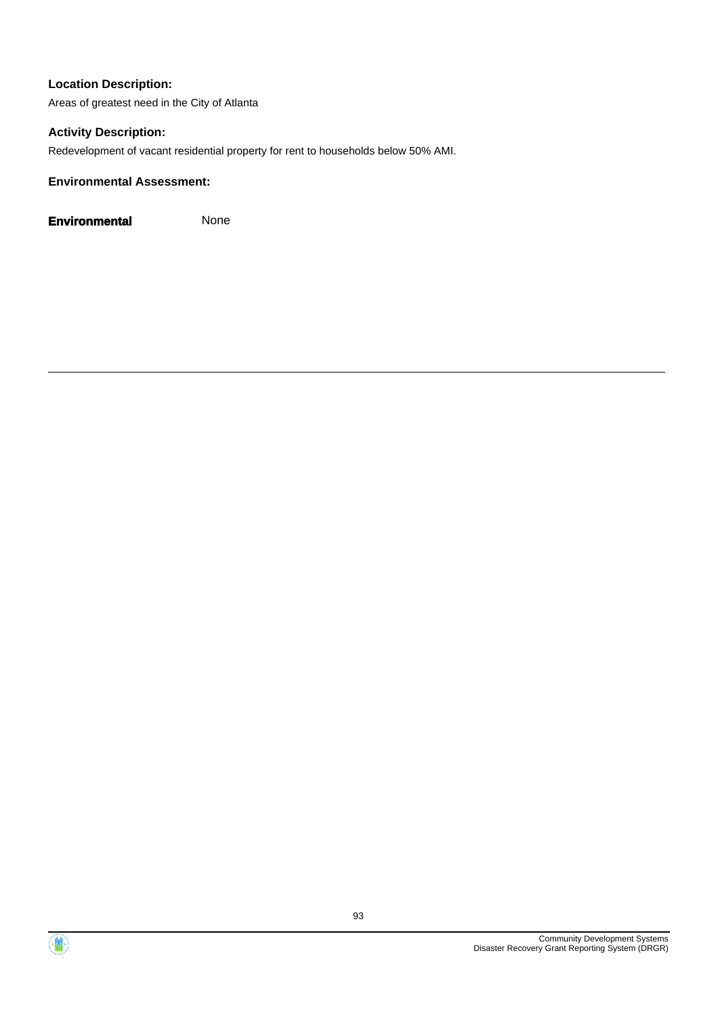Areas of greatest need in the City of Atlanta

## **Activity Description:**

Redevelopment of vacant residential property for rent to households below 50% AMI.

## **Environmental Assessment:**

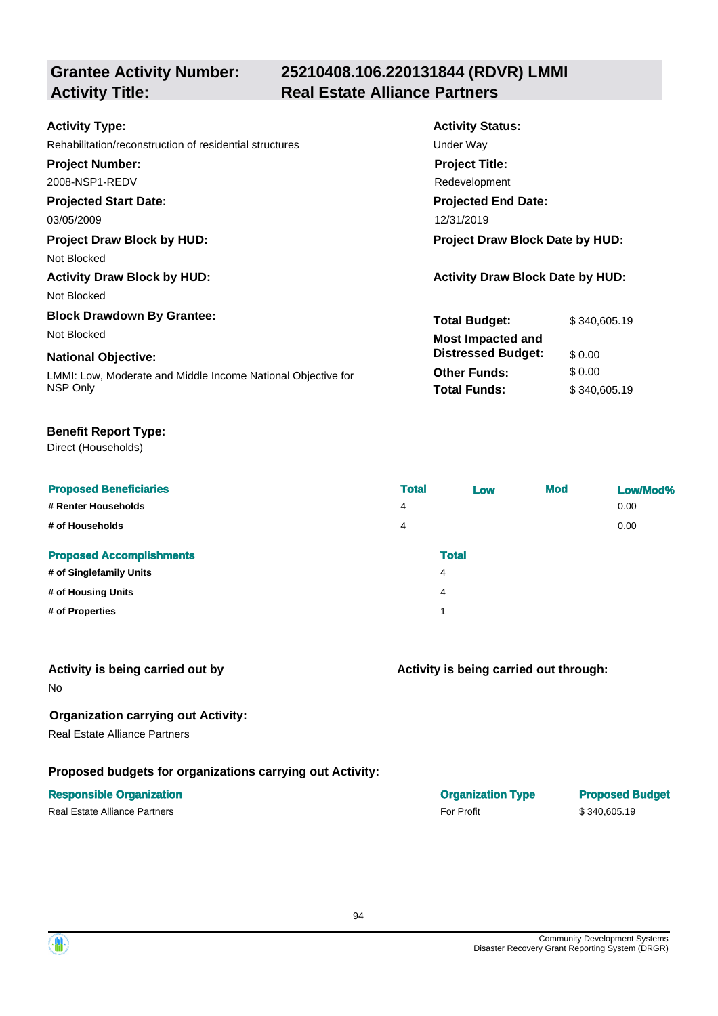## **25210408.106.220131844 (RDVR) LMMI Activity Title: Real Estate Alliance Partners**

| <b>Activity Status:</b>                 |              |  |
|-----------------------------------------|--------------|--|
| Under Way                               |              |  |
| <b>Project Title:</b>                   |              |  |
| Redevelopment                           |              |  |
| <b>Projected End Date:</b>              |              |  |
| 12/31/2019                              |              |  |
| <b>Project Draw Block Date by HUD:</b>  |              |  |
|                                         |              |  |
| <b>Activity Draw Block Date by HUD:</b> |              |  |
|                                         |              |  |
| <b>Total Budget:</b>                    | \$340,605.19 |  |
| <b>Most Impacted and</b>                |              |  |
| <b>Distressed Budget:</b>               | \$0.00       |  |
| <b>Other Funds:</b>                     | \$0.00       |  |
| <b>Total Funds:</b>                     | \$340,605.19 |  |
|                                         |              |  |

## **Benefit Report Type:**

Direct (Households)

| <b>Proposed Beneficiaries</b><br># Renter Households<br># of Households | <b>Total</b><br>4<br>4 | Low          | <b>Mod</b> | Low/Mod%<br>0.00<br>0.00 |
|-------------------------------------------------------------------------|------------------------|--------------|------------|--------------------------|
| <b>Proposed Accomplishments</b>                                         |                        | <b>Total</b> |            |                          |
| # of Singlefamily Units                                                 |                        | 4            |            |                          |
| # of Housing Units                                                      |                        | 4            |            |                          |
| # of Properties                                                         |                        | 1            |            |                          |

## **Activity is being carried out by**

No

## **Organization carrying out Activity:**

Real Estate Alliance Partners

## **Proposed budgets for organizations carrying out Activity:**

| $\overline{4}$ |  |  |
|----------------|--|--|
| $\sim$ 1       |  |  |
|                |  |  |

| <b>Responsible Organization</b> | <b>Organization Type</b> | <b>Proposed Budget</b> |
|---------------------------------|--------------------------|------------------------|
| Real Estate Alliance Partners   | <b>For Profit</b>        | \$340,605.19           |

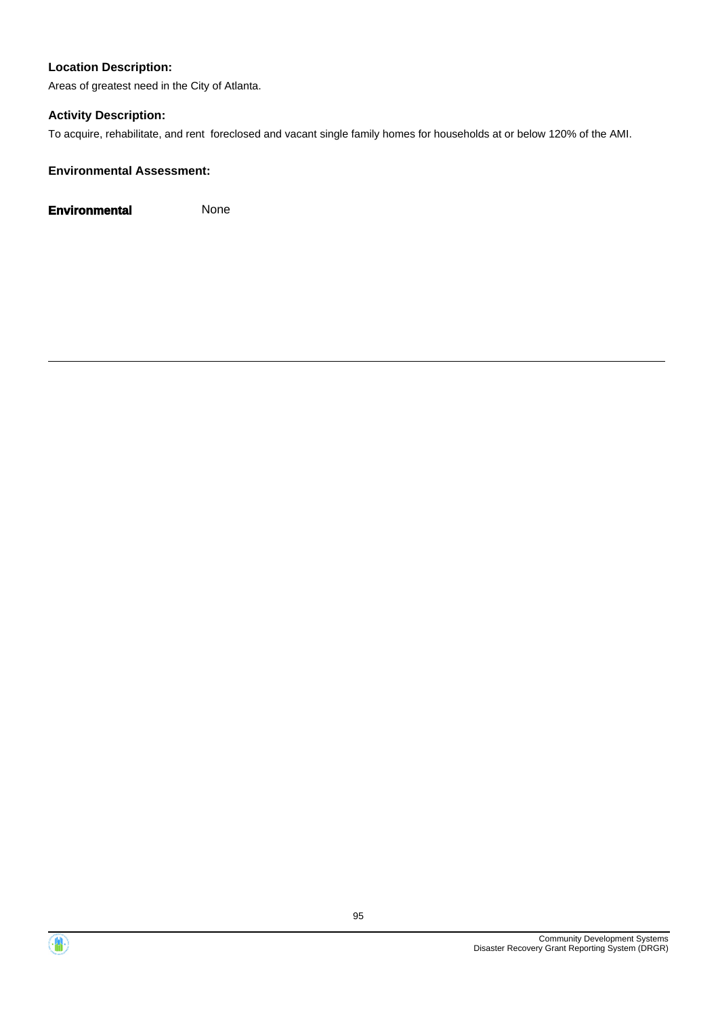Areas of greatest need in the City of Atlanta.

## **Activity Description:**

To acquire, rehabilitate, and rent foreclosed and vacant single family homes for households at or below 120% of the AMI.

## **Environmental Assessment:**



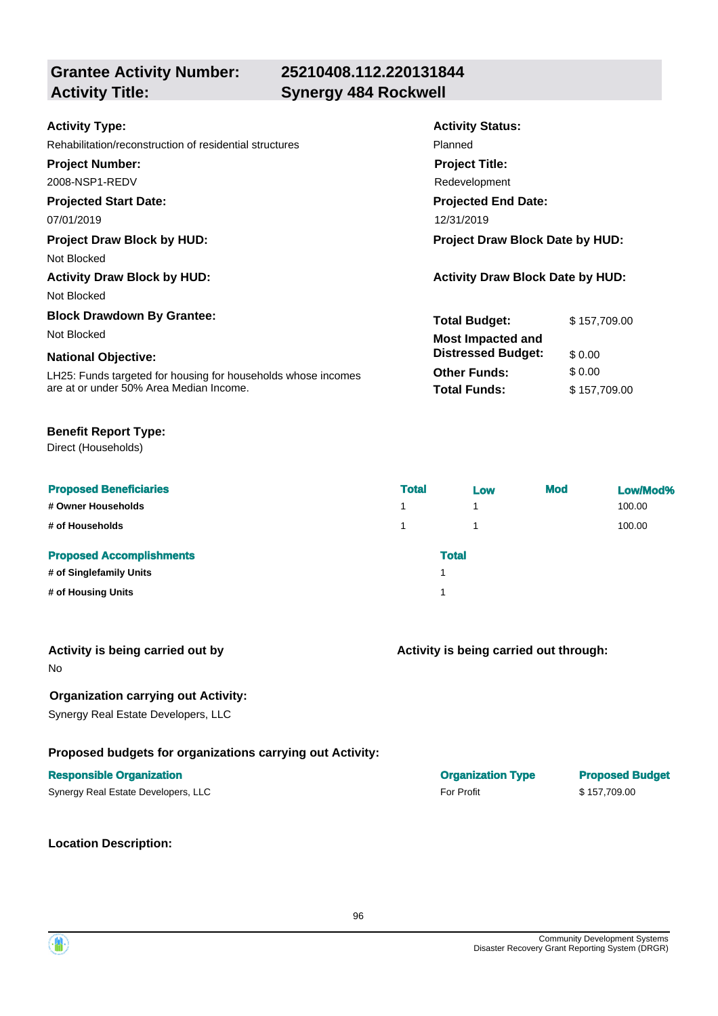**Grantee Activity Number: Activity Title: Synergy 484 Rockwell**

# **25210408.112.220131844**

| <b>Activity Status:</b>                 |              |  |
|-----------------------------------------|--------------|--|
| Planned                                 |              |  |
| <b>Project Title:</b>                   |              |  |
| Redevelopment                           |              |  |
| <b>Projected End Date:</b>              |              |  |
| 12/31/2019                              |              |  |
| Project Draw Block Date by HUD:         |              |  |
|                                         |              |  |
| <b>Activity Draw Block Date by HUD:</b> |              |  |
|                                         |              |  |
| <b>Total Budget:</b>                    | \$157,709.00 |  |
| <b>Most Impacted and</b>                |              |  |
| <b>Distressed Budget:</b>               | \$0.00       |  |
| <b>Other Funds:</b>                     | \$0.00       |  |
| <b>Total Funds:</b>                     | \$157,709.00 |  |
|                                         |              |  |

## **Benefit Report Type:**

Direct (Households)

| <b>Proposed Beneficiaries</b>   | <b>Total</b> | Low          | <b>Mod</b> | Low/Mod% |
|---------------------------------|--------------|--------------|------------|----------|
| # Owner Households              | 1            | 1            |            | 100.00   |
| # of Households                 | 1            | 1            |            | 100.00   |
| <b>Proposed Accomplishments</b> |              | <b>Total</b> |            |          |
| # of Singlefamily Units         |              |              |            |          |
| # of Housing Units              |              |              |            |          |

| Activity is being carried out by |  |  |  |  |  |
|----------------------------------|--|--|--|--|--|
|----------------------------------|--|--|--|--|--|

No

## **Organization carrying out Activity:**

Synergy Real Estate Developers, LLC

## **Proposed budgets for organizations carrying out Activity:**

### **Responsible Organization Organization Type Proposed Budget**

Synergy Real Estate Developers, LLC **For Profit For Profit** \$ 157,709.00

**Location Description:**

| <b>Organization Type</b> |  |
|--------------------------|--|
| For Profit               |  |

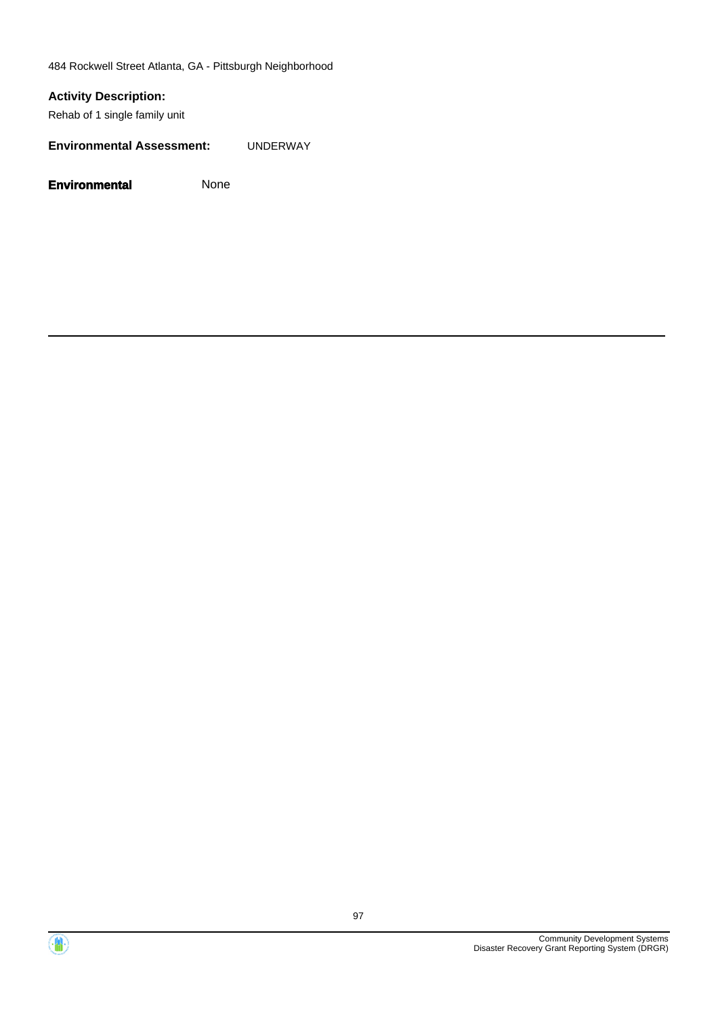484 Rockwell Street Atlanta, GA - Pittsburgh Neighborhood

## **Activity Description:**

Rehab of 1 single family unit

**Environmental Assessment:** UNDERWAY



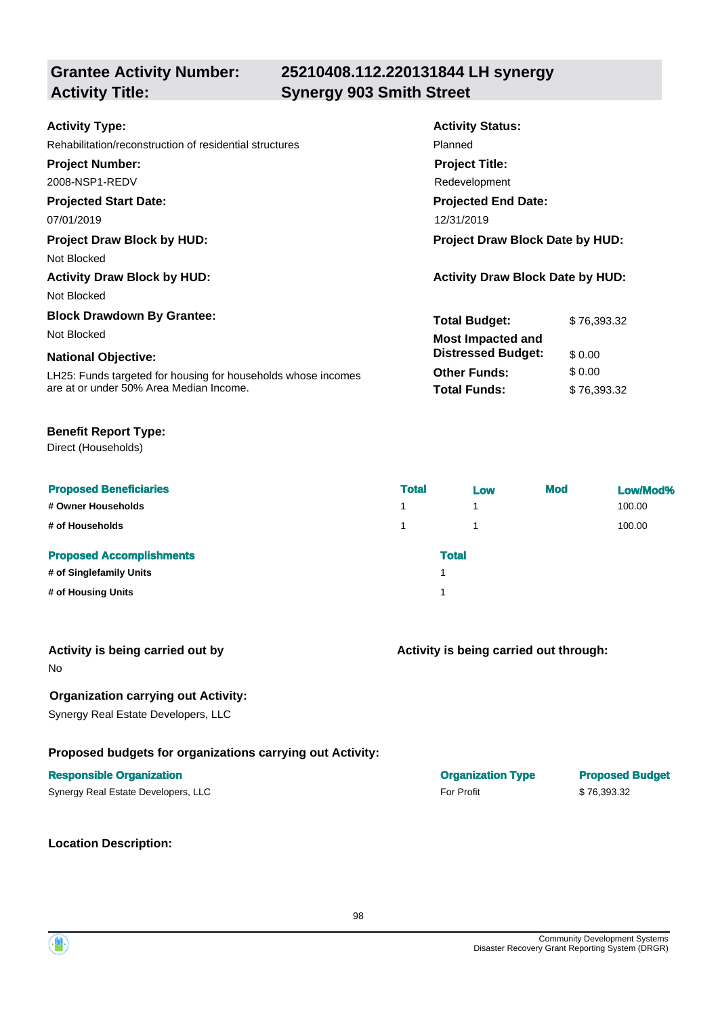## **Grantee Activity Number: Activity Title: Synergy 903 Smith Street**

# **25210408.112.220131844 LH synergy**

| <b>Activity Type:</b>                                         | <b>Activity Status:</b>                 |             |  |
|---------------------------------------------------------------|-----------------------------------------|-------------|--|
| Rehabilitation/reconstruction of residential structures       | Planned                                 |             |  |
| <b>Project Number:</b>                                        | <b>Project Title:</b>                   |             |  |
| 2008-NSP1-REDV                                                | Redevelopment                           |             |  |
| <b>Projected Start Date:</b>                                  | <b>Projected End Date:</b>              |             |  |
| 07/01/2019                                                    | 12/31/2019                              |             |  |
| <b>Project Draw Block by HUD:</b>                             | <b>Project Draw Block Date by HUD:</b>  |             |  |
| Not Blocked                                                   |                                         |             |  |
| <b>Activity Draw Block by HUD:</b>                            | <b>Activity Draw Block Date by HUD:</b> |             |  |
| Not Blocked                                                   |                                         |             |  |
| <b>Block Drawdown By Grantee:</b>                             | <b>Total Budget:</b>                    | \$76,393.32 |  |
| Not Blocked                                                   | <b>Most Impacted and</b>                |             |  |
| <b>National Objective:</b>                                    | <b>Distressed Budget:</b>               | \$0.00      |  |
| LH25: Funds targeted for housing for households whose incomes | <b>Other Funds:</b>                     | \$0.00      |  |
| are at or under 50% Area Median Income.                       | <b>Total Funds:</b>                     | \$76,393.32 |  |
|                                                               |                                         |             |  |

## **Benefit Report Type:**

Direct (Households)

| <b>Proposed Beneficiaries</b>   | <b>Total</b> | Low          | <b>Mod</b> | Low/Mod% |
|---------------------------------|--------------|--------------|------------|----------|
| # Owner Households              | 1            | 4            |            | 100.00   |
| # of Households                 | 1            |              |            | 100.00   |
| <b>Proposed Accomplishments</b> |              | <b>Total</b> |            |          |
| # of Singlefamily Units         |              |              |            |          |
| # of Housing Units              |              |              |            |          |

| Activity is being carried out by |  |
|----------------------------------|--|
|----------------------------------|--|

No

## **Organization carrying out Activity:**

Synergy Real Estate Developers, LLC

## **Proposed budgets for organizations carrying out Activity:**

## **Responsible Organization Organization Type Proposed Budget**

| Synergy Real Estate Developers, LLC | <b>For Profit</b> | \$76,393.32 |
|-------------------------------------|-------------------|-------------|
|-------------------------------------|-------------------|-------------|

**Location Description:**

**Activity is being carried out through:**

| <b>Ulyallizativil Type</b> |  |
|----------------------------|--|
| <b>For Profit</b>          |  |

Œ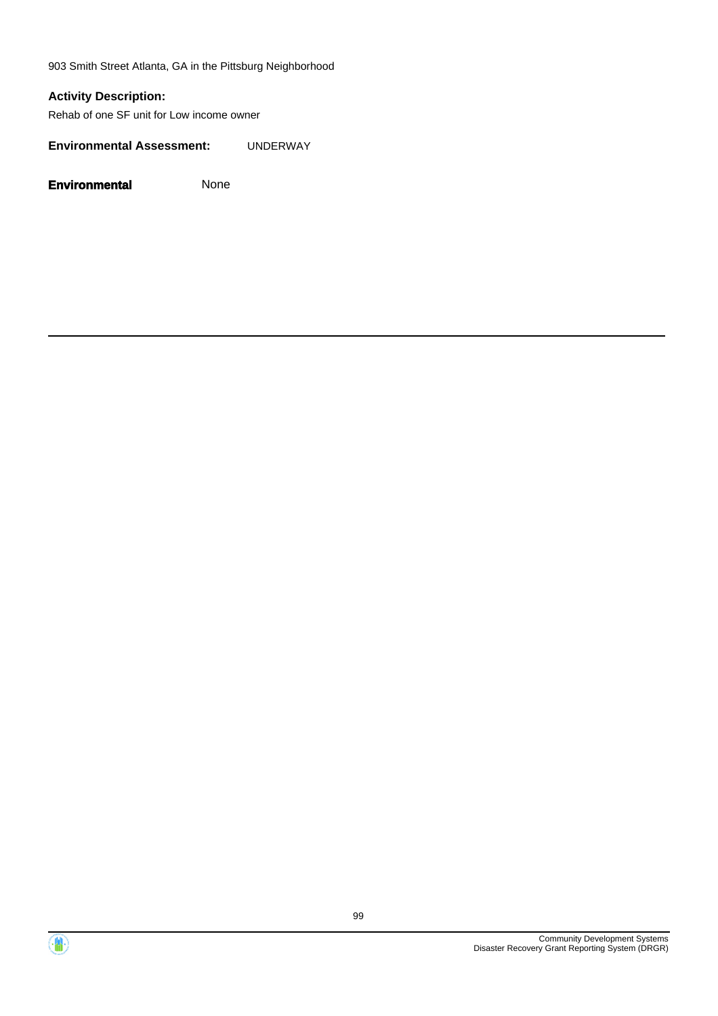903 Smith Street Atlanta, GA in the Pittsburg Neighborhood

## **Activity Description:**

Rehab of one SF unit for Low income owner

**Environmental Assessment:** UNDERWAY



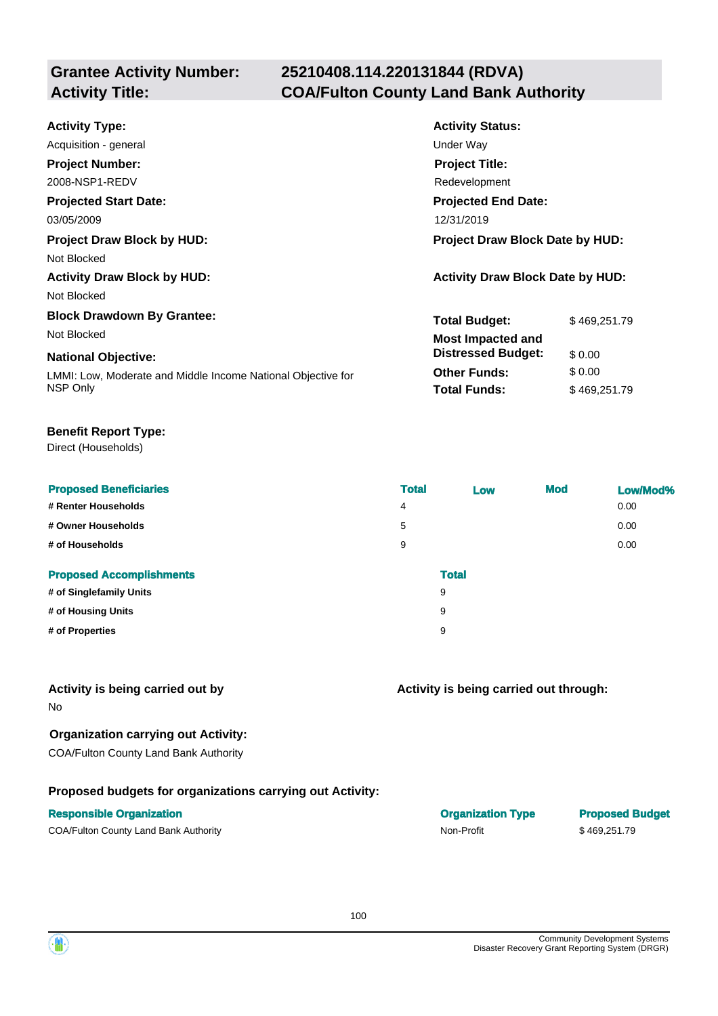## **25210408.114.220131844 (RDVA) Activity Title: COA/Fulton County Land Bank Authority**

| <b>Activity Type:</b>                                        | <b>Activity Status:</b>                 |              |  |
|--------------------------------------------------------------|-----------------------------------------|--------------|--|
| Acquisition - general                                        | Under Way                               |              |  |
| <b>Project Number:</b>                                       | <b>Project Title:</b>                   |              |  |
| 2008-NSP1-REDV                                               | Redevelopment                           |              |  |
| <b>Projected Start Date:</b>                                 | <b>Projected End Date:</b>              |              |  |
| 03/05/2009                                                   | 12/31/2019                              |              |  |
| <b>Project Draw Block by HUD:</b>                            | Project Draw Block Date by HUD:         |              |  |
| Not Blocked                                                  |                                         |              |  |
| <b>Activity Draw Block by HUD:</b>                           | <b>Activity Draw Block Date by HUD:</b> |              |  |
| Not Blocked                                                  |                                         |              |  |
| <b>Block Drawdown By Grantee:</b>                            | <b>Total Budget:</b>                    | \$469,251.79 |  |
| Not Blocked                                                  | <b>Most Impacted and</b>                |              |  |
| <b>National Objective:</b>                                   | <b>Distressed Budget:</b>               | \$0.00       |  |
| LMMI: Low, Moderate and Middle Income National Objective for | <b>Other Funds:</b>                     | \$0.00       |  |
| NSP Only                                                     | <b>Total Funds:</b>                     | \$469,251.79 |  |

## **Benefit Report Type:**

Direct (Households)

| <b>Proposed Beneficiaries</b>   | <b>Total</b> | Low          | <b>Mod</b> | Low/Mod% |
|---------------------------------|--------------|--------------|------------|----------|
| # Renter Households             | 4            |              |            | 0.00     |
| # Owner Households              | 5            |              |            | 0.00     |
| # of Households                 | 9            |              |            | 0.00     |
| <b>Proposed Accomplishments</b> |              | <b>Total</b> |            |          |
| # of Singlefamily Units         |              | 9            |            |          |
| # of Housing Units              |              | 9            |            |          |
| # of Properties                 |              | 9            |            |          |

## **Activity is being carried out by**

No

## **Organization carrying out Activity:**

COA/Fulton County Land Bank Authority

## **Proposed budgets for organizations carrying out Activity:**

## **Responsible Organization COVID-100 COVID-100 COVID-100 COVID-100 COVID-100 COVID-100 COVID-100 COVID-100 COVID-100 COVID-100 COVID-100 COVID-100 COVID-100 COVID-100 COVID-100 COVID-100 COVID-100 COVID-100 COVID-100 COVI**

COA/Fulton County Land Bank Authority **Non-Profit** \$ 469,251.79

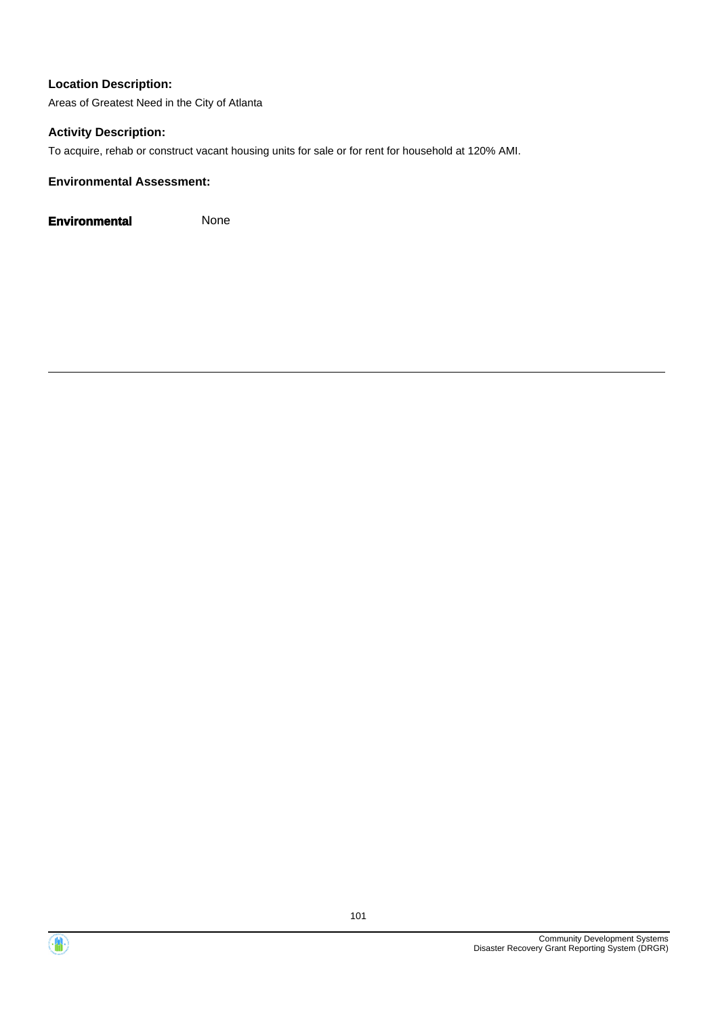Areas of Greatest Need in the City of Atlanta

## **Activity Description:**

To acquire, rehab or construct vacant housing units for sale or for rent for household at 120% AMI.

## **Environmental Assessment:**

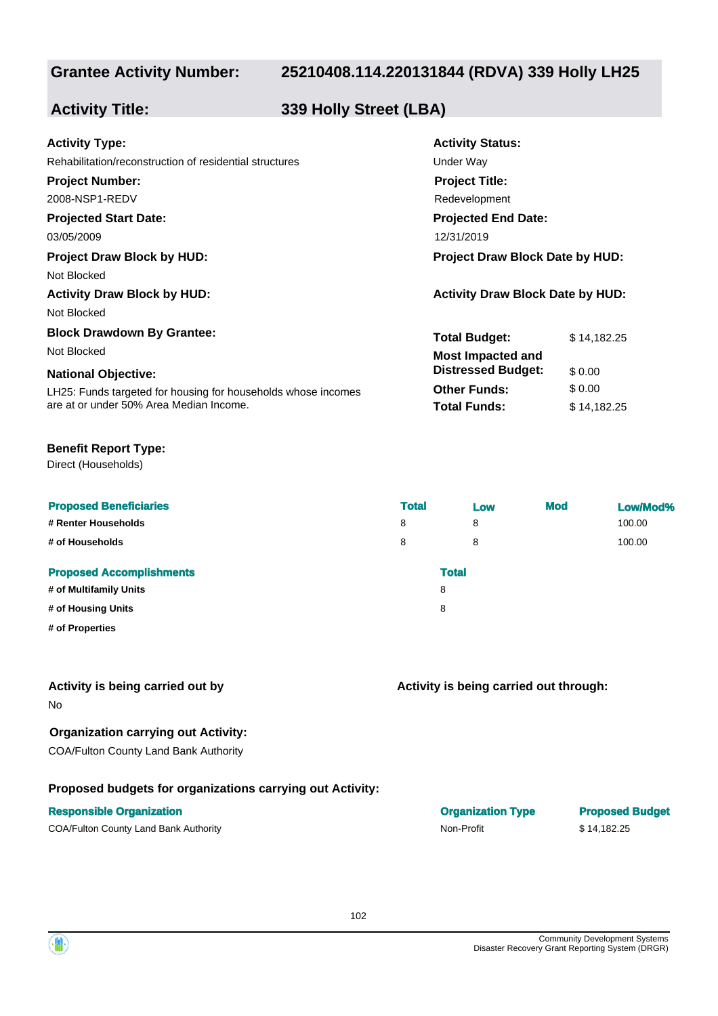## **25210408.114.220131844 (RDVA) 339 Holly LH25**

**Activity Status:**

**Project Title:** Redevelopment

**Projected End Date:**

**Total Budget:** \$ 14,182.25

**Other Funds:** \$ 0.00 **Total Funds:** \$ 14,182.25

**Distressed Budget:** \$ 0.00

## **Activity Title: 339 Holly Street (LBA)**

| <b>Activity Type:</b> |  |
|-----------------------|--|
|-----------------------|--|

Rehabilitation/reconstruction of residential structures **Exercise Structures** Under Way

### **Project Number:**

2008-NSP1-REDV

## **Projected Start Date:**

03/05/2009 12/31/2019

## **Project Draw Block by HUD: Project Draw Block Date by HUD:**

Not Blocked

## **Activity Draw Block by HUD: Activity Draw Block Date by HUD:**

Not Blocked

## **Block Drawdown By Grantee:**

Not Blocked **Most Impacted and** 

## **National Objective:**

LH25: Funds targeted for housing for households whose incomes are at or under 50% Area Median Income.

## **Benefit Report Type:**

Direct (Households)

| <b>Proposed Beneficiaries</b>   | <b>Total</b> | Low | <b>Mod</b> | Low/Mod% |
|---------------------------------|--------------|-----|------------|----------|
| # Renter Households             | 8            | 8   |            | 100.00   |
| # of Households                 | 8            | 8   |            | 100.00   |
| <b>Proposed Accomplishments</b> | <b>Total</b> |     |            |          |
| # of Multifamily Units          | 8            |     |            |          |
| # of Housing Units              | 8            |     |            |          |
| # of Properties                 |              |     |            |          |
|                                 |              |     |            |          |

## **Activity is being carried out by**

No

## **Organization carrying out Activity:**

COA/Fulton County Land Bank Authority

## **Proposed budgets for organizations carrying out Activity:**

## **Responsible Organization**

COA/Fulton County Land Bank Authority **Non-Profit** Non-Profit \$ 14,182.25

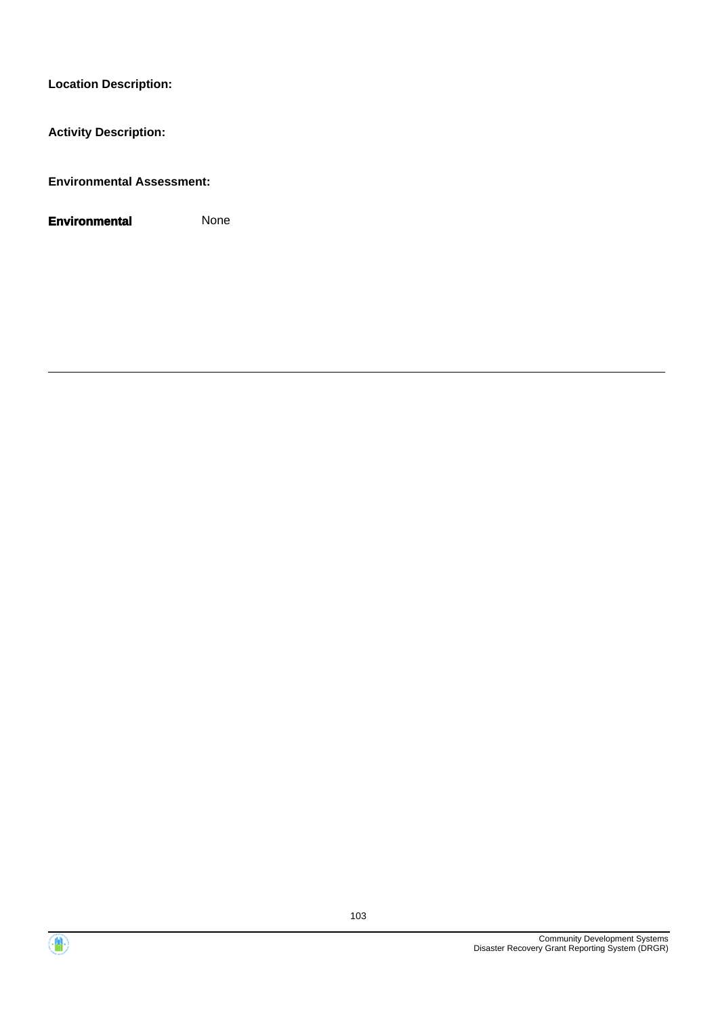**Activity Description:**

**Environmental Assessment:**



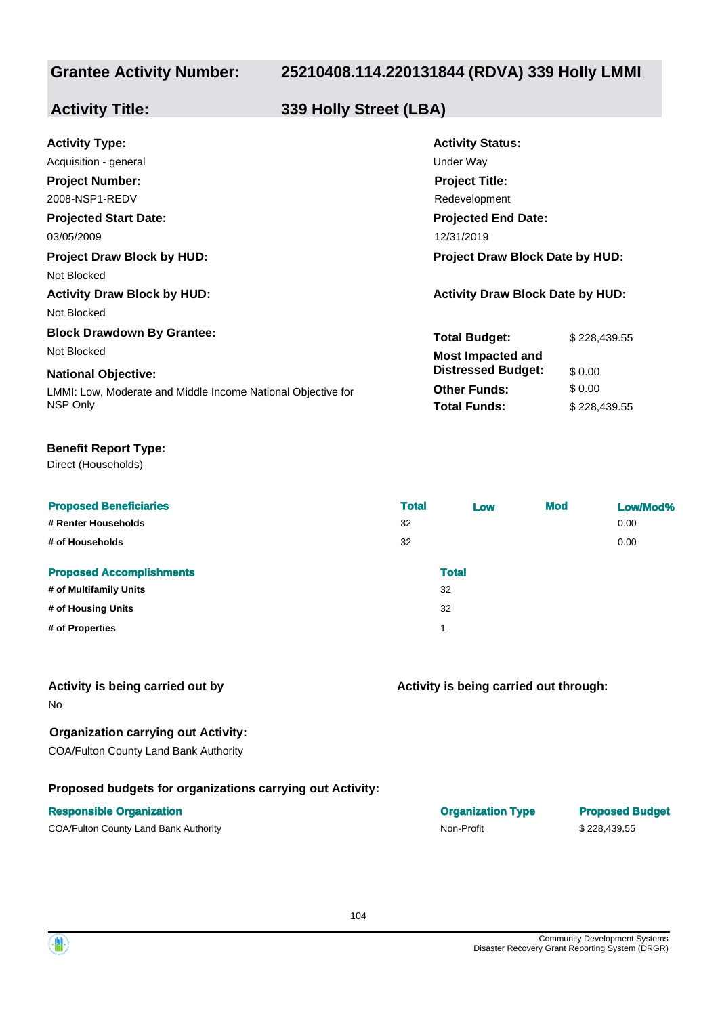## **25210408.114.220131844 (RDVA) 339 Holly LMMI**

## **Activity Title: 339 Holly Street (LBA)**

| <b>Activity Type:</b>                                        | <b>Activity Status:</b>                 |              |  |
|--------------------------------------------------------------|-----------------------------------------|--------------|--|
| Acquisition - general                                        | Under Way                               |              |  |
| <b>Project Number:</b>                                       | <b>Project Title:</b>                   |              |  |
| 2008-NSP1-REDV                                               | Redevelopment                           |              |  |
| <b>Projected Start Date:</b>                                 | <b>Projected End Date:</b>              |              |  |
| 03/05/2009                                                   | 12/31/2019                              |              |  |
| <b>Project Draw Block by HUD:</b>                            | <b>Project Draw Block Date by HUD:</b>  |              |  |
| Not Blocked                                                  |                                         |              |  |
| <b>Activity Draw Block by HUD:</b>                           | <b>Activity Draw Block Date by HUD:</b> |              |  |
| Not Blocked                                                  |                                         |              |  |
| <b>Block Drawdown By Grantee:</b>                            | <b>Total Budget:</b>                    | \$228,439.55 |  |
| Not Blocked                                                  | <b>Most Impacted and</b>                |              |  |
| <b>National Objective:</b>                                   | <b>Distressed Budget:</b>               | \$0.00       |  |
| LMMI: Low, Moderate and Middle Income National Objective for | <b>Other Funds:</b>                     | \$0.00       |  |
| NSP Only                                                     | <b>Total Funds:</b>                     | \$228,439.55 |  |
|                                                              |                                         |              |  |

### **Benefit Report Type:**

Direct (Households)

| <b>Proposed Beneficiaries</b><br># Renter Households<br># of Households | <b>Total</b><br>32<br>32 | Low          | <b>Mod</b> | Low/Mod%<br>0.00<br>0.00 |
|-------------------------------------------------------------------------|--------------------------|--------------|------------|--------------------------|
| <b>Proposed Accomplishments</b>                                         |                          | <b>Total</b> |            |                          |
| # of Multifamily Units                                                  |                          | 32           |            |                          |
| # of Housing Units                                                      |                          | 32           |            |                          |
| # of Properties                                                         |                          | 1            |            |                          |

## **Activity is being carried out by**

No

## **Organization carrying out Activity:**

COA/Fulton County Land Bank Authority

## **Proposed budgets for organizations carrying out Activity:**

## **Responsible Organization COVID-100 COVID-100 COVID-100 COVID-100 COVID-100 COVID-100 COVID-100 COVID-100 COVID-100 COVID-100 COVID-100 COVID-100 COVID-100 COVID-100 COVID-100 COVID-100 COVID-100 COVID-100 COVID-100 COVI**

COA/Fulton County Land Bank Authority **Non-Profit** \$ 228,439.55

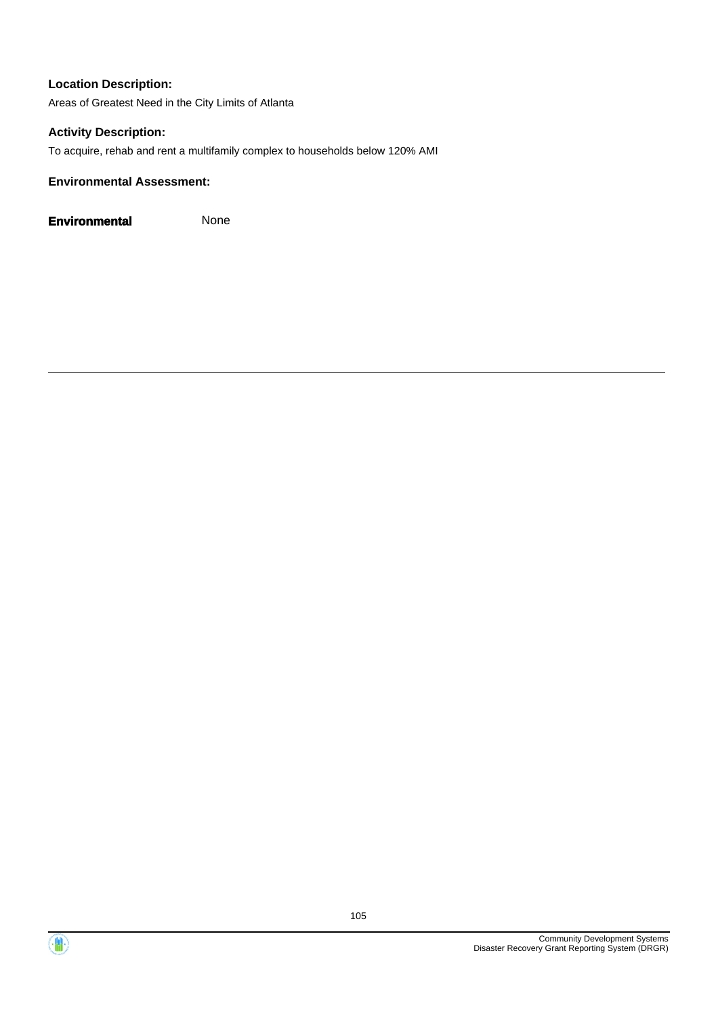Areas of Greatest Need in the City Limits of Atlanta

## **Activity Description:**

To acquire, rehab and rent a multifamily complex to households below 120% AMI

## **Environmental Assessment:**

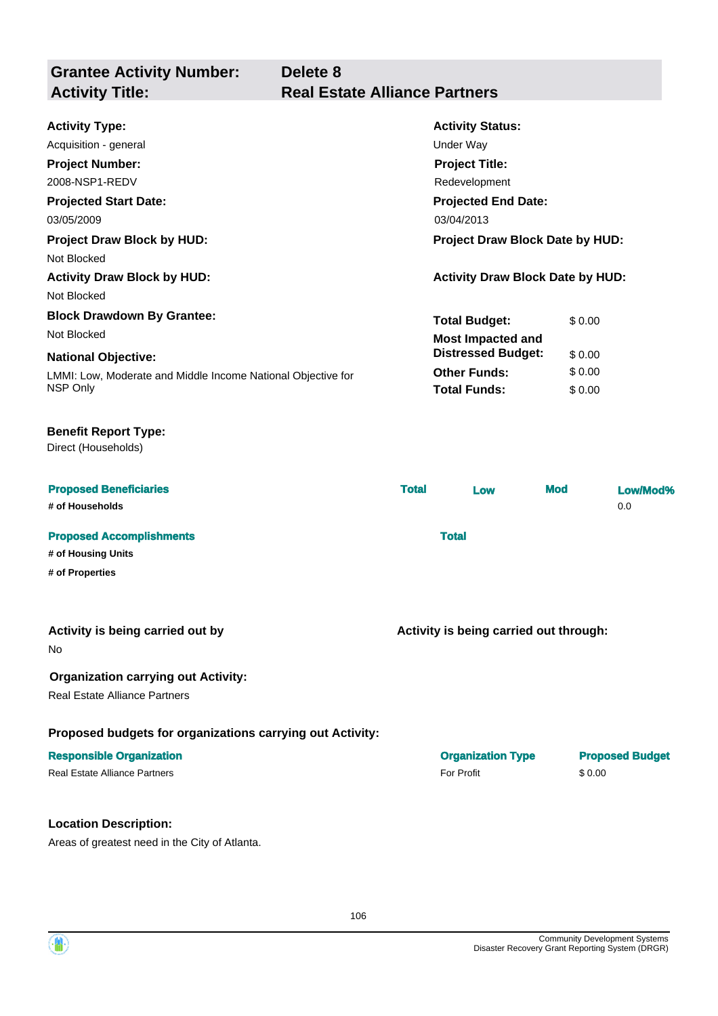| <b>Grantee Activity Number:</b><br><b>Activity Title:</b> | Delete 8<br><b>Real Estate Alliance Partners</b> |
|-----------------------------------------------------------|--------------------------------------------------|
| <b>Activity Type:</b>                                     | <b>Activity Status:</b>                          |
| Acquisition - general                                     | Under Way                                        |
| <b>Project Number:</b>                                    | <b>Project Title:</b>                            |

| 03/05/2009                                                   | 03/04/2013                              |        |  |
|--------------------------------------------------------------|-----------------------------------------|--------|--|
| <b>Project Draw Block by HUD:</b>                            | Project Draw Block Date by HUD:         |        |  |
| Not Blocked                                                  |                                         |        |  |
| <b>Activity Draw Block by HUD:</b>                           | <b>Activity Draw Block Date by HUD:</b> |        |  |
| Not Blocked                                                  |                                         |        |  |
| <b>Block Drawdown By Grantee:</b>                            | <b>Total Budget:</b>                    | \$0.00 |  |
| Not Blocked                                                  | <b>Most Impacted and</b>                |        |  |
| <b>National Objective:</b>                                   | <b>Distressed Budget:</b>               | \$0.00 |  |
| LMMI: Low, Moderate and Middle Income National Objective for | <b>Other Funds:</b>                     | \$0.00 |  |
| NSP Only                                                     | <b>Total Funds:</b>                     | \$0.00 |  |

## **Benefit Report Type:**

**Projected Start Date:**

2008-NSP1-REDV

Direct (Households)

| <b>Proposed Beneficiaries</b><br># of Households | <b>Total</b> | Low | <b>Mod</b> | Low/Mod%<br>0.0 |
|--------------------------------------------------|--------------|-----|------------|-----------------|
| <b>Proposed Accomplishments</b>                  | <b>Total</b> |     |            |                 |
| # of Housing Units                               |              |     |            |                 |
| # of Properties                                  |              |     |            |                 |

## **Activity is being carried out by**

No

## **Organization carrying out Activity:**

Real Estate Alliance Partners

## **Proposed budgets for organizations carrying out Activity:**

## **Location Description:**

Areas of greatest need in the City of Atlanta.

**Activity is being carried out through:**

**Projected End Date:**

Redevelopment

| <b>Responsible Organization</b> | <b>Organization Type</b> | <b>Proposed Budget</b> |
|---------------------------------|--------------------------|------------------------|
| Real Estate Alliance Partners   | For Profit               | \$0.00                 |

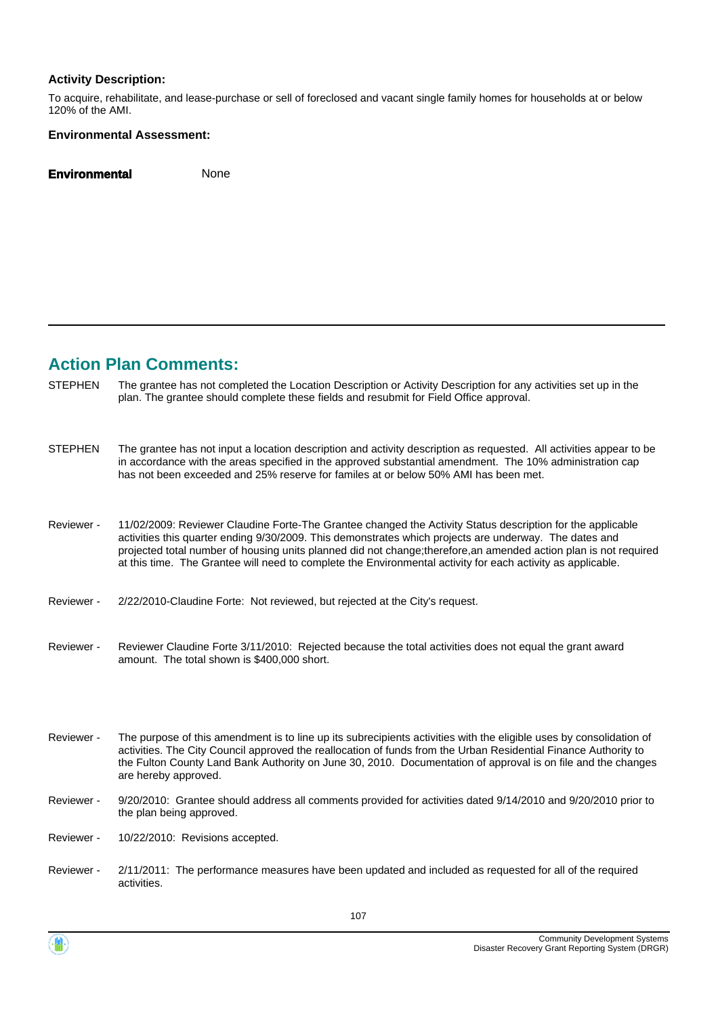### **Activity Description:**

To acquire, rehabilitate, and lease-purchase or sell of foreclosed and vacant single family homes for households at or below 120% of the AMI.

### **Environmental Assessment:**

**Environmental** None

## **Action Plan Comments:**

- The grantee has not completed the Location Description or Activity Description for any activities set up in the plan. The grantee should complete these fields and resubmit for Field Office approval. **STEPHEN**
- The grantee has not input a location description and activity description as requested. All activities appear to be in accordance with the areas specified in the approved substantial amendment. The 10% administration cap has not been exceeded and 25% reserve for familes at or below 50% AMI has been met. **STEPHEN**
- 11/02/2009: Reviewer Claudine Forte-The Grantee changed the Activity Status description for the applicable activities this quarter ending 9/30/2009. This demonstrates which projects are underway. The dates and projected total number of housing units planned did not change;therefore,an amended action plan is not required at this time. The Grantee will need to complete the Environmental activity for each activity as applicable. Reviewer -
- Reviewer 2/22/2010-Claudine Forte: Not reviewed, but rejected at the City's request.
- Reviewer Claudine Forte 3/11/2010: Rejected because the total activities does not equal the grant award amount. The total shown is \$400,000 short. Reviewer -
- The purpose of this amendment is to line up its subrecipients activities with the eligible uses by consolidation of activities. The City Council approved the reallocation of funds from the Urban Residential Finance Authority to the Fulton County Land Bank Authority on June 30, 2010. Documentation of approval is on file and the changes are hereby approved. Reviewer -
- 9/20/2010: Grantee should address all comments provided for activities dated 9/14/2010 and 9/20/2010 prior to the plan being approved. Reviewer -
- Reviewer 10/22/2010: Revisions accepted.
- 2/11/2011: The performance measures have been updated and included as requested for all of the required activities. Reviewer -